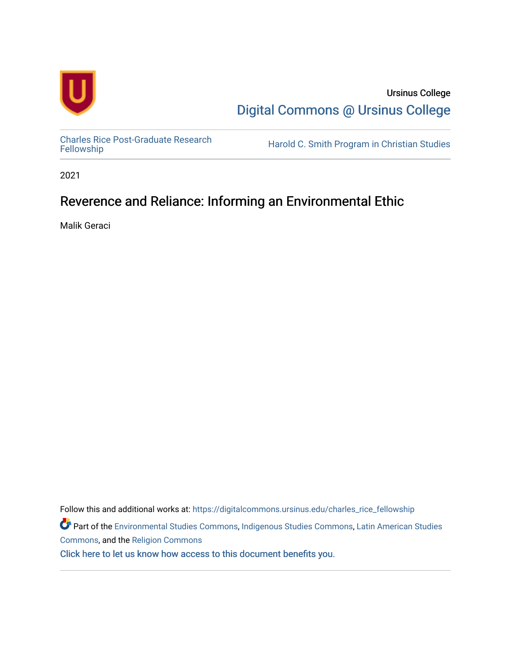

Ursinus College [Digital Commons @ Ursinus College](https://digitalcommons.ursinus.edu/) 

[Charles Rice Post-Graduate Research](https://digitalcommons.ursinus.edu/charles_rice_fellowship) 

Harold C. Smith Program in Christian Studies

2021

### Reverence and Reliance: Informing an Environmental Ethic

Malik Geraci

Follow this and additional works at: [https://digitalcommons.ursinus.edu/charles\\_rice\\_fellowship](https://digitalcommons.ursinus.edu/charles_rice_fellowship?utm_source=digitalcommons.ursinus.edu%2Fcharles_rice_fellowship%2F1&utm_medium=PDF&utm_campaign=PDFCoverPages) Part of the [Environmental Studies Commons](http://network.bepress.com/hgg/discipline/1333?utm_source=digitalcommons.ursinus.edu%2Fcharles_rice_fellowship%2F1&utm_medium=PDF&utm_campaign=PDFCoverPages), [Indigenous Studies Commons](http://network.bepress.com/hgg/discipline/571?utm_source=digitalcommons.ursinus.edu%2Fcharles_rice_fellowship%2F1&utm_medium=PDF&utm_campaign=PDFCoverPages), [Latin American Studies](http://network.bepress.com/hgg/discipline/363?utm_source=digitalcommons.ursinus.edu%2Fcharles_rice_fellowship%2F1&utm_medium=PDF&utm_campaign=PDFCoverPages) [Commons](http://network.bepress.com/hgg/discipline/363?utm_source=digitalcommons.ursinus.edu%2Fcharles_rice_fellowship%2F1&utm_medium=PDF&utm_campaign=PDFCoverPages), and the [Religion Commons](http://network.bepress.com/hgg/discipline/538?utm_source=digitalcommons.ursinus.edu%2Fcharles_rice_fellowship%2F1&utm_medium=PDF&utm_campaign=PDFCoverPages) [Click here to let us know how access to this document benefits you.](https://ursinus.co1.qualtrics.com/jfe/form/SV_1RIyfqzdxsWfMQ5)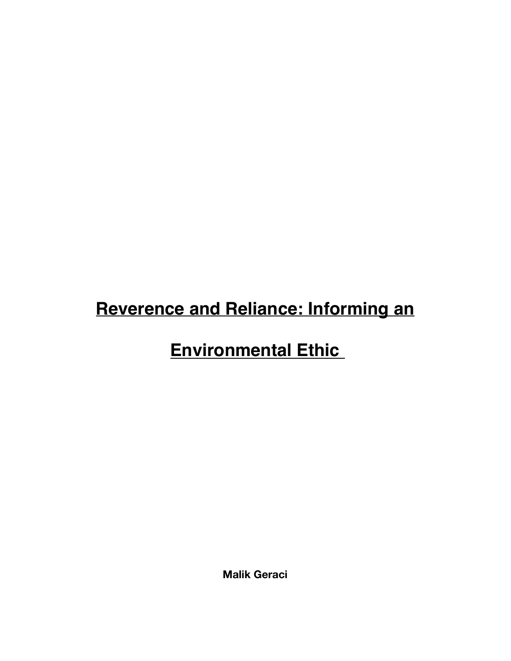# **Reverence and Reliance: Informing an**

# **Environmental Ethic**

**Malik Geraci**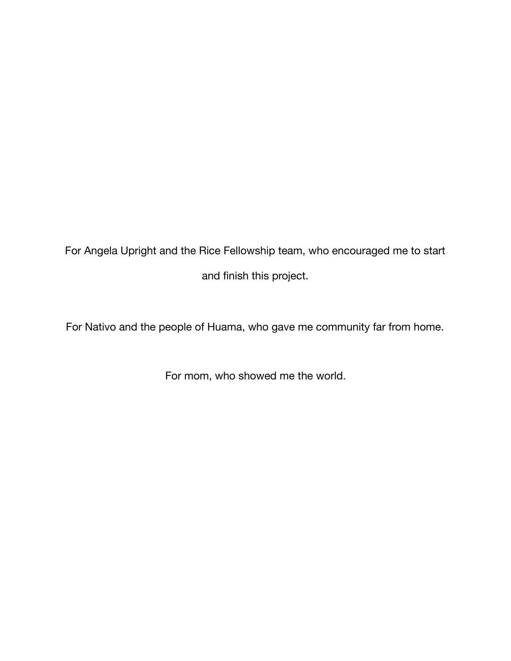For Angela Upright and the Rice Fellowship team, who encouraged me to start and finish this project.

For Nativo and the people of Huama, who gave me community far from home.

For mom, who showed me the world.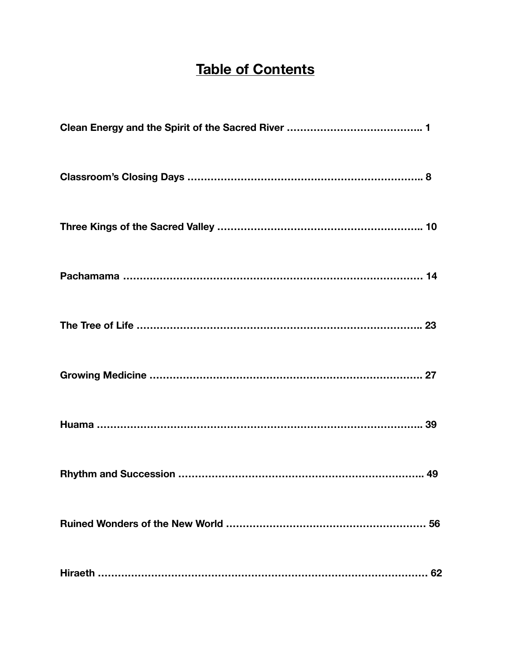### **Table of Contents**

| 56 |
|----|
| 62 |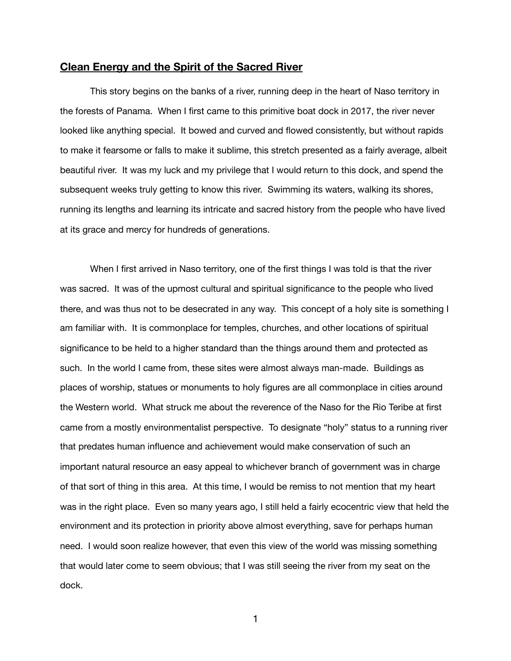#### **Clean Energy and the Spirit of the Sacred River**

This story begins on the banks of a river, running deep in the heart of Naso territory in the forests of Panama. When I first came to this primitive boat dock in 2017, the river never looked like anything special. It bowed and curved and flowed consistently, but without rapids to make it fearsome or falls to make it sublime, this stretch presented as a fairly average, albeit beautiful river. It was my luck and my privilege that I would return to this dock, and spend the subsequent weeks truly getting to know this river. Swimming its waters, walking its shores, running its lengths and learning its intricate and sacred history from the people who have lived at its grace and mercy for hundreds of generations.

When I first arrived in Naso territory, one of the first things I was told is that the river was sacred. It was of the upmost cultural and spiritual significance to the people who lived there, and was thus not to be desecrated in any way. This concept of a holy site is something I am familiar with. It is commonplace for temples, churches, and other locations of spiritual significance to be held to a higher standard than the things around them and protected as such. In the world I came from, these sites were almost always man-made. Buildings as places of worship, statues or monuments to holy figures are all commonplace in cities around the Western world. What struck me about the reverence of the Naso for the Rio Teribe at first came from a mostly environmentalist perspective. To designate "holy" status to a running river that predates human influence and achievement would make conservation of such an important natural resource an easy appeal to whichever branch of government was in charge of that sort of thing in this area. At this time, I would be remiss to not mention that my heart was in the right place. Even so many years ago, I still held a fairly ecocentric view that held the environment and its protection in priority above almost everything, save for perhaps human need. I would soon realize however, that even this view of the world was missing something that would later come to seem obvious; that I was still seeing the river from my seat on the dock.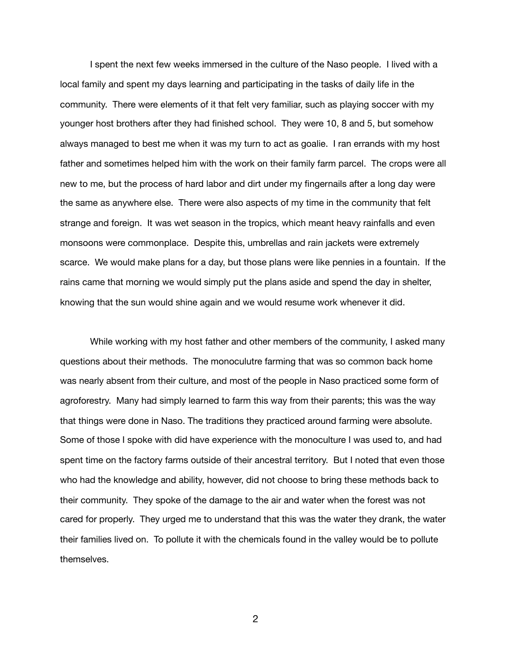I spent the next few weeks immersed in the culture of the Naso people. I lived with a local family and spent my days learning and participating in the tasks of daily life in the community. There were elements of it that felt very familiar, such as playing soccer with my younger host brothers after they had finished school. They were 10, 8 and 5, but somehow always managed to best me when it was my turn to act as goalie. I ran errands with my host father and sometimes helped him with the work on their family farm parcel. The crops were all new to me, but the process of hard labor and dirt under my fingernails after a long day were the same as anywhere else. There were also aspects of my time in the community that felt strange and foreign. It was wet season in the tropics, which meant heavy rainfalls and even monsoons were commonplace. Despite this, umbrellas and rain jackets were extremely scarce. We would make plans for a day, but those plans were like pennies in a fountain. If the rains came that morning we would simply put the plans aside and spend the day in shelter, knowing that the sun would shine again and we would resume work whenever it did.

While working with my host father and other members of the community, I asked many questions about their methods. The monoculutre farming that was so common back home was nearly absent from their culture, and most of the people in Naso practiced some form of agroforestry. Many had simply learned to farm this way from their parents; this was the way that things were done in Naso. The traditions they practiced around farming were absolute. Some of those I spoke with did have experience with the monoculture I was used to, and had spent time on the factory farms outside of their ancestral territory. But I noted that even those who had the knowledge and ability, however, did not choose to bring these methods back to their community. They spoke of the damage to the air and water when the forest was not cared for properly. They urged me to understand that this was the water they drank, the water their families lived on. To pollute it with the chemicals found in the valley would be to pollute themselves.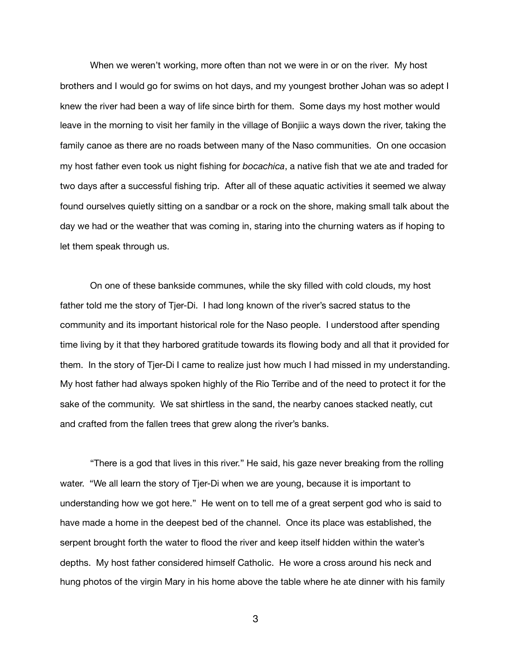When we weren't working, more often than not we were in or on the river. My host brothers and I would go for swims on hot days, and my youngest brother Johan was so adept I knew the river had been a way of life since birth for them. Some days my host mother would leave in the morning to visit her family in the village of Bonjiic a ways down the river, taking the family canoe as there are no roads between many of the Naso communities. On one occasion my host father even took us night fishing for *bocachica*, a native fish that we ate and traded for two days after a successful fishing trip. After all of these aquatic activities it seemed we alway found ourselves quietly sitting on a sandbar or a rock on the shore, making small talk about the day we had or the weather that was coming in, staring into the churning waters as if hoping to let them speak through us.

On one of these bankside communes, while the sky filled with cold clouds, my host father told me the story of Tjer-Di. I had long known of the river's sacred status to the community and its important historical role for the Naso people. I understood after spending time living by it that they harbored gratitude towards its flowing body and all that it provided for them. In the story of Tjer-Di I came to realize just how much I had missed in my understanding. My host father had always spoken highly of the Rio Terribe and of the need to protect it for the sake of the community. We sat shirtless in the sand, the nearby canoes stacked neatly, cut and crafted from the fallen trees that grew along the river's banks.

"There is a god that lives in this river." He said, his gaze never breaking from the rolling water. "We all learn the story of Tier-Di when we are young, because it is important to understanding how we got here." He went on to tell me of a great serpent god who is said to have made a home in the deepest bed of the channel. Once its place was established, the serpent brought forth the water to flood the river and keep itself hidden within the water's depths. My host father considered himself Catholic. He wore a cross around his neck and hung photos of the virgin Mary in his home above the table where he ate dinner with his family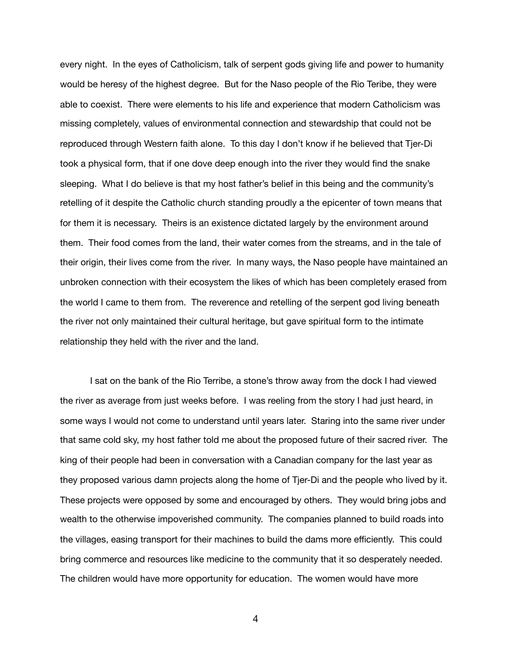every night. In the eyes of Catholicism, talk of serpent gods giving life and power to humanity would be heresy of the highest degree. But for the Naso people of the Rio Teribe, they were able to coexist. There were elements to his life and experience that modern Catholicism was missing completely, values of environmental connection and stewardship that could not be reproduced through Western faith alone. To this day I don't know if he believed that Tjer-Di took a physical form, that if one dove deep enough into the river they would find the snake sleeping. What I do believe is that my host father's belief in this being and the community's retelling of it despite the Catholic church standing proudly a the epicenter of town means that for them it is necessary. Theirs is an existence dictated largely by the environment around them. Their food comes from the land, their water comes from the streams, and in the tale of their origin, their lives come from the river. In many ways, the Naso people have maintained an unbroken connection with their ecosystem the likes of which has been completely erased from the world I came to them from. The reverence and retelling of the serpent god living beneath the river not only maintained their cultural heritage, but gave spiritual form to the intimate relationship they held with the river and the land.

I sat on the bank of the Rio Terribe, a stone's throw away from the dock I had viewed the river as average from just weeks before. I was reeling from the story I had just heard, in some ways I would not come to understand until years later. Staring into the same river under that same cold sky, my host father told me about the proposed future of their sacred river. The king of their people had been in conversation with a Canadian company for the last year as they proposed various damn projects along the home of Tjer-Di and the people who lived by it. These projects were opposed by some and encouraged by others. They would bring jobs and wealth to the otherwise impoverished community. The companies planned to build roads into the villages, easing transport for their machines to build the dams more efficiently. This could bring commerce and resources like medicine to the community that it so desperately needed. The children would have more opportunity for education. The women would have more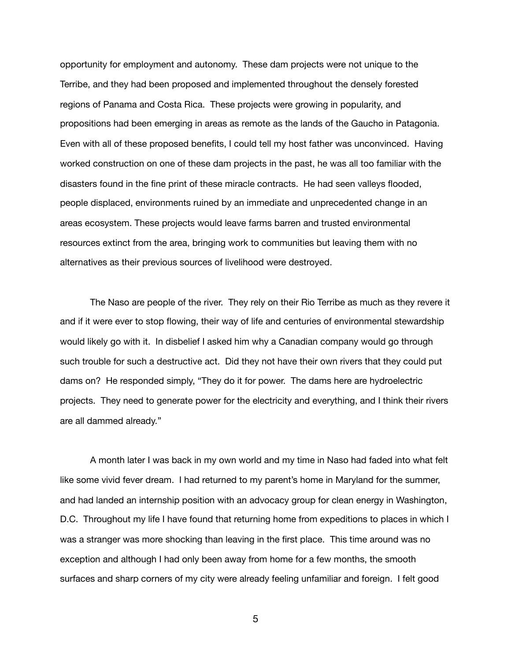opportunity for employment and autonomy. These dam projects were not unique to the Terribe, and they had been proposed and implemented throughout the densely forested regions of Panama and Costa Rica. These projects were growing in popularity, and propositions had been emerging in areas as remote as the lands of the Gaucho in Patagonia. Even with all of these proposed benefits, I could tell my host father was unconvinced. Having worked construction on one of these dam projects in the past, he was all too familiar with the disasters found in the fine print of these miracle contracts. He had seen valleys flooded, people displaced, environments ruined by an immediate and unprecedented change in an areas ecosystem. These projects would leave farms barren and trusted environmental resources extinct from the area, bringing work to communities but leaving them with no alternatives as their previous sources of livelihood were destroyed.

The Naso are people of the river. They rely on their Rio Terribe as much as they revere it and if it were ever to stop flowing, their way of life and centuries of environmental stewardship would likely go with it. In disbelief I asked him why a Canadian company would go through such trouble for such a destructive act. Did they not have their own rivers that they could put dams on? He responded simply, "They do it for power. The dams here are hydroelectric projects. They need to generate power for the electricity and everything, and I think their rivers are all dammed already."

A month later I was back in my own world and my time in Naso had faded into what felt like some vivid fever dream. I had returned to my parent's home in Maryland for the summer, and had landed an internship position with an advocacy group for clean energy in Washington, D.C. Throughout my life I have found that returning home from expeditions to places in which I was a stranger was more shocking than leaving in the first place. This time around was no exception and although I had only been away from home for a few months, the smooth surfaces and sharp corners of my city were already feeling unfamiliar and foreign. I felt good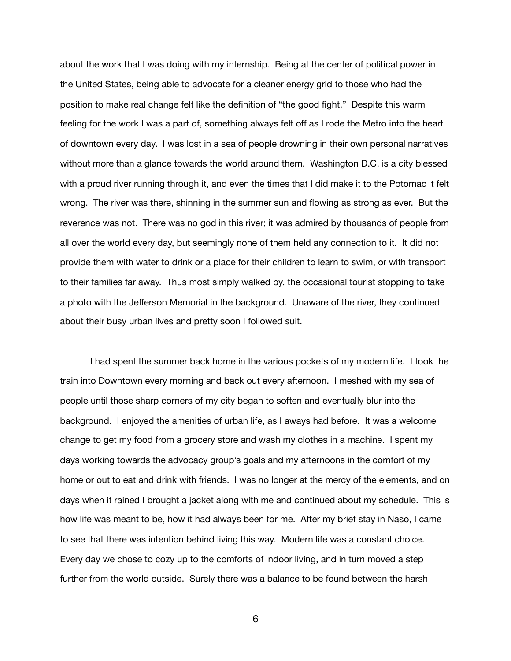about the work that I was doing with my internship. Being at the center of political power in the United States, being able to advocate for a cleaner energy grid to those who had the position to make real change felt like the definition of "the good fight." Despite this warm feeling for the work I was a part of, something always felt off as I rode the Metro into the heart of downtown every day. I was lost in a sea of people drowning in their own personal narratives without more than a glance towards the world around them. Washington D.C. is a city blessed with a proud river running through it, and even the times that I did make it to the Potomac it felt wrong. The river was there, shinning in the summer sun and flowing as strong as ever. But the reverence was not. There was no god in this river; it was admired by thousands of people from all over the world every day, but seemingly none of them held any connection to it. It did not provide them with water to drink or a place for their children to learn to swim, or with transport to their families far away. Thus most simply walked by, the occasional tourist stopping to take a photo with the Jefferson Memorial in the background. Unaware of the river, they continued about their busy urban lives and pretty soon I followed suit.

I had spent the summer back home in the various pockets of my modern life. I took the train into Downtown every morning and back out every afternoon. I meshed with my sea of people until those sharp corners of my city began to soften and eventually blur into the background. I enjoyed the amenities of urban life, as I aways had before. It was a welcome change to get my food from a grocery store and wash my clothes in a machine. I spent my days working towards the advocacy group's goals and my afternoons in the comfort of my home or out to eat and drink with friends. I was no longer at the mercy of the elements, and on days when it rained I brought a jacket along with me and continued about my schedule. This is how life was meant to be, how it had always been for me. After my brief stay in Naso, I came to see that there was intention behind living this way. Modern life was a constant choice. Every day we chose to cozy up to the comforts of indoor living, and in turn moved a step further from the world outside. Surely there was a balance to be found between the harsh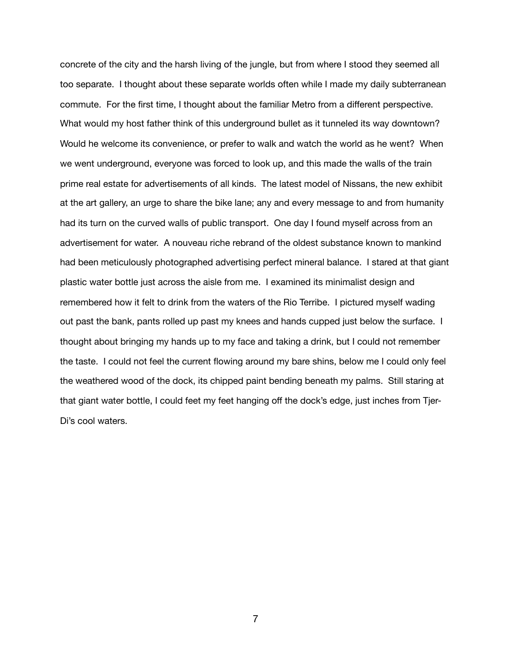concrete of the city and the harsh living of the jungle, but from where I stood they seemed all too separate. I thought about these separate worlds often while I made my daily subterranean commute. For the first time, I thought about the familiar Metro from a different perspective. What would my host father think of this underground bullet as it tunneled its way downtown? Would he welcome its convenience, or prefer to walk and watch the world as he went? When we went underground, everyone was forced to look up, and this made the walls of the train prime real estate for advertisements of all kinds. The latest model of Nissans, the new exhibit at the art gallery, an urge to share the bike lane; any and every message to and from humanity had its turn on the curved walls of public transport. One day I found myself across from an advertisement for water. A nouveau riche rebrand of the oldest substance known to mankind had been meticulously photographed advertising perfect mineral balance. I stared at that giant plastic water bottle just across the aisle from me. I examined its minimalist design and remembered how it felt to drink from the waters of the Rio Terribe. I pictured myself wading out past the bank, pants rolled up past my knees and hands cupped just below the surface. I thought about bringing my hands up to my face and taking a drink, but I could not remember the taste. I could not feel the current flowing around my bare shins, below me I could only feel the weathered wood of the dock, its chipped paint bending beneath my palms. Still staring at that giant water bottle, I could feet my feet hanging off the dock's edge, just inches from Tjer-Di's cool waters.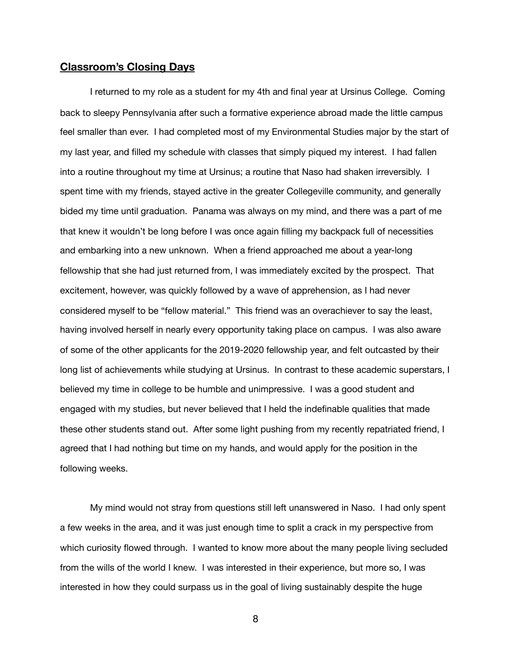#### **Classroom's Closing Days**

I returned to my role as a student for my 4th and final year at Ursinus College. Coming back to sleepy Pennsylvania after such a formative experience abroad made the little campus feel smaller than ever. I had completed most of my Environmental Studies major by the start of my last year, and filled my schedule with classes that simply piqued my interest. I had fallen into a routine throughout my time at Ursinus; a routine that Naso had shaken irreversibly. I spent time with my friends, stayed active in the greater Collegeville community, and generally bided my time until graduation. Panama was always on my mind, and there was a part of me that knew it wouldn't be long before I was once again filling my backpack full of necessities and embarking into a new unknown. When a friend approached me about a year-long fellowship that she had just returned from, I was immediately excited by the prospect. That excitement, however, was quickly followed by a wave of apprehension, as I had never considered myself to be "fellow material." This friend was an overachiever to say the least, having involved herself in nearly every opportunity taking place on campus. I was also aware of some of the other applicants for the 2019-2020 fellowship year, and felt outcasted by their long list of achievements while studying at Ursinus. In contrast to these academic superstars, I believed my time in college to be humble and unimpressive. I was a good student and engaged with my studies, but never believed that I held the indefinable qualities that made these other students stand out. After some light pushing from my recently repatriated friend, I agreed that I had nothing but time on my hands, and would apply for the position in the following weeks.

My mind would not stray from questions still left unanswered in Naso. I had only spent a few weeks in the area, and it was just enough time to split a crack in my perspective from which curiosity flowed through. I wanted to know more about the many people living secluded from the wills of the world I knew. I was interested in their experience, but more so, I was interested in how they could surpass us in the goal of living sustainably despite the huge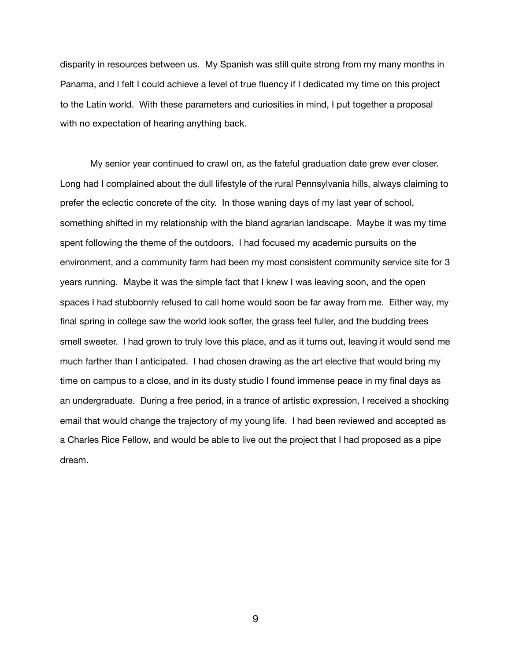disparity in resources between us. My Spanish was still quite strong from my many months in Panama, and I felt I could achieve a level of true fluency if I dedicated my time on this project to the Latin world. With these parameters and curiosities in mind, I put together a proposal with no expectation of hearing anything back.

My senior year continued to crawl on, as the fateful graduation date grew ever closer. Long had I complained about the dull lifestyle of the rural Pennsylvania hills, always claiming to prefer the eclectic concrete of the city. In those waning days of my last year of school, something shifted in my relationship with the bland agrarian landscape. Maybe it was my time spent following the theme of the outdoors. I had focused my academic pursuits on the environment, and a community farm had been my most consistent community service site for 3 years running. Maybe it was the simple fact that I knew I was leaving soon, and the open spaces I had stubbornly refused to call home would soon be far away from me. Either way, my final spring in college saw the world look softer, the grass feel fuller, and the budding trees smell sweeter. I had grown to truly love this place, and as it turns out, leaving it would send me much farther than I anticipated. I had chosen drawing as the art elective that would bring my time on campus to a close, and in its dusty studio I found immense peace in my final days as an undergraduate. During a free period, in a trance of artistic expression, I received a shocking email that would change the trajectory of my young life. I had been reviewed and accepted as a Charles Rice Fellow, and would be able to live out the project that I had proposed as a pipe dream.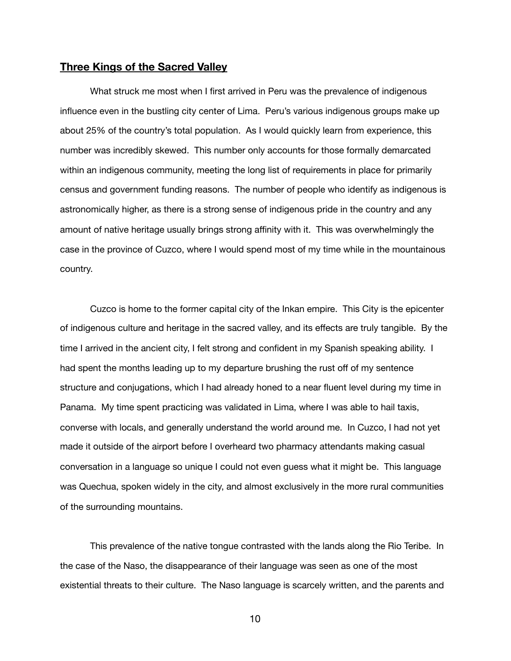#### **Three Kings of the Sacred Valley**

What struck me most when I first arrived in Peru was the prevalence of indigenous influence even in the bustling city center of Lima. Peru's various indigenous groups make up about 25% of the country's total population. As I would quickly learn from experience, this number was incredibly skewed. This number only accounts for those formally demarcated within an indigenous community, meeting the long list of requirements in place for primarily census and government funding reasons. The number of people who identify as indigenous is astronomically higher, as there is a strong sense of indigenous pride in the country and any amount of native heritage usually brings strong affinity with it. This was overwhelmingly the case in the province of Cuzco, where I would spend most of my time while in the mountainous country.

Cuzco is home to the former capital city of the Inkan empire. This City is the epicenter of indigenous culture and heritage in the sacred valley, and its effects are truly tangible. By the time I arrived in the ancient city, I felt strong and confident in my Spanish speaking ability. I had spent the months leading up to my departure brushing the rust off of my sentence structure and conjugations, which I had already honed to a near fluent level during my time in Panama. My time spent practicing was validated in Lima, where I was able to hail taxis, converse with locals, and generally understand the world around me. In Cuzco, I had not yet made it outside of the airport before I overheard two pharmacy attendants making casual conversation in a language so unique I could not even guess what it might be. This language was Quechua, spoken widely in the city, and almost exclusively in the more rural communities of the surrounding mountains.

This prevalence of the native tongue contrasted with the lands along the Rio Teribe. In the case of the Naso, the disappearance of their language was seen as one of the most existential threats to their culture. The Naso language is scarcely written, and the parents and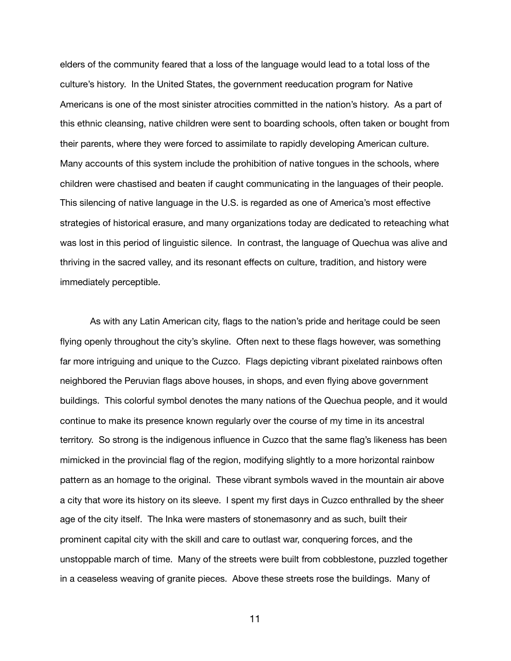elders of the community feared that a loss of the language would lead to a total loss of the culture's history. In the United States, the government reeducation program for Native Americans is one of the most sinister atrocities committed in the nation's history. As a part of this ethnic cleansing, native children were sent to boarding schools, often taken or bought from their parents, where they were forced to assimilate to rapidly developing American culture. Many accounts of this system include the prohibition of native tongues in the schools, where children were chastised and beaten if caught communicating in the languages of their people. This silencing of native language in the U.S. is regarded as one of America's most effective strategies of historical erasure, and many organizations today are dedicated to reteaching what was lost in this period of linguistic silence. In contrast, the language of Quechua was alive and thriving in the sacred valley, and its resonant effects on culture, tradition, and history were immediately perceptible.

As with any Latin American city, flags to the nation's pride and heritage could be seen flying openly throughout the city's skyline. Often next to these flags however, was something far more intriguing and unique to the Cuzco. Flags depicting vibrant pixelated rainbows often neighbored the Peruvian flags above houses, in shops, and even flying above government buildings. This colorful symbol denotes the many nations of the Quechua people, and it would continue to make its presence known regularly over the course of my time in its ancestral territory. So strong is the indigenous influence in Cuzco that the same flag's likeness has been mimicked in the provincial flag of the region, modifying slightly to a more horizontal rainbow pattern as an homage to the original. These vibrant symbols waved in the mountain air above a city that wore its history on its sleeve. I spent my first days in Cuzco enthralled by the sheer age of the city itself. The Inka were masters of stonemasonry and as such, built their prominent capital city with the skill and care to outlast war, conquering forces, and the unstoppable march of time. Many of the streets were built from cobblestone, puzzled together in a ceaseless weaving of granite pieces. Above these streets rose the buildings. Many of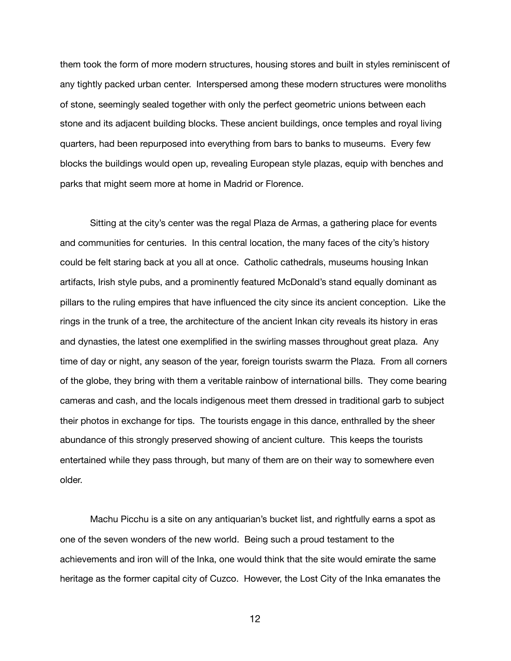them took the form of more modern structures, housing stores and built in styles reminiscent of any tightly packed urban center. Interspersed among these modern structures were monoliths of stone, seemingly sealed together with only the perfect geometric unions between each stone and its adjacent building blocks. These ancient buildings, once temples and royal living quarters, had been repurposed into everything from bars to banks to museums. Every few blocks the buildings would open up, revealing European style plazas, equip with benches and parks that might seem more at home in Madrid or Florence.

Sitting at the city's center was the regal Plaza de Armas, a gathering place for events and communities for centuries. In this central location, the many faces of the city's history could be felt staring back at you all at once. Catholic cathedrals, museums housing Inkan artifacts, Irish style pubs, and a prominently featured McDonald's stand equally dominant as pillars to the ruling empires that have influenced the city since its ancient conception. Like the rings in the trunk of a tree, the architecture of the ancient Inkan city reveals its history in eras and dynasties, the latest one exemplified in the swirling masses throughout great plaza. Any time of day or night, any season of the year, foreign tourists swarm the Plaza. From all corners of the globe, they bring with them a veritable rainbow of international bills. They come bearing cameras and cash, and the locals indigenous meet them dressed in traditional garb to subject their photos in exchange for tips. The tourists engage in this dance, enthralled by the sheer abundance of this strongly preserved showing of ancient culture. This keeps the tourists entertained while they pass through, but many of them are on their way to somewhere even older.

Machu Picchu is a site on any antiquarian's bucket list, and rightfully earns a spot as one of the seven wonders of the new world. Being such a proud testament to the achievements and iron will of the Inka, one would think that the site would emirate the same heritage as the former capital city of Cuzco. However, the Lost City of the Inka emanates the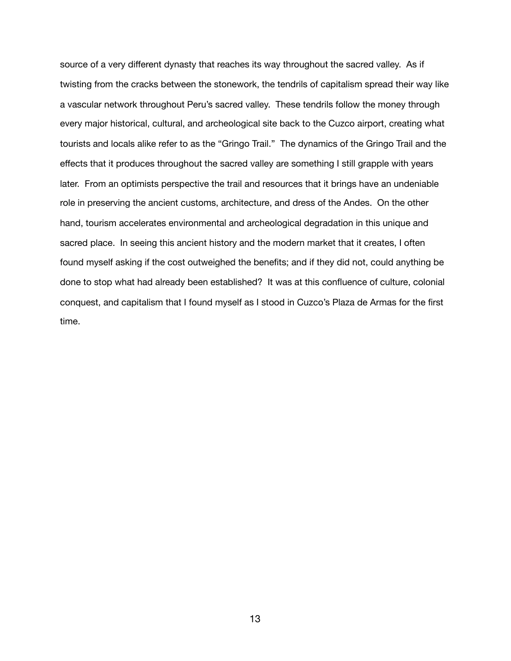source of a very different dynasty that reaches its way throughout the sacred valley. As if twisting from the cracks between the stonework, the tendrils of capitalism spread their way like a vascular network throughout Peru's sacred valley. These tendrils follow the money through every major historical, cultural, and archeological site back to the Cuzco airport, creating what tourists and locals alike refer to as the "Gringo Trail." The dynamics of the Gringo Trail and the effects that it produces throughout the sacred valley are something I still grapple with years later. From an optimists perspective the trail and resources that it brings have an undeniable role in preserving the ancient customs, architecture, and dress of the Andes. On the other hand, tourism accelerates environmental and archeological degradation in this unique and sacred place. In seeing this ancient history and the modern market that it creates, I often found myself asking if the cost outweighed the benefits; and if they did not, could anything be done to stop what had already been established? It was at this confluence of culture, colonial conquest, and capitalism that I found myself as I stood in Cuzco's Plaza de Armas for the first time.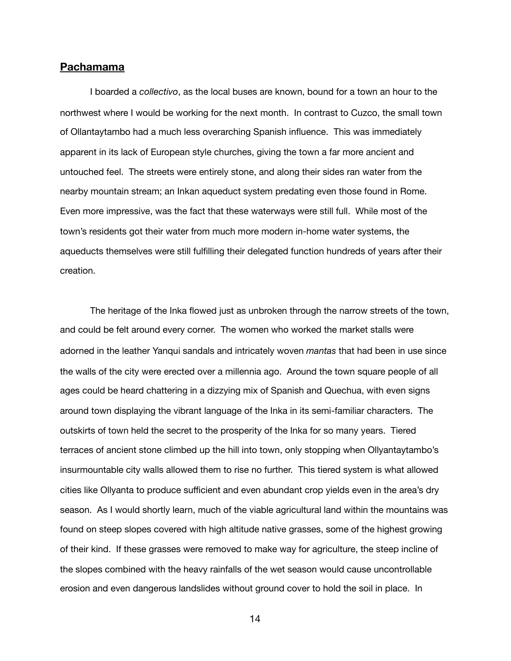#### **Pachamama**

I boarded a *collectivo*, as the local buses are known, bound for a town an hour to the northwest where I would be working for the next month. In contrast to Cuzco, the small town of Ollantaytambo had a much less overarching Spanish influence. This was immediately apparent in its lack of European style churches, giving the town a far more ancient and untouched feel. The streets were entirely stone, and along their sides ran water from the nearby mountain stream; an Inkan aqueduct system predating even those found in Rome. Even more impressive, was the fact that these waterways were still full. While most of the town's residents got their water from much more modern in-home water systems, the aqueducts themselves were still fulfilling their delegated function hundreds of years after their creation.

The heritage of the Inka flowed just as unbroken through the narrow streets of the town, and could be felt around every corner. The women who worked the market stalls were adorned in the leather Yanqui sandals and intricately woven *mantas* that had been in use since the walls of the city were erected over a millennia ago. Around the town square people of all ages could be heard chattering in a dizzying mix of Spanish and Quechua, with even signs around town displaying the vibrant language of the Inka in its semi-familiar characters. The outskirts of town held the secret to the prosperity of the Inka for so many years. Tiered terraces of ancient stone climbed up the hill into town, only stopping when Ollyantaytambo's insurmountable city walls allowed them to rise no further. This tiered system is what allowed cities like Ollyanta to produce sufficient and even abundant crop yields even in the area's dry season. As I would shortly learn, much of the viable agricultural land within the mountains was found on steep slopes covered with high altitude native grasses, some of the highest growing of their kind. If these grasses were removed to make way for agriculture, the steep incline of the slopes combined with the heavy rainfalls of the wet season would cause uncontrollable erosion and even dangerous landslides without ground cover to hold the soil in place. In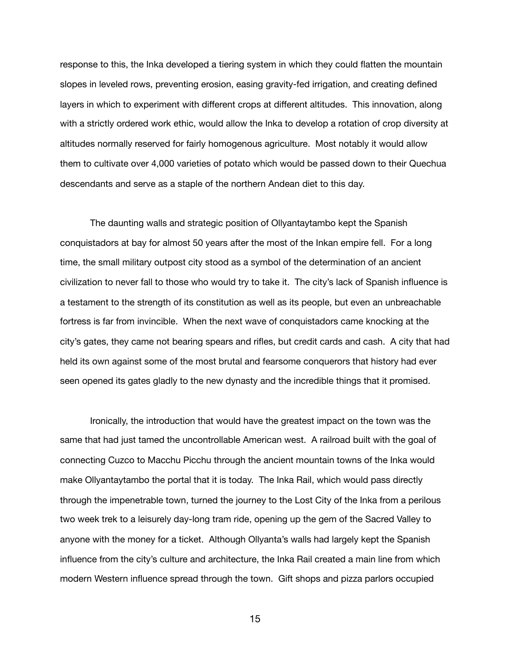response to this, the Inka developed a tiering system in which they could flatten the mountain slopes in leveled rows, preventing erosion, easing gravity-fed irrigation, and creating defined layers in which to experiment with different crops at different altitudes. This innovation, along with a strictly ordered work ethic, would allow the Inka to develop a rotation of crop diversity at altitudes normally reserved for fairly homogenous agriculture. Most notably it would allow them to cultivate over 4,000 varieties of potato which would be passed down to their Quechua descendants and serve as a staple of the northern Andean diet to this day.

The daunting walls and strategic position of Ollyantaytambo kept the Spanish conquistadors at bay for almost 50 years after the most of the Inkan empire fell. For a long time, the small military outpost city stood as a symbol of the determination of an ancient civilization to never fall to those who would try to take it. The city's lack of Spanish influence is a testament to the strength of its constitution as well as its people, but even an unbreachable fortress is far from invincible. When the next wave of conquistadors came knocking at the city's gates, they came not bearing spears and rifles, but credit cards and cash. A city that had held its own against some of the most brutal and fearsome conquerors that history had ever seen opened its gates gladly to the new dynasty and the incredible things that it promised.

Ironically, the introduction that would have the greatest impact on the town was the same that had just tamed the uncontrollable American west. A railroad built with the goal of connecting Cuzco to Macchu Picchu through the ancient mountain towns of the Inka would make Ollyantaytambo the portal that it is today. The Inka Rail, which would pass directly through the impenetrable town, turned the journey to the Lost City of the Inka from a perilous two week trek to a leisurely day-long tram ride, opening up the gem of the Sacred Valley to anyone with the money for a ticket. Although Ollyanta's walls had largely kept the Spanish influence from the city's culture and architecture, the Inka Rail created a main line from which modern Western influence spread through the town. Gift shops and pizza parlors occupied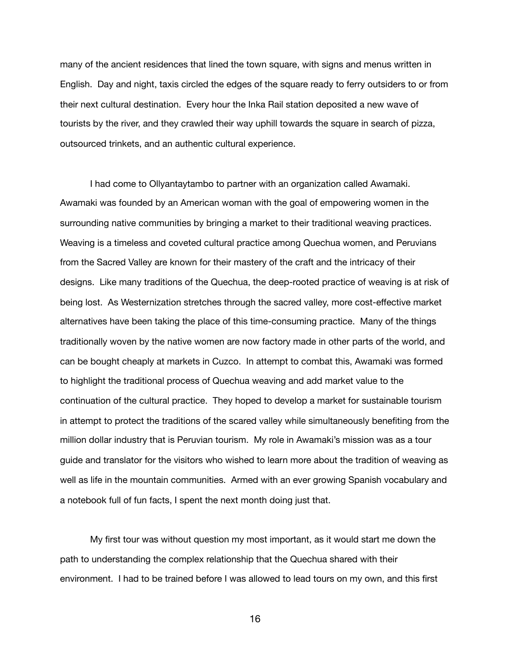many of the ancient residences that lined the town square, with signs and menus written in English. Day and night, taxis circled the edges of the square ready to ferry outsiders to or from their next cultural destination. Every hour the Inka Rail station deposited a new wave of tourists by the river, and they crawled their way uphill towards the square in search of pizza, outsourced trinkets, and an authentic cultural experience.

I had come to Ollyantaytambo to partner with an organization called Awamaki. Awamaki was founded by an American woman with the goal of empowering women in the surrounding native communities by bringing a market to their traditional weaving practices. Weaving is a timeless and coveted cultural practice among Quechua women, and Peruvians from the Sacred Valley are known for their mastery of the craft and the intricacy of their designs. Like many traditions of the Quechua, the deep-rooted practice of weaving is at risk of being lost. As Westernization stretches through the sacred valley, more cost-effective market alternatives have been taking the place of this time-consuming practice. Many of the things traditionally woven by the native women are now factory made in other parts of the world, and can be bought cheaply at markets in Cuzco. In attempt to combat this, Awamaki was formed to highlight the traditional process of Quechua weaving and add market value to the continuation of the cultural practice. They hoped to develop a market for sustainable tourism in attempt to protect the traditions of the scared valley while simultaneously benefiting from the million dollar industry that is Peruvian tourism. My role in Awamaki's mission was as a tour guide and translator for the visitors who wished to learn more about the tradition of weaving as well as life in the mountain communities. Armed with an ever growing Spanish vocabulary and a notebook full of fun facts, I spent the next month doing just that.

My first tour was without question my most important, as it would start me down the path to understanding the complex relationship that the Quechua shared with their environment. I had to be trained before I was allowed to lead tours on my own, and this first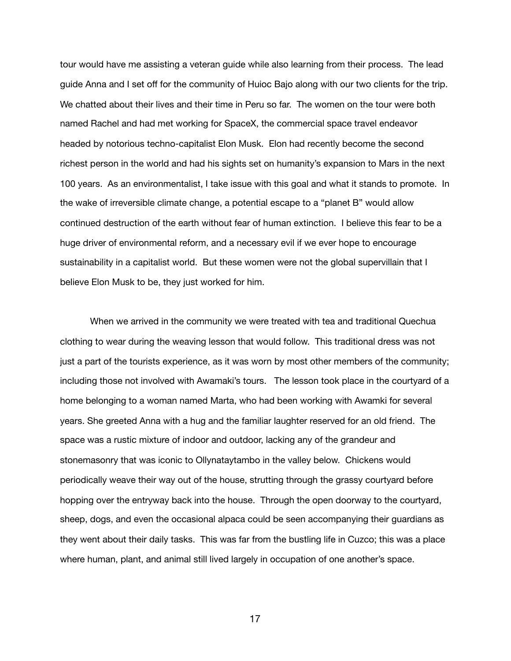tour would have me assisting a veteran guide while also learning from their process. The lead guide Anna and I set off for the community of Huioc Bajo along with our two clients for the trip. We chatted about their lives and their time in Peru so far. The women on the tour were both named Rachel and had met working for SpaceX, the commercial space travel endeavor headed by notorious techno-capitalist Elon Musk. Elon had recently become the second richest person in the world and had his sights set on humanity's expansion to Mars in the next 100 years. As an environmentalist, I take issue with this goal and what it stands to promote. In the wake of irreversible climate change, a potential escape to a "planet B" would allow continued destruction of the earth without fear of human extinction. I believe this fear to be a huge driver of environmental reform, and a necessary evil if we ever hope to encourage sustainability in a capitalist world. But these women were not the global supervillain that I believe Elon Musk to be, they just worked for him.

When we arrived in the community we were treated with tea and traditional Quechua clothing to wear during the weaving lesson that would follow. This traditional dress was not just a part of the tourists experience, as it was worn by most other members of the community; including those not involved with Awamaki's tours. The lesson took place in the courtyard of a home belonging to a woman named Marta, who had been working with Awamki for several years. She greeted Anna with a hug and the familiar laughter reserved for an old friend. The space was a rustic mixture of indoor and outdoor, lacking any of the grandeur and stonemasonry that was iconic to Ollynataytambo in the valley below. Chickens would periodically weave their way out of the house, strutting through the grassy courtyard before hopping over the entryway back into the house. Through the open doorway to the courtyard, sheep, dogs, and even the occasional alpaca could be seen accompanying their guardians as they went about their daily tasks. This was far from the bustling life in Cuzco; this was a place where human, plant, and animal still lived largely in occupation of one another's space.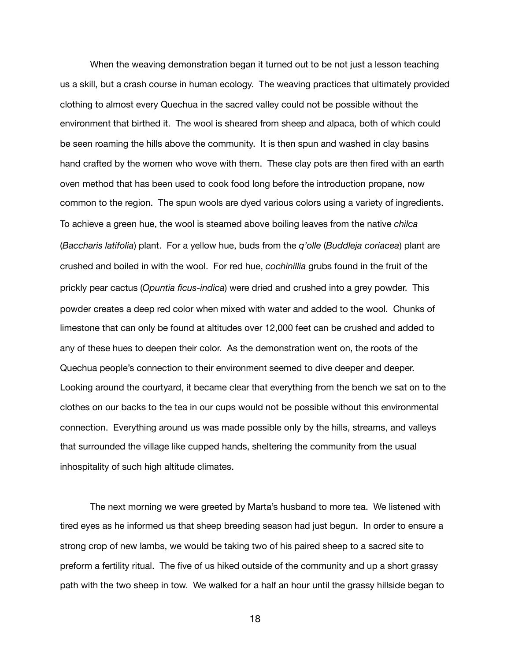When the weaving demonstration began it turned out to be not just a lesson teaching us a skill, but a crash course in human ecology. The weaving practices that ultimately provided clothing to almost every Quechua in the sacred valley could not be possible without the environment that birthed it. The wool is sheared from sheep and alpaca, both of which could be seen roaming the hills above the community. It is then spun and washed in clay basins hand crafted by the women who wove with them. These clay pots are then fired with an earth oven method that has been used to cook food long before the introduction propane, now common to the region. The spun wools are dyed various colors using a variety of ingredients. To achieve a green hue, the wool is steamed above boiling leaves from the native *chilca* (*Baccharis latifolia*) plant. For a yellow hue, buds from the *q'olle* (*Buddleja coriacea*) plant are crushed and boiled in with the wool. For red hue, *cochinillia* grubs found in the fruit of the prickly pear cactus (*Opuntia ficus-indica*) were dried and crushed into a grey powder. This powder creates a deep red color when mixed with water and added to the wool. Chunks of limestone that can only be found at altitudes over 12,000 feet can be crushed and added to any of these hues to deepen their color. As the demonstration went on, the roots of the Quechua people's connection to their environment seemed to dive deeper and deeper. Looking around the courtyard, it became clear that everything from the bench we sat on to the clothes on our backs to the tea in our cups would not be possible without this environmental connection. Everything around us was made possible only by the hills, streams, and valleys that surrounded the village like cupped hands, sheltering the community from the usual inhospitality of such high altitude climates.

The next morning we were greeted by Marta's husband to more tea. We listened with tired eyes as he informed us that sheep breeding season had just begun. In order to ensure a strong crop of new lambs, we would be taking two of his paired sheep to a sacred site to preform a fertility ritual. The five of us hiked outside of the community and up a short grassy path with the two sheep in tow. We walked for a half an hour until the grassy hillside began to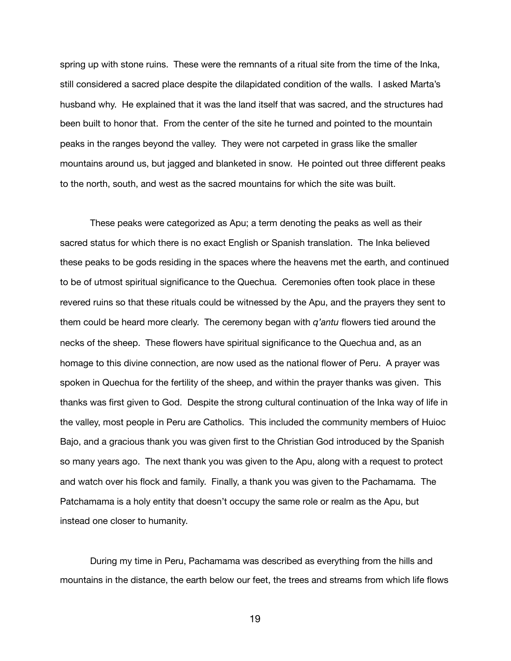spring up with stone ruins. These were the remnants of a ritual site from the time of the Inka, still considered a sacred place despite the dilapidated condition of the walls. I asked Marta's husband why. He explained that it was the land itself that was sacred, and the structures had been built to honor that. From the center of the site he turned and pointed to the mountain peaks in the ranges beyond the valley. They were not carpeted in grass like the smaller mountains around us, but jagged and blanketed in snow. He pointed out three different peaks to the north, south, and west as the sacred mountains for which the site was built.

These peaks were categorized as Apu; a term denoting the peaks as well as their sacred status for which there is no exact English or Spanish translation. The Inka believed these peaks to be gods residing in the spaces where the heavens met the earth, and continued to be of utmost spiritual significance to the Quechua. Ceremonies often took place in these revered ruins so that these rituals could be witnessed by the Apu, and the prayers they sent to them could be heard more clearly. The ceremony began with *q'antu* flowers tied around the necks of the sheep. These flowers have spiritual significance to the Quechua and, as an homage to this divine connection, are now used as the national flower of Peru. A prayer was spoken in Quechua for the fertility of the sheep, and within the prayer thanks was given. This thanks was first given to God. Despite the strong cultural continuation of the Inka way of life in the valley, most people in Peru are Catholics. This included the community members of Huioc Bajo, and a gracious thank you was given first to the Christian God introduced by the Spanish so many years ago. The next thank you was given to the Apu, along with a request to protect and watch over his flock and family. Finally, a thank you was given to the Pachamama. The Patchamama is a holy entity that doesn't occupy the same role or realm as the Apu, but instead one closer to humanity.

During my time in Peru, Pachamama was described as everything from the hills and mountains in the distance, the earth below our feet, the trees and streams from which life flows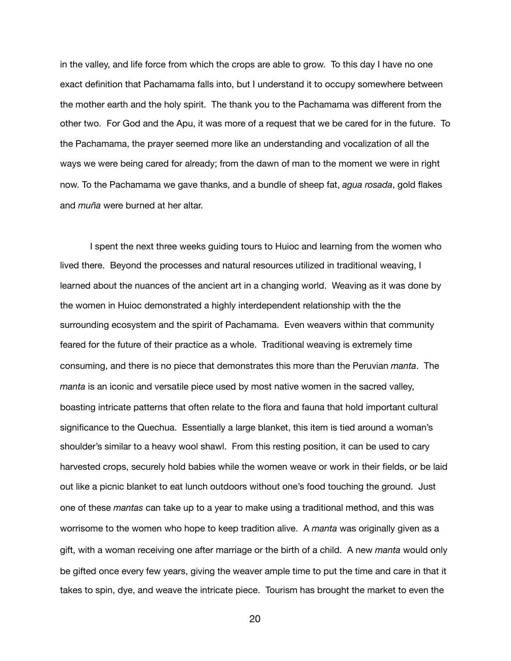in the valley, and life force from which the crops are able to grow. To this day I have no one exact definition that Pachamama falls into, but I understand it to occupy somewhere between the mother earth and the holy spirit. The thank you to the Pachamama was different from the other two. For God and the Apu, it was more of a request that we be cared for in the future. To the Pachamama, the prayer seemed more like an understanding and vocalization of all the ways we were being cared for already; from the dawn of man to the moment we were in right now. To the Pachamama we gave thanks, and a bundle of sheep fat, *agua rosada*, gold flakes and *muña* were burned at her altar.

I spent the next three weeks guiding tours to Huioc and learning from the women who lived there. Beyond the processes and natural resources utilized in traditional weaving, I learned about the nuances of the ancient art in a changing world. Weaving as it was done by the women in Huioc demonstrated a highly interdependent relationship with the the surrounding ecosystem and the spirit of Pachamama. Even weavers within that community feared for the future of their practice as a whole. Traditional weaving is extremely time consuming, and there is no piece that demonstrates this more than the Peruvian *manta*. The *manta* is an iconic and versatile piece used by most native women in the sacred valley, boasting intricate patterns that often relate to the flora and fauna that hold important cultural significance to the Quechua. Essentially a large blanket, this item is tied around a woman's shoulder's similar to a heavy wool shawl. From this resting position, it can be used to cary harvested crops, securely hold babies while the women weave or work in their fields, or be laid out like a picnic blanket to eat lunch outdoors without one's food touching the ground. Just one of these *mantas* can take up to a year to make using a traditional method, and this was worrisome to the women who hope to keep tradition alive. A *manta* was originally given as a gift, with a woman receiving one after marriage or the birth of a child. A new *manta* would only be gifted once every few years, giving the weaver ample time to put the time and care in that it takes to spin, dye, and weave the intricate piece. Tourism has brought the market to even the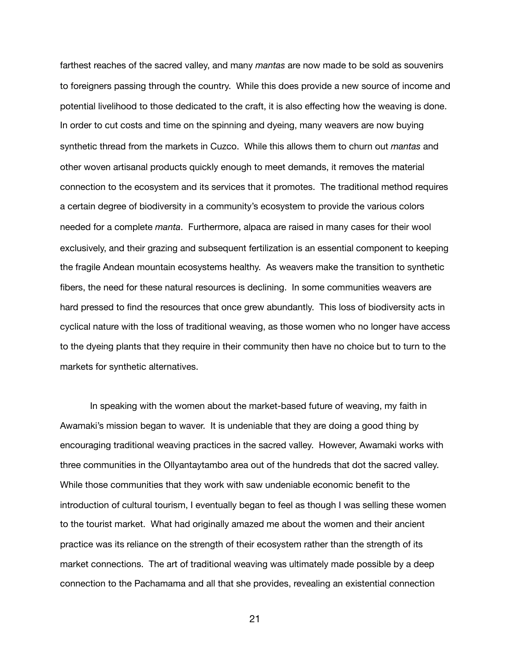farthest reaches of the sacred valley, and many *mantas* are now made to be sold as souvenirs to foreigners passing through the country. While this does provide a new source of income and potential livelihood to those dedicated to the craft, it is also effecting how the weaving is done. In order to cut costs and time on the spinning and dyeing, many weavers are now buying synthetic thread from the markets in Cuzco. While this allows them to churn out *mantas* and other woven artisanal products quickly enough to meet demands, it removes the material connection to the ecosystem and its services that it promotes. The traditional method requires a certain degree of biodiversity in a community's ecosystem to provide the various colors needed for a complete *manta*. Furthermore, alpaca are raised in many cases for their wool exclusively, and their grazing and subsequent fertilization is an essential component to keeping the fragile Andean mountain ecosystems healthy. As weavers make the transition to synthetic fibers, the need for these natural resources is declining. In some communities weavers are hard pressed to find the resources that once grew abundantly. This loss of biodiversity acts in cyclical nature with the loss of traditional weaving, as those women who no longer have access to the dyeing plants that they require in their community then have no choice but to turn to the markets for synthetic alternatives.

In speaking with the women about the market-based future of weaving, my faith in Awamaki's mission began to waver. It is undeniable that they are doing a good thing by encouraging traditional weaving practices in the sacred valley. However, Awamaki works with three communities in the Ollyantaytambo area out of the hundreds that dot the sacred valley. While those communities that they work with saw undeniable economic benefit to the introduction of cultural tourism, I eventually began to feel as though I was selling these women to the tourist market. What had originally amazed me about the women and their ancient practice was its reliance on the strength of their ecosystem rather than the strength of its market connections. The art of traditional weaving was ultimately made possible by a deep connection to the Pachamama and all that she provides, revealing an existential connection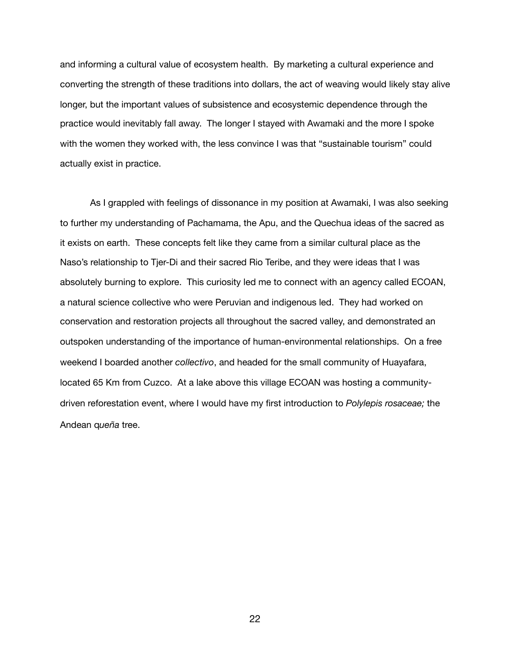and informing a cultural value of ecosystem health. By marketing a cultural experience and converting the strength of these traditions into dollars, the act of weaving would likely stay alive longer, but the important values of subsistence and ecosystemic dependence through the practice would inevitably fall away. The longer I stayed with Awamaki and the more I spoke with the women they worked with, the less convince I was that "sustainable tourism" could actually exist in practice.

As I grappled with feelings of dissonance in my position at Awamaki, I was also seeking to further my understanding of Pachamama, the Apu, and the Quechua ideas of the sacred as it exists on earth. These concepts felt like they came from a similar cultural place as the Naso's relationship to Tjer-Di and their sacred Rio Teribe, and they were ideas that I was absolutely burning to explore. This curiosity led me to connect with an agency called ECOAN, a natural science collective who were Peruvian and indigenous led. They had worked on conservation and restoration projects all throughout the sacred valley, and demonstrated an outspoken understanding of the importance of human-environmental relationships. On a free weekend I boarded another *collectivo*, and headed for the small community of Huayafara, located 65 Km from Cuzco. At a lake above this village ECOAN was hosting a communitydriven reforestation event, where I would have my first introduction to *Polylepis rosaceae;* the Andean q*ueña* tree.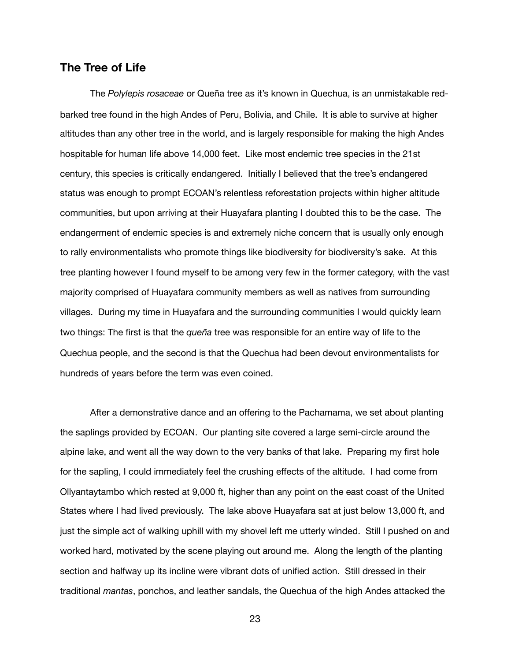#### **The Tree of Life**

The *Polylepis rosaceae* or Queña tree as it's known in Quechua, is an unmistakable redbarked tree found in the high Andes of Peru, Bolivia, and Chile. It is able to survive at higher altitudes than any other tree in the world, and is largely responsible for making the high Andes hospitable for human life above 14,000 feet. Like most endemic tree species in the 21st century, this species is critically endangered. Initially I believed that the tree's endangered status was enough to prompt ECOAN's relentless reforestation projects within higher altitude communities, but upon arriving at their Huayafara planting I doubted this to be the case. The endangerment of endemic species is and extremely niche concern that is usually only enough to rally environmentalists who promote things like biodiversity for biodiversity's sake. At this tree planting however I found myself to be among very few in the former category, with the vast majority comprised of Huayafara community members as well as natives from surrounding villages. During my time in Huayafara and the surrounding communities I would quickly learn two things: The first is that the *queña* tree was responsible for an entire way of life to the Quechua people, and the second is that the Quechua had been devout environmentalists for hundreds of years before the term was even coined.

After a demonstrative dance and an offering to the Pachamama, we set about planting the saplings provided by ECOAN. Our planting site covered a large semi-circle around the alpine lake, and went all the way down to the very banks of that lake. Preparing my first hole for the sapling, I could immediately feel the crushing effects of the altitude. I had come from Ollyantaytambo which rested at 9,000 ft, higher than any point on the east coast of the United States where I had lived previously. The lake above Huayafara sat at just below 13,000 ft, and just the simple act of walking uphill with my shovel left me utterly winded. Still I pushed on and worked hard, motivated by the scene playing out around me. Along the length of the planting section and halfway up its incline were vibrant dots of unified action. Still dressed in their traditional *mantas*, ponchos, and leather sandals, the Quechua of the high Andes attacked the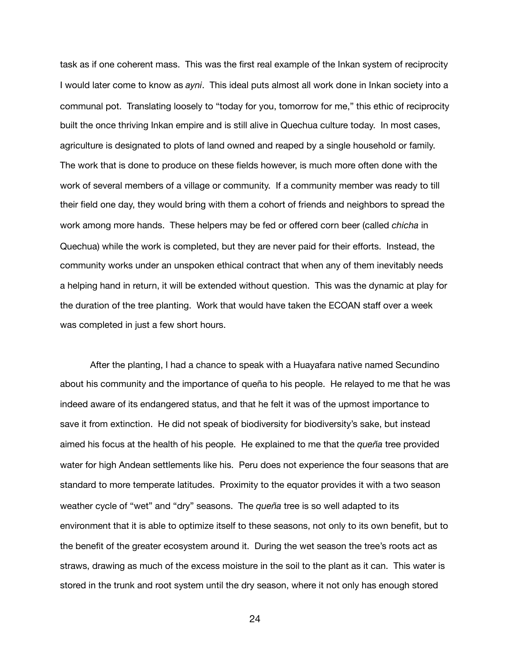task as if one coherent mass. This was the first real example of the Inkan system of reciprocity I would later come to know as *ayni*. This ideal puts almost all work done in Inkan society into a communal pot. Translating loosely to "today for you, tomorrow for me," this ethic of reciprocity built the once thriving Inkan empire and is still alive in Quechua culture today. In most cases, agriculture is designated to plots of land owned and reaped by a single household or family. The work that is done to produce on these fields however, is much more often done with the work of several members of a village or community. If a community member was ready to till their field one day, they would bring with them a cohort of friends and neighbors to spread the work among more hands. These helpers may be fed or offered corn beer (called *chicha* in Quechua) while the work is completed, but they are never paid for their efforts. Instead, the community works under an unspoken ethical contract that when any of them inevitably needs a helping hand in return, it will be extended without question. This was the dynamic at play for the duration of the tree planting. Work that would have taken the ECOAN staff over a week was completed in just a few short hours.

After the planting, I had a chance to speak with a Huayafara native named Secundino about his community and the importance of queña to his people. He relayed to me that he was indeed aware of its endangered status, and that he felt it was of the upmost importance to save it from extinction. He did not speak of biodiversity for biodiversity's sake, but instead aimed his focus at the health of his people. He explained to me that the *queña* tree provided water for high Andean settlements like his. Peru does not experience the four seasons that are standard to more temperate latitudes. Proximity to the equator provides it with a two season weather cycle of "wet" and "dry" seasons. The *queña* tree is so well adapted to its environment that it is able to optimize itself to these seasons, not only to its own benefit, but to the benefit of the greater ecosystem around it. During the wet season the tree's roots act as straws, drawing as much of the excess moisture in the soil to the plant as it can. This water is stored in the trunk and root system until the dry season, where it not only has enough stored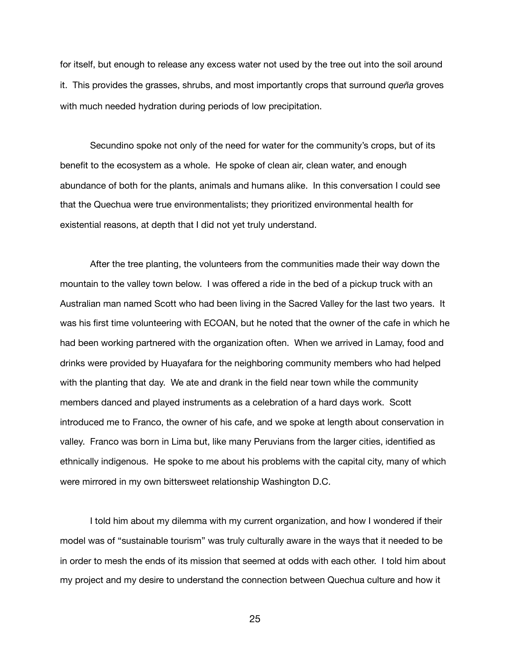for itself, but enough to release any excess water not used by the tree out into the soil around it. This provides the grasses, shrubs, and most importantly crops that surround *queña* groves with much needed hydration during periods of low precipitation.

Secundino spoke not only of the need for water for the community's crops, but of its benefit to the ecosystem as a whole. He spoke of clean air, clean water, and enough abundance of both for the plants, animals and humans alike. In this conversation I could see that the Quechua were true environmentalists; they prioritized environmental health for existential reasons, at depth that I did not yet truly understand.

After the tree planting, the volunteers from the communities made their way down the mountain to the valley town below. I was offered a ride in the bed of a pickup truck with an Australian man named Scott who had been living in the Sacred Valley for the last two years. It was his first time volunteering with ECOAN, but he noted that the owner of the cafe in which he had been working partnered with the organization often. When we arrived in Lamay, food and drinks were provided by Huayafara for the neighboring community members who had helped with the planting that day. We ate and drank in the field near town while the community members danced and played instruments as a celebration of a hard days work. Scott introduced me to Franco, the owner of his cafe, and we spoke at length about conservation in valley. Franco was born in Lima but, like many Peruvians from the larger cities, identified as ethnically indigenous. He spoke to me about his problems with the capital city, many of which were mirrored in my own bittersweet relationship Washington D.C.

I told him about my dilemma with my current organization, and how I wondered if their model was of "sustainable tourism" was truly culturally aware in the ways that it needed to be in order to mesh the ends of its mission that seemed at odds with each other. I told him about my project and my desire to understand the connection between Quechua culture and how it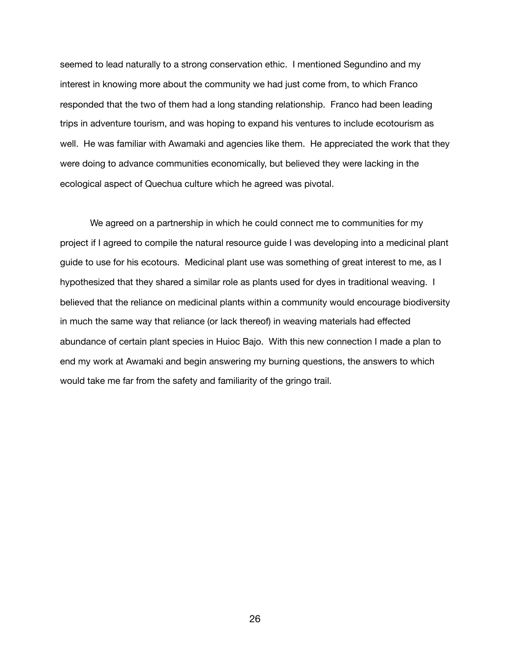seemed to lead naturally to a strong conservation ethic. I mentioned Segundino and my interest in knowing more about the community we had just come from, to which Franco responded that the two of them had a long standing relationship. Franco had been leading trips in adventure tourism, and was hoping to expand his ventures to include ecotourism as well. He was familiar with Awamaki and agencies like them. He appreciated the work that they were doing to advance communities economically, but believed they were lacking in the ecological aspect of Quechua culture which he agreed was pivotal.

We agreed on a partnership in which he could connect me to communities for my project if I agreed to compile the natural resource guide I was developing into a medicinal plant guide to use for his ecotours. Medicinal plant use was something of great interest to me, as I hypothesized that they shared a similar role as plants used for dyes in traditional weaving. I believed that the reliance on medicinal plants within a community would encourage biodiversity in much the same way that reliance (or lack thereof) in weaving materials had effected abundance of certain plant species in Huioc Bajo. With this new connection I made a plan to end my work at Awamaki and begin answering my burning questions, the answers to which would take me far from the safety and familiarity of the gringo trail.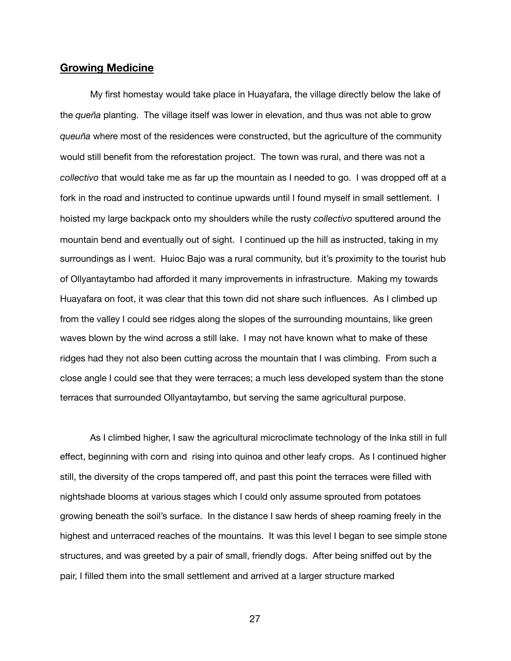#### **Growing Medicine**

My first homestay would take place in Huayafara, the village directly below the lake of the *queña* planting. The village itself was lower in elevation, and thus was not able to grow *queuña* where most of the residences were constructed, but the agriculture of the community would still benefit from the reforestation project. The town was rural, and there was not a *collectivo* that would take me as far up the mountain as I needed to go. I was dropped off at a fork in the road and instructed to continue upwards until I found myself in small settlement. I hoisted my large backpack onto my shoulders while the rusty *collectivo* sputtered around the mountain bend and eventually out of sight. I continued up the hill as instructed, taking in my surroundings as I went. Huioc Bajo was a rural community, but it's proximity to the tourist hub of Ollyantaytambo had afforded it many improvements in infrastructure. Making my towards Huayafara on foot, it was clear that this town did not share such influences. As I climbed up from the valley I could see ridges along the slopes of the surrounding mountains, like green waves blown by the wind across a still lake. I may not have known what to make of these ridges had they not also been cutting across the mountain that I was climbing. From such a close angle I could see that they were terraces; a much less developed system than the stone terraces that surrounded Ollyantaytambo, but serving the same agricultural purpose.

As I climbed higher, I saw the agricultural microclimate technology of the Inka still in full effect, beginning with corn and rising into quinoa and other leafy crops. As I continued higher still, the diversity of the crops tampered off, and past this point the terraces were filled with nightshade blooms at various stages which I could only assume sprouted from potatoes growing beneath the soil's surface. In the distance I saw herds of sheep roaming freely in the highest and unterraced reaches of the mountains. It was this level I began to see simple stone structures, and was greeted by a pair of small, friendly dogs. After being sniffed out by the pair, I filled them into the small settlement and arrived at a larger structure marked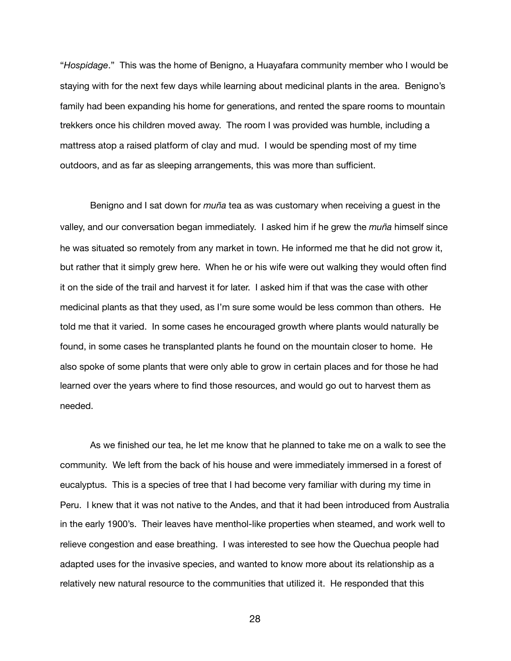"*Hospidage*." This was the home of Benigno, a Huayafara community member who I would be staying with for the next few days while learning about medicinal plants in the area. Benigno's family had been expanding his home for generations, and rented the spare rooms to mountain trekkers once his children moved away. The room I was provided was humble, including a mattress atop a raised platform of clay and mud. I would be spending most of my time outdoors, and as far as sleeping arrangements, this was more than sufficient.

Benigno and I sat down for *muña* tea as was customary when receiving a guest in the valley, and our conversation began immediately. I asked him if he grew the *muña* himself since he was situated so remotely from any market in town. He informed me that he did not grow it, but rather that it simply grew here. When he or his wife were out walking they would often find it on the side of the trail and harvest it for later. I asked him if that was the case with other medicinal plants as that they used, as I'm sure some would be less common than others. He told me that it varied. In some cases he encouraged growth where plants would naturally be found, in some cases he transplanted plants he found on the mountain closer to home. He also spoke of some plants that were only able to grow in certain places and for those he had learned over the years where to find those resources, and would go out to harvest them as needed.

As we finished our tea, he let me know that he planned to take me on a walk to see the community. We left from the back of his house and were immediately immersed in a forest of eucalyptus. This is a species of tree that I had become very familiar with during my time in Peru. I knew that it was not native to the Andes, and that it had been introduced from Australia in the early 1900's. Their leaves have menthol-like properties when steamed, and work well to relieve congestion and ease breathing. I was interested to see how the Quechua people had adapted uses for the invasive species, and wanted to know more about its relationship as a relatively new natural resource to the communities that utilized it. He responded that this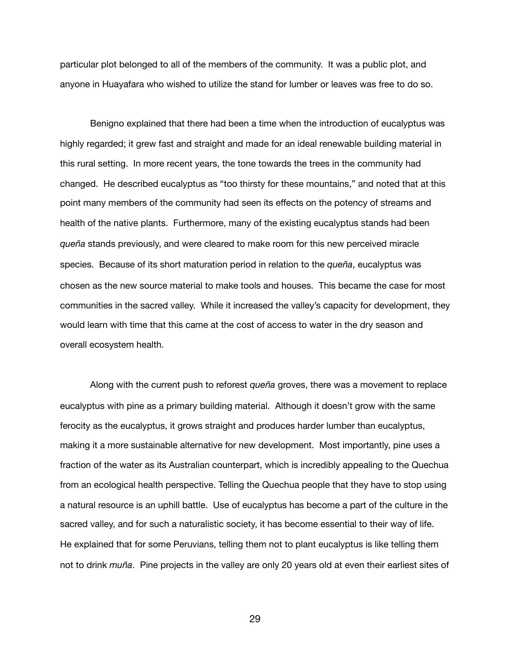particular plot belonged to all of the members of the community. It was a public plot, and anyone in Huayafara who wished to utilize the stand for lumber or leaves was free to do so.

Benigno explained that there had been a time when the introduction of eucalyptus was highly regarded; it grew fast and straight and made for an ideal renewable building material in this rural setting. In more recent years, the tone towards the trees in the community had changed. He described eucalyptus as "too thirsty for these mountains," and noted that at this point many members of the community had seen its effects on the potency of streams and health of the native plants. Furthermore, many of the existing eucalyptus stands had been *queña* stands previously, and were cleared to make room for this new perceived miracle species. Because of its short maturation period in relation to the *queña*, eucalyptus was chosen as the new source material to make tools and houses. This became the case for most communities in the sacred valley. While it increased the valley's capacity for development, they would learn with time that this came at the cost of access to water in the dry season and overall ecosystem health.

Along with the current push to reforest *queña* groves, there was a movement to replace eucalyptus with pine as a primary building material. Although it doesn't grow with the same ferocity as the eucalyptus, it grows straight and produces harder lumber than eucalyptus, making it a more sustainable alternative for new development. Most importantly, pine uses a fraction of the water as its Australian counterpart, which is incredibly appealing to the Quechua from an ecological health perspective. Telling the Quechua people that they have to stop using a natural resource is an uphill battle. Use of eucalyptus has become a part of the culture in the sacred valley, and for such a naturalistic society, it has become essential to their way of life. He explained that for some Peruvians, telling them not to plant eucalyptus is like telling them not to drink *muña*. Pine projects in the valley are only 20 years old at even their earliest sites of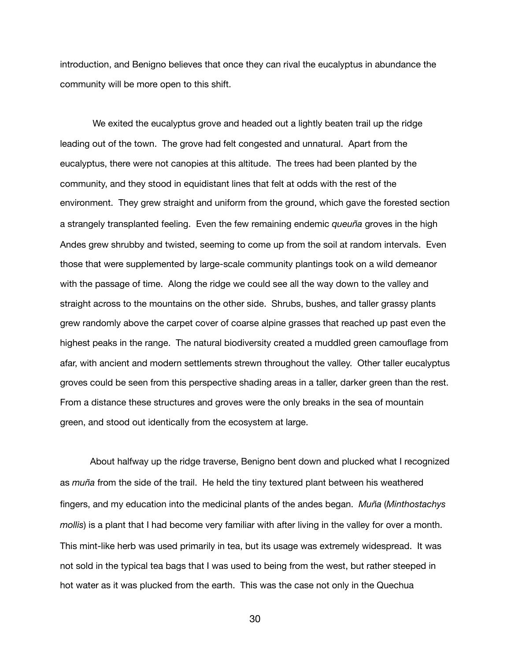introduction, and Benigno believes that once they can rival the eucalyptus in abundance the community will be more open to this shift.

 We exited the eucalyptus grove and headed out a lightly beaten trail up the ridge leading out of the town. The grove had felt congested and unnatural. Apart from the eucalyptus, there were not canopies at this altitude. The trees had been planted by the community, and they stood in equidistant lines that felt at odds with the rest of the environment. They grew straight and uniform from the ground, which gave the forested section a strangely transplanted feeling. Even the few remaining endemic *queuña* groves in the high Andes grew shrubby and twisted, seeming to come up from the soil at random intervals. Even those that were supplemented by large-scale community plantings took on a wild demeanor with the passage of time. Along the ridge we could see all the way down to the valley and straight across to the mountains on the other side. Shrubs, bushes, and taller grassy plants grew randomly above the carpet cover of coarse alpine grasses that reached up past even the highest peaks in the range. The natural biodiversity created a muddled green camouflage from afar, with ancient and modern settlements strewn throughout the valley. Other taller eucalyptus groves could be seen from this perspective shading areas in a taller, darker green than the rest. From a distance these structures and groves were the only breaks in the sea of mountain green, and stood out identically from the ecosystem at large.

About halfway up the ridge traverse, Benigno bent down and plucked what I recognized as *muña* from the side of the trail. He held the tiny textured plant between his weathered fingers, and my education into the medicinal plants of the andes began. *Muña* (*Minthostachys mollis*) is a plant that I had become very familiar with after living in the valley for over a month. This mint-like herb was used primarily in tea, but its usage was extremely widespread. It was not sold in the typical tea bags that I was used to being from the west, but rather steeped in hot water as it was plucked from the earth. This was the case not only in the Quechua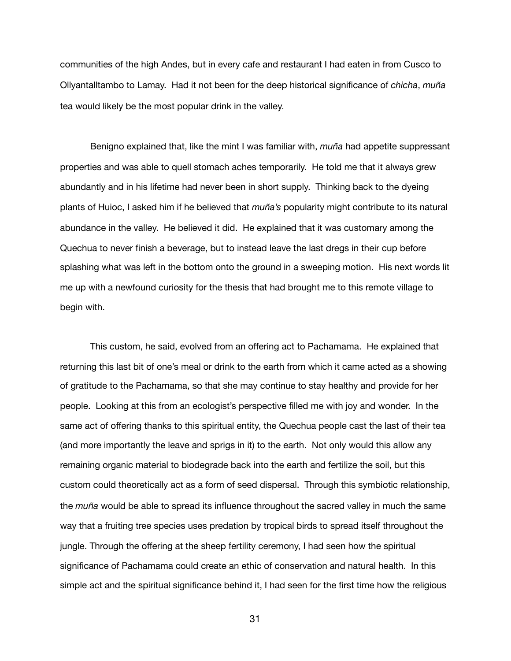communities of the high Andes, but in every cafe and restaurant I had eaten in from Cusco to Ollyantalltambo to Lamay. Had it not been for the deep historical significance of *chicha*, *muña* tea would likely be the most popular drink in the valley.

Benigno explained that, like the mint I was familiar with, *muña* had appetite suppressant properties and was able to quell stomach aches temporarily. He told me that it always grew abundantly and in his lifetime had never been in short supply. Thinking back to the dyeing plants of Huioc, I asked him if he believed that *muña's* popularity might contribute to its natural abundance in the valley. He believed it did. He explained that it was customary among the Quechua to never finish a beverage, but to instead leave the last dregs in their cup before splashing what was left in the bottom onto the ground in a sweeping motion. His next words lit me up with a newfound curiosity for the thesis that had brought me to this remote village to begin with.

This custom, he said, evolved from an offering act to Pachamama. He explained that returning this last bit of one's meal or drink to the earth from which it came acted as a showing of gratitude to the Pachamama, so that she may continue to stay healthy and provide for her people. Looking at this from an ecologist's perspective filled me with joy and wonder. In the same act of offering thanks to this spiritual entity, the Quechua people cast the last of their tea (and more importantly the leave and sprigs in it) to the earth. Not only would this allow any remaining organic material to biodegrade back into the earth and fertilize the soil, but this custom could theoretically act as a form of seed dispersal. Through this symbiotic relationship, the *muña* would be able to spread its influence throughout the sacred valley in much the same way that a fruiting tree species uses predation by tropical birds to spread itself throughout the jungle. Through the offering at the sheep fertility ceremony, I had seen how the spiritual significance of Pachamama could create an ethic of conservation and natural health. In this simple act and the spiritual significance behind it, I had seen for the first time how the religious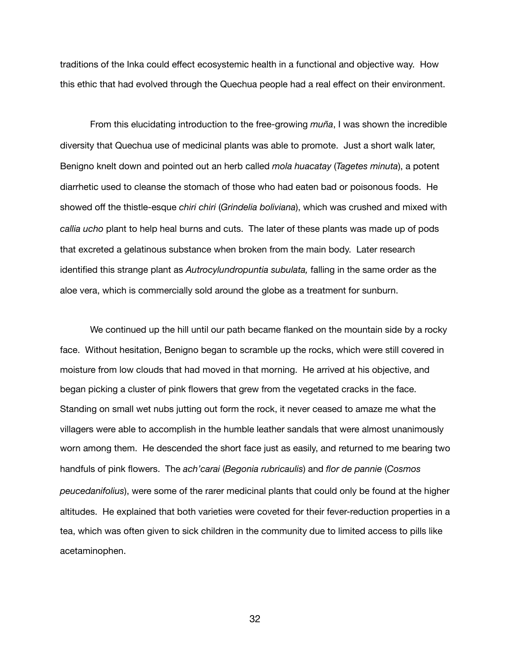traditions of the Inka could effect ecosystemic health in a functional and objective way. How this ethic that had evolved through the Quechua people had a real effect on their environment.

From this elucidating introduction to the free-growing *muña*, I was shown the incredible diversity that Quechua use of medicinal plants was able to promote. Just a short walk later, Benigno knelt down and pointed out an herb called *mola huacatay* (*Tagetes minuta*), a potent diarrhetic used to cleanse the stomach of those who had eaten bad or poisonous foods. He showed off the thistle-esque *chiri chiri* (*Grindelia boliviana*), which was crushed and mixed with *callia ucho* plant to help heal burns and cuts. The later of these plants was made up of pods that excreted a gelatinous substance when broken from the main body. Later research identified this strange plant as *Autrocylundropuntia subulata,* falling in the same order as the aloe vera, which is commercially sold around the globe as a treatment for sunburn.

We continued up the hill until our path became flanked on the mountain side by a rocky face. Without hesitation, Benigno began to scramble up the rocks, which were still covered in moisture from low clouds that had moved in that morning. He arrived at his objective, and began picking a cluster of pink flowers that grew from the vegetated cracks in the face. Standing on small wet nubs jutting out form the rock, it never ceased to amaze me what the villagers were able to accomplish in the humble leather sandals that were almost unanimously worn among them. He descended the short face just as easily, and returned to me bearing two handfuls of pink flowers. The *ach'carai* (*Begonia rubricaulis*) and *flor de pannie* (*Cosmos peucedanifolius*), were some of the rarer medicinal plants that could only be found at the higher altitudes. He explained that both varieties were coveted for their fever-reduction properties in a tea, which was often given to sick children in the community due to limited access to pills like acetaminophen.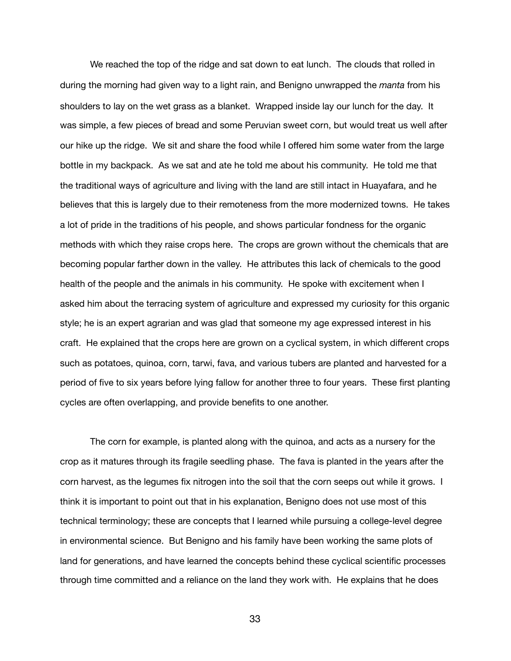We reached the top of the ridge and sat down to eat lunch. The clouds that rolled in during the morning had given way to a light rain, and Benigno unwrapped the *manta* from his shoulders to lay on the wet grass as a blanket. Wrapped inside lay our lunch for the day. It was simple, a few pieces of bread and some Peruvian sweet corn, but would treat us well after our hike up the ridge. We sit and share the food while I offered him some water from the large bottle in my backpack. As we sat and ate he told me about his community. He told me that the traditional ways of agriculture and living with the land are still intact in Huayafara, and he believes that this is largely due to their remoteness from the more modernized towns. He takes a lot of pride in the traditions of his people, and shows particular fondness for the organic methods with which they raise crops here. The crops are grown without the chemicals that are becoming popular farther down in the valley. He attributes this lack of chemicals to the good health of the people and the animals in his community. He spoke with excitement when I asked him about the terracing system of agriculture and expressed my curiosity for this organic style; he is an expert agrarian and was glad that someone my age expressed interest in his craft. He explained that the crops here are grown on a cyclical system, in which different crops such as potatoes, quinoa, corn, tarwi, fava, and various tubers are planted and harvested for a period of five to six years before lying fallow for another three to four years. These first planting cycles are often overlapping, and provide benefits to one another.

The corn for example, is planted along with the quinoa, and acts as a nursery for the crop as it matures through its fragile seedling phase. The fava is planted in the years after the corn harvest, as the legumes fix nitrogen into the soil that the corn seeps out while it grows. I think it is important to point out that in his explanation, Benigno does not use most of this technical terminology; these are concepts that I learned while pursuing a college-level degree in environmental science. But Benigno and his family have been working the same plots of land for generations, and have learned the concepts behind these cyclical scientific processes through time committed and a reliance on the land they work with. He explains that he does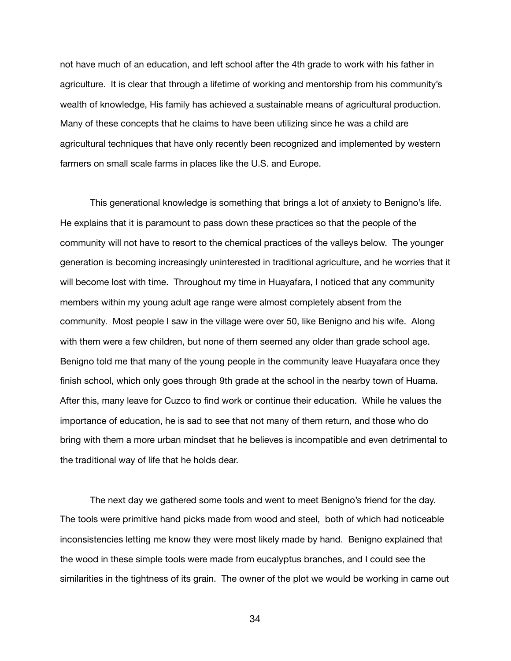not have much of an education, and left school after the 4th grade to work with his father in agriculture. It is clear that through a lifetime of working and mentorship from his community's wealth of knowledge, His family has achieved a sustainable means of agricultural production. Many of these concepts that he claims to have been utilizing since he was a child are agricultural techniques that have only recently been recognized and implemented by western farmers on small scale farms in places like the U.S. and Europe.

This generational knowledge is something that brings a lot of anxiety to Benigno's life. He explains that it is paramount to pass down these practices so that the people of the community will not have to resort to the chemical practices of the valleys below. The younger generation is becoming increasingly uninterested in traditional agriculture, and he worries that it will become lost with time. Throughout my time in Huayafara, I noticed that any community members within my young adult age range were almost completely absent from the community. Most people I saw in the village were over 50, like Benigno and his wife. Along with them were a few children, but none of them seemed any older than grade school age. Benigno told me that many of the young people in the community leave Huayafara once they finish school, which only goes through 9th grade at the school in the nearby town of Huama. After this, many leave for Cuzco to find work or continue their education. While he values the importance of education, he is sad to see that not many of them return, and those who do bring with them a more urban mindset that he believes is incompatible and even detrimental to the traditional way of life that he holds dear.

The next day we gathered some tools and went to meet Benigno's friend for the day. The tools were primitive hand picks made from wood and steel, both of which had noticeable inconsistencies letting me know they were most likely made by hand. Benigno explained that the wood in these simple tools were made from eucalyptus branches, and I could see the similarities in the tightness of its grain. The owner of the plot we would be working in came out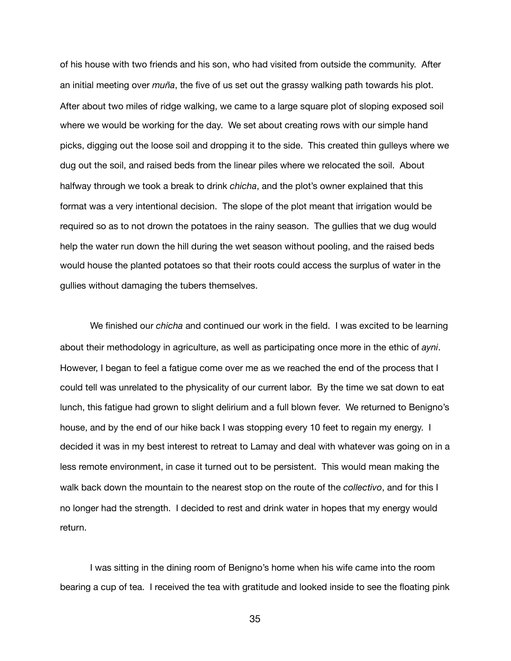of his house with two friends and his son, who had visited from outside the community. After an initial meeting over *muña*, the five of us set out the grassy walking path towards his plot. After about two miles of ridge walking, we came to a large square plot of sloping exposed soil where we would be working for the day. We set about creating rows with our simple hand picks, digging out the loose soil and dropping it to the side. This created thin gulleys where we dug out the soil, and raised beds from the linear piles where we relocated the soil. About halfway through we took a break to drink *chicha*, and the plot's owner explained that this format was a very intentional decision. The slope of the plot meant that irrigation would be required so as to not drown the potatoes in the rainy season. The gullies that we dug would help the water run down the hill during the wet season without pooling, and the raised beds would house the planted potatoes so that their roots could access the surplus of water in the gullies without damaging the tubers themselves.

We finished our *chicha* and continued our work in the field. I was excited to be learning about their methodology in agriculture, as well as participating once more in the ethic of *ayni*. However, I began to feel a fatigue come over me as we reached the end of the process that I could tell was unrelated to the physicality of our current labor. By the time we sat down to eat lunch, this fatigue had grown to slight delirium and a full blown fever. We returned to Benigno's house, and by the end of our hike back I was stopping every 10 feet to regain my energy. I decided it was in my best interest to retreat to Lamay and deal with whatever was going on in a less remote environment, in case it turned out to be persistent. This would mean making the walk back down the mountain to the nearest stop on the route of the *collectivo*, and for this I no longer had the strength. I decided to rest and drink water in hopes that my energy would return.

I was sitting in the dining room of Benigno's home when his wife came into the room bearing a cup of tea. I received the tea with gratitude and looked inside to see the floating pink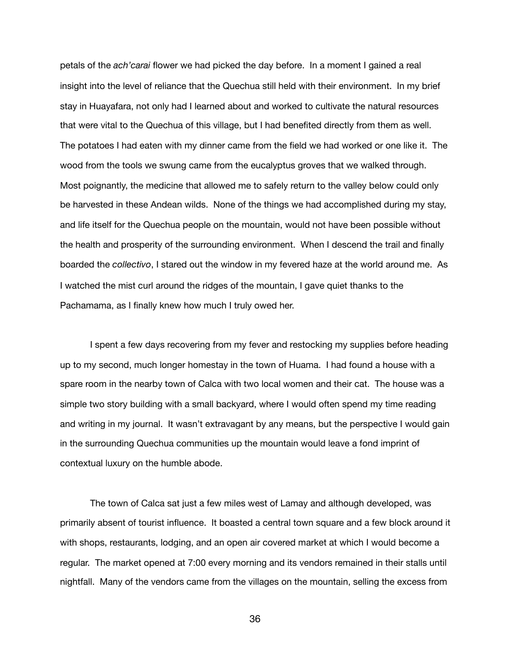petals of the *ach'carai* flower we had picked the day before. In a moment I gained a real insight into the level of reliance that the Quechua still held with their environment. In my brief stay in Huayafara, not only had I learned about and worked to cultivate the natural resources that were vital to the Quechua of this village, but I had benefited directly from them as well. The potatoes I had eaten with my dinner came from the field we had worked or one like it. The wood from the tools we swung came from the eucalyptus groves that we walked through. Most poignantly, the medicine that allowed me to safely return to the valley below could only be harvested in these Andean wilds. None of the things we had accomplished during my stay, and life itself for the Quechua people on the mountain, would not have been possible without the health and prosperity of the surrounding environment. When I descend the trail and finally boarded the *collectivo*, I stared out the window in my fevered haze at the world around me. As I watched the mist curl around the ridges of the mountain, I gave quiet thanks to the Pachamama, as I finally knew how much I truly owed her.

I spent a few days recovering from my fever and restocking my supplies before heading up to my second, much longer homestay in the town of Huama. I had found a house with a spare room in the nearby town of Calca with two local women and their cat. The house was a simple two story building with a small backyard, where I would often spend my time reading and writing in my journal. It wasn't extravagant by any means, but the perspective I would gain in the surrounding Quechua communities up the mountain would leave a fond imprint of contextual luxury on the humble abode.

The town of Calca sat just a few miles west of Lamay and although developed, was primarily absent of tourist influence. It boasted a central town square and a few block around it with shops, restaurants, lodging, and an open air covered market at which I would become a regular. The market opened at 7:00 every morning and its vendors remained in their stalls until nightfall. Many of the vendors came from the villages on the mountain, selling the excess from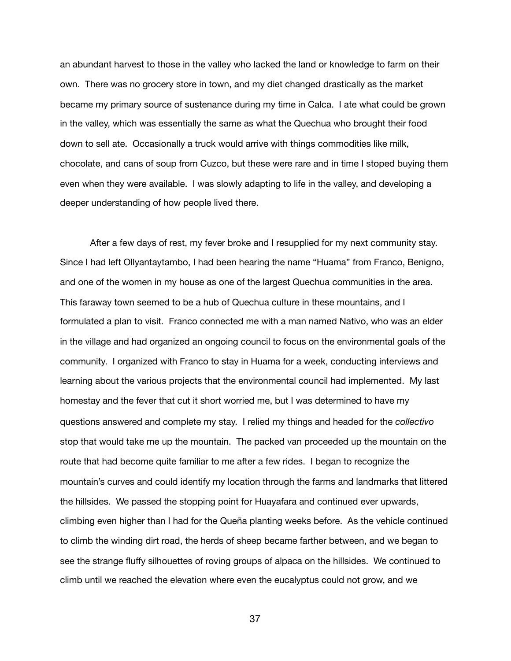an abundant harvest to those in the valley who lacked the land or knowledge to farm on their own. There was no grocery store in town, and my diet changed drastically as the market became my primary source of sustenance during my time in Calca. I ate what could be grown in the valley, which was essentially the same as what the Quechua who brought their food down to sell ate. Occasionally a truck would arrive with things commodities like milk, chocolate, and cans of soup from Cuzco, but these were rare and in time I stoped buying them even when they were available. I was slowly adapting to life in the valley, and developing a deeper understanding of how people lived there.

After a few days of rest, my fever broke and I resupplied for my next community stay. Since I had left Ollyantaytambo, I had been hearing the name "Huama" from Franco, Benigno, and one of the women in my house as one of the largest Quechua communities in the area. This faraway town seemed to be a hub of Quechua culture in these mountains, and I formulated a plan to visit. Franco connected me with a man named Nativo, who was an elder in the village and had organized an ongoing council to focus on the environmental goals of the community. I organized with Franco to stay in Huama for a week, conducting interviews and learning about the various projects that the environmental council had implemented. My last homestay and the fever that cut it short worried me, but I was determined to have my questions answered and complete my stay. I relied my things and headed for the *collectivo* stop that would take me up the mountain. The packed van proceeded up the mountain on the route that had become quite familiar to me after a few rides. I began to recognize the mountain's curves and could identify my location through the farms and landmarks that littered the hillsides. We passed the stopping point for Huayafara and continued ever upwards, climbing even higher than I had for the Queña planting weeks before. As the vehicle continued to climb the winding dirt road, the herds of sheep became farther between, and we began to see the strange fluffy silhouettes of roving groups of alpaca on the hillsides. We continued to climb until we reached the elevation where even the eucalyptus could not grow, and we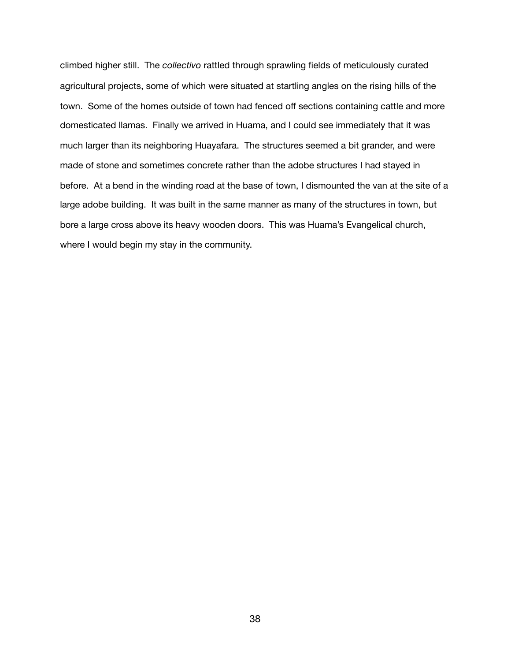climbed higher still. The *collectivo* rattled through sprawling fields of meticulously curated agricultural projects, some of which were situated at startling angles on the rising hills of the town. Some of the homes outside of town had fenced off sections containing cattle and more domesticated llamas. Finally we arrived in Huama, and I could see immediately that it was much larger than its neighboring Huayafara. The structures seemed a bit grander, and were made of stone and sometimes concrete rather than the adobe structures I had stayed in before. At a bend in the winding road at the base of town, I dismounted the van at the site of a large adobe building. It was built in the same manner as many of the structures in town, but bore a large cross above its heavy wooden doors. This was Huama's Evangelical church, where I would begin my stay in the community.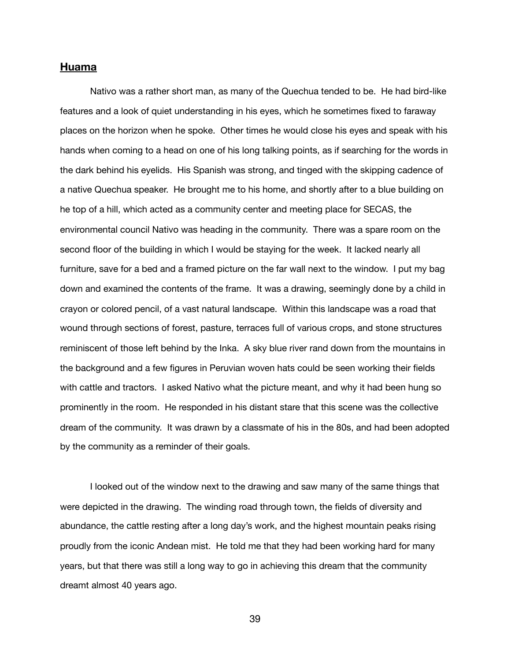#### **Huama**

Nativo was a rather short man, as many of the Quechua tended to be. He had bird-like features and a look of quiet understanding in his eyes, which he sometimes fixed to faraway places on the horizon when he spoke. Other times he would close his eyes and speak with his hands when coming to a head on one of his long talking points, as if searching for the words in the dark behind his eyelids. His Spanish was strong, and tinged with the skipping cadence of a native Quechua speaker. He brought me to his home, and shortly after to a blue building on he top of a hill, which acted as a community center and meeting place for SECAS, the environmental council Nativo was heading in the community. There was a spare room on the second floor of the building in which I would be staying for the week. It lacked nearly all furniture, save for a bed and a framed picture on the far wall next to the window. I put my bag down and examined the contents of the frame. It was a drawing, seemingly done by a child in crayon or colored pencil, of a vast natural landscape. Within this landscape was a road that wound through sections of forest, pasture, terraces full of various crops, and stone structures reminiscent of those left behind by the Inka. A sky blue river rand down from the mountains in the background and a few figures in Peruvian woven hats could be seen working their fields with cattle and tractors. I asked Nativo what the picture meant, and why it had been hung so prominently in the room. He responded in his distant stare that this scene was the collective dream of the community. It was drawn by a classmate of his in the 80s, and had been adopted by the community as a reminder of their goals.

I looked out of the window next to the drawing and saw many of the same things that were depicted in the drawing. The winding road through town, the fields of diversity and abundance, the cattle resting after a long day's work, and the highest mountain peaks rising proudly from the iconic Andean mist. He told me that they had been working hard for many years, but that there was still a long way to go in achieving this dream that the community dreamt almost 40 years ago.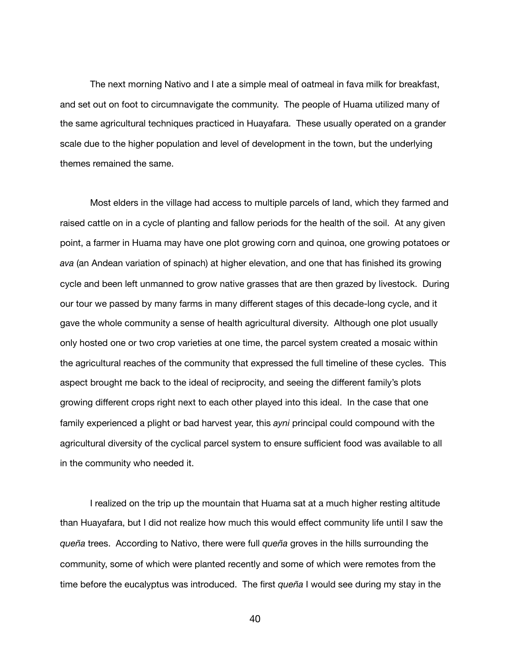The next morning Nativo and I ate a simple meal of oatmeal in fava milk for breakfast, and set out on foot to circumnavigate the community. The people of Huama utilized many of the same agricultural techniques practiced in Huayafara. These usually operated on a grander scale due to the higher population and level of development in the town, but the underlying themes remained the same.

Most elders in the village had access to multiple parcels of land, which they farmed and raised cattle on in a cycle of planting and fallow periods for the health of the soil. At any given point, a farmer in Huama may have one plot growing corn and quinoa, one growing potatoes or *ava* (an Andean variation of spinach) at higher elevation, and one that has finished its growing cycle and been left unmanned to grow native grasses that are then grazed by livestock. During our tour we passed by many farms in many different stages of this decade-long cycle, and it gave the whole community a sense of health agricultural diversity. Although one plot usually only hosted one or two crop varieties at one time, the parcel system created a mosaic within the agricultural reaches of the community that expressed the full timeline of these cycles. This aspect brought me back to the ideal of reciprocity, and seeing the different family's plots growing different crops right next to each other played into this ideal. In the case that one family experienced a plight or bad harvest year, this *ayni* principal could compound with the agricultural diversity of the cyclical parcel system to ensure sufficient food was available to all in the community who needed it.

I realized on the trip up the mountain that Huama sat at a much higher resting altitude than Huayafara, but I did not realize how much this would effect community life until I saw the *queña* trees. According to Nativo, there were full *queña* groves in the hills surrounding the community, some of which were planted recently and some of which were remotes from the time before the eucalyptus was introduced. The first *queña* I would see during my stay in the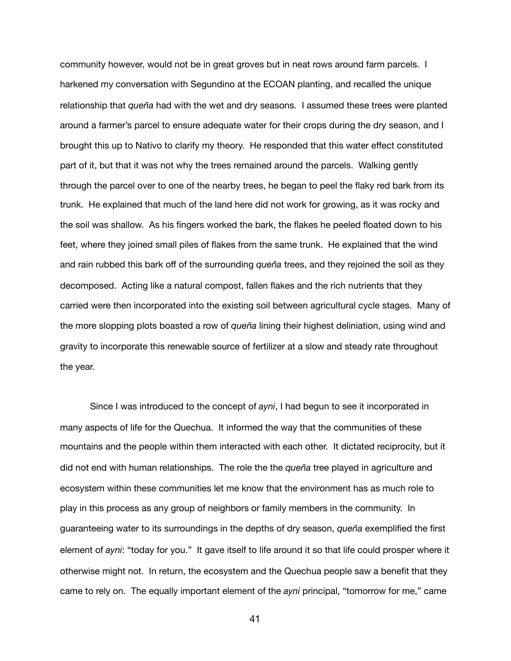community however, would not be in great groves but in neat rows around farm parcels. I harkened my conversation with Segundino at the ECOAN planting, and recalled the unique relationship that *queña* had with the wet and dry seasons. I assumed these trees were planted around a farmer's parcel to ensure adequate water for their crops during the dry season, and I brought this up to Nativo to clarify my theory. He responded that this water effect constituted part of it, but that it was not why the trees remained around the parcels. Walking gently through the parcel over to one of the nearby trees, he began to peel the flaky red bark from its trunk. He explained that much of the land here did not work for growing, as it was rocky and the soil was shallow. As his fingers worked the bark, the flakes he peeled floated down to his feet, where they joined small piles of flakes from the same trunk. He explained that the wind and rain rubbed this bark off of the surrounding *queña* trees, and they rejoined the soil as they decomposed. Acting like a natural compost, fallen flakes and the rich nutrients that they carried were then incorporated into the existing soil between agricultural cycle stages. Many of the more slopping plots boasted a row of *queña* lining their highest deliniation, using wind and gravity to incorporate this renewable source of fertilizer at a slow and steady rate throughout the year.

Since I was introduced to the concept of *ayni*, I had begun to see it incorporated in many aspects of life for the Quechua. It informed the way that the communities of these mountains and the people within them interacted with each other. It dictated reciprocity, but it did not end with human relationships. The role the the *queña* tree played in agriculture and ecosystem within these communities let me know that the environment has as much role to play in this process as any group of neighbors or family members in the community. In guaranteeing water to its surroundings in the depths of dry season, *queña* exemplified the first element of *ayni*: "today for you." It gave itself to life around it so that life could prosper where it otherwise might not. In return, the ecosystem and the Quechua people saw a benefit that they came to rely on. The equally important element of the *ayni* principal, "tomorrow for me," came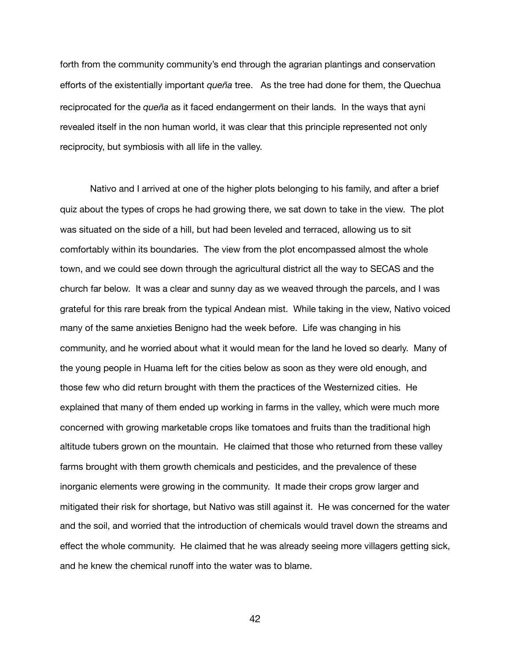forth from the community community's end through the agrarian plantings and conservation efforts of the existentially important *queña* tree. As the tree had done for them, the Quechua reciprocated for the *queña* as it faced endangerment on their lands. In the ways that ayni revealed itself in the non human world, it was clear that this principle represented not only reciprocity, but symbiosis with all life in the valley.

Nativo and I arrived at one of the higher plots belonging to his family, and after a brief quiz about the types of crops he had growing there, we sat down to take in the view. The plot was situated on the side of a hill, but had been leveled and terraced, allowing us to sit comfortably within its boundaries. The view from the plot encompassed almost the whole town, and we could see down through the agricultural district all the way to SECAS and the church far below. It was a clear and sunny day as we weaved through the parcels, and I was grateful for this rare break from the typical Andean mist. While taking in the view, Nativo voiced many of the same anxieties Benigno had the week before. Life was changing in his community, and he worried about what it would mean for the land he loved so dearly. Many of the young people in Huama left for the cities below as soon as they were old enough, and those few who did return brought with them the practices of the Westernized cities. He explained that many of them ended up working in farms in the valley, which were much more concerned with growing marketable crops like tomatoes and fruits than the traditional high altitude tubers grown on the mountain. He claimed that those who returned from these valley farms brought with them growth chemicals and pesticides, and the prevalence of these inorganic elements were growing in the community. It made their crops grow larger and mitigated their risk for shortage, but Nativo was still against it. He was concerned for the water and the soil, and worried that the introduction of chemicals would travel down the streams and effect the whole community. He claimed that he was already seeing more villagers getting sick, and he knew the chemical runoff into the water was to blame.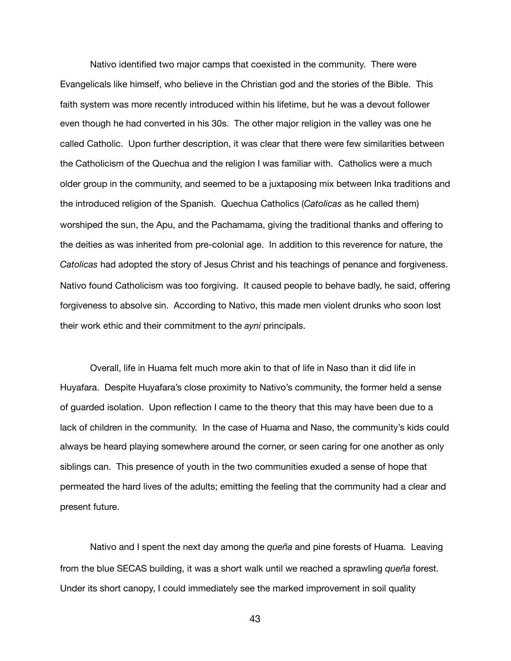Nativo identified two major camps that coexisted in the community. There were Evangelicals like himself, who believe in the Christian god and the stories of the Bible. This faith system was more recently introduced within his lifetime, but he was a devout follower even though he had converted in his 30s. The other major religion in the valley was one he called Catholic. Upon further description, it was clear that there were few similarities between the Catholicism of the Quechua and the religion I was familiar with. Catholics were a much older group in the community, and seemed to be a juxtaposing mix between Inka traditions and the introduced religion of the Spanish. Quechua Catholics (*Catolicas* as he called them) worshiped the sun, the Apu, and the Pachamama, giving the traditional thanks and offering to the deities as was inherited from pre-colonial age. In addition to this reverence for nature, the *Catolicas* had adopted the story of Jesus Christ and his teachings of penance and forgiveness. Nativo found Catholicism was too forgiving. It caused people to behave badly, he said, offering forgiveness to absolve sin. According to Nativo, this made men violent drunks who soon lost their work ethic and their commitment to the *ayni* principals.

Overall, life in Huama felt much more akin to that of life in Naso than it did life in Huyafara. Despite Huyafara's close proximity to Nativo's community, the former held a sense of guarded isolation. Upon reflection I came to the theory that this may have been due to a lack of children in the community. In the case of Huama and Naso, the community's kids could always be heard playing somewhere around the corner, or seen caring for one another as only siblings can. This presence of youth in the two communities exuded a sense of hope that permeated the hard lives of the adults; emitting the feeling that the community had a clear and present future.

Nativo and I spent the next day among the *queña* and pine forests of Huama. Leaving from the blue SECAS building, it was a short walk until we reached a sprawling *queña* forest. Under its short canopy, I could immediately see the marked improvement in soil quality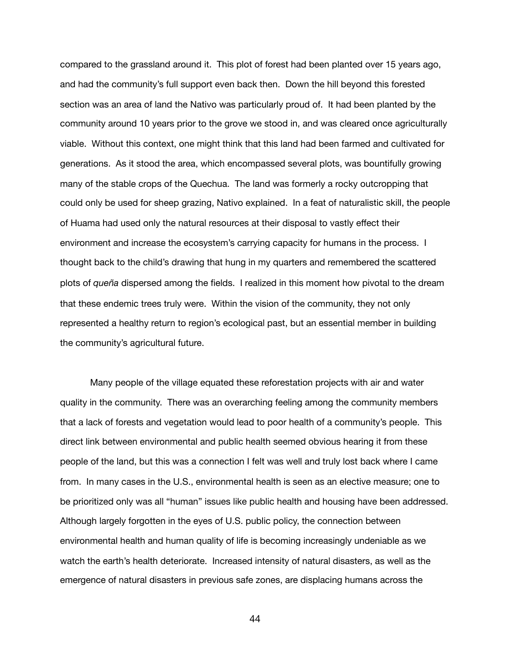compared to the grassland around it. This plot of forest had been planted over 15 years ago, and had the community's full support even back then. Down the hill beyond this forested section was an area of land the Nativo was particularly proud of. It had been planted by the community around 10 years prior to the grove we stood in, and was cleared once agriculturally viable. Without this context, one might think that this land had been farmed and cultivated for generations. As it stood the area, which encompassed several plots, was bountifully growing many of the stable crops of the Quechua. The land was formerly a rocky outcropping that could only be used for sheep grazing, Nativo explained. In a feat of naturalistic skill, the people of Huama had used only the natural resources at their disposal to vastly effect their environment and increase the ecosystem's carrying capacity for humans in the process. I thought back to the child's drawing that hung in my quarters and remembered the scattered plots of *queña* dispersed among the fields. I realized in this moment how pivotal to the dream that these endemic trees truly were. Within the vision of the community, they not only represented a healthy return to region's ecological past, but an essential member in building the community's agricultural future.

Many people of the village equated these reforestation projects with air and water quality in the community. There was an overarching feeling among the community members that a lack of forests and vegetation would lead to poor health of a community's people. This direct link between environmental and public health seemed obvious hearing it from these people of the land, but this was a connection I felt was well and truly lost back where I came from. In many cases in the U.S., environmental health is seen as an elective measure; one to be prioritized only was all "human" issues like public health and housing have been addressed. Although largely forgotten in the eyes of U.S. public policy, the connection between environmental health and human quality of life is becoming increasingly undeniable as we watch the earth's health deteriorate. Increased intensity of natural disasters, as well as the emergence of natural disasters in previous safe zones, are displacing humans across the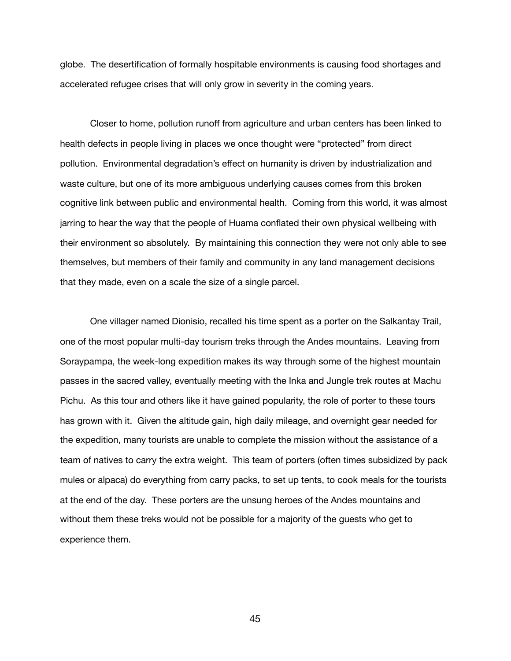globe. The desertification of formally hospitable environments is causing food shortages and accelerated refugee crises that will only grow in severity in the coming years.

Closer to home, pollution runoff from agriculture and urban centers has been linked to health defects in people living in places we once thought were "protected" from direct pollution. Environmental degradation's effect on humanity is driven by industrialization and waste culture, but one of its more ambiguous underlying causes comes from this broken cognitive link between public and environmental health. Coming from this world, it was almost jarring to hear the way that the people of Huama conflated their own physical wellbeing with their environment so absolutely. By maintaining this connection they were not only able to see themselves, but members of their family and community in any land management decisions that they made, even on a scale the size of a single parcel.

One villager named Dionisio, recalled his time spent as a porter on the Salkantay Trail, one of the most popular multi-day tourism treks through the Andes mountains. Leaving from Soraypampa, the week-long expedition makes its way through some of the highest mountain passes in the sacred valley, eventually meeting with the Inka and Jungle trek routes at Machu Pichu. As this tour and others like it have gained popularity, the role of porter to these tours has grown with it. Given the altitude gain, high daily mileage, and overnight gear needed for the expedition, many tourists are unable to complete the mission without the assistance of a team of natives to carry the extra weight. This team of porters (often times subsidized by pack mules or alpaca) do everything from carry packs, to set up tents, to cook meals for the tourists at the end of the day. These porters are the unsung heroes of the Andes mountains and without them these treks would not be possible for a majority of the guests who get to experience them.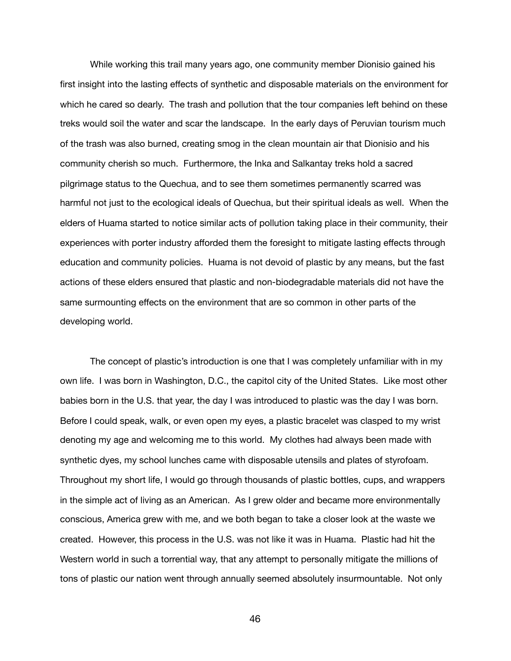While working this trail many years ago, one community member Dionisio gained his first insight into the lasting effects of synthetic and disposable materials on the environment for which he cared so dearly. The trash and pollution that the tour companies left behind on these treks would soil the water and scar the landscape. In the early days of Peruvian tourism much of the trash was also burned, creating smog in the clean mountain air that Dionisio and his community cherish so much. Furthermore, the Inka and Salkantay treks hold a sacred pilgrimage status to the Quechua, and to see them sometimes permanently scarred was harmful not just to the ecological ideals of Quechua, but their spiritual ideals as well. When the elders of Huama started to notice similar acts of pollution taking place in their community, their experiences with porter industry afforded them the foresight to mitigate lasting effects through education and community policies. Huama is not devoid of plastic by any means, but the fast actions of these elders ensured that plastic and non-biodegradable materials did not have the same surmounting effects on the environment that are so common in other parts of the developing world.

The concept of plastic's introduction is one that I was completely unfamiliar with in my own life. I was born in Washington, D.C., the capitol city of the United States. Like most other babies born in the U.S. that year, the day I was introduced to plastic was the day I was born. Before I could speak, walk, or even open my eyes, a plastic bracelet was clasped to my wrist denoting my age and welcoming me to this world. My clothes had always been made with synthetic dyes, my school lunches came with disposable utensils and plates of styrofoam. Throughout my short life, I would go through thousands of plastic bottles, cups, and wrappers in the simple act of living as an American. As I grew older and became more environmentally conscious, America grew with me, and we both began to take a closer look at the waste we created. However, this process in the U.S. was not like it was in Huama. Plastic had hit the Western world in such a torrential way, that any attempt to personally mitigate the millions of tons of plastic our nation went through annually seemed absolutely insurmountable. Not only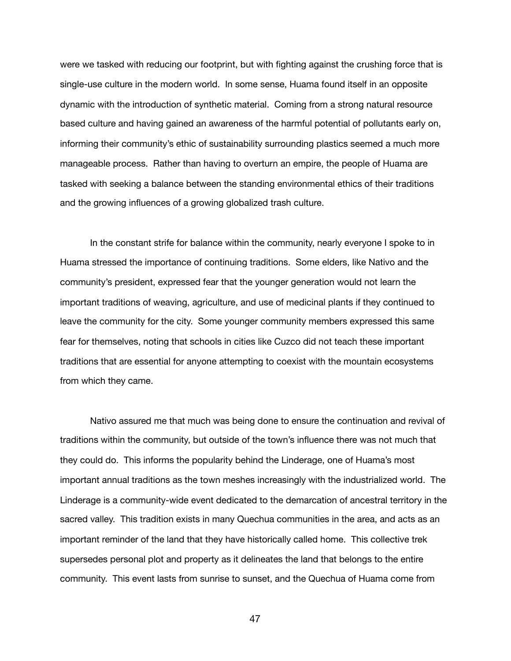were we tasked with reducing our footprint, but with fighting against the crushing force that is single-use culture in the modern world. In some sense, Huama found itself in an opposite dynamic with the introduction of synthetic material. Coming from a strong natural resource based culture and having gained an awareness of the harmful potential of pollutants early on, informing their community's ethic of sustainability surrounding plastics seemed a much more manageable process. Rather than having to overturn an empire, the people of Huama are tasked with seeking a balance between the standing environmental ethics of their traditions and the growing influences of a growing globalized trash culture.

In the constant strife for balance within the community, nearly everyone I spoke to in Huama stressed the importance of continuing traditions. Some elders, like Nativo and the community's president, expressed fear that the younger generation would not learn the important traditions of weaving, agriculture, and use of medicinal plants if they continued to leave the community for the city. Some younger community members expressed this same fear for themselves, noting that schools in cities like Cuzco did not teach these important traditions that are essential for anyone attempting to coexist with the mountain ecosystems from which they came.

Nativo assured me that much was being done to ensure the continuation and revival of traditions within the community, but outside of the town's influence there was not much that they could do. This informs the popularity behind the Linderage, one of Huama's most important annual traditions as the town meshes increasingly with the industrialized world. The Linderage is a community-wide event dedicated to the demarcation of ancestral territory in the sacred valley. This tradition exists in many Quechua communities in the area, and acts as an important reminder of the land that they have historically called home. This collective trek supersedes personal plot and property as it delineates the land that belongs to the entire community. This event lasts from sunrise to sunset, and the Quechua of Huama come from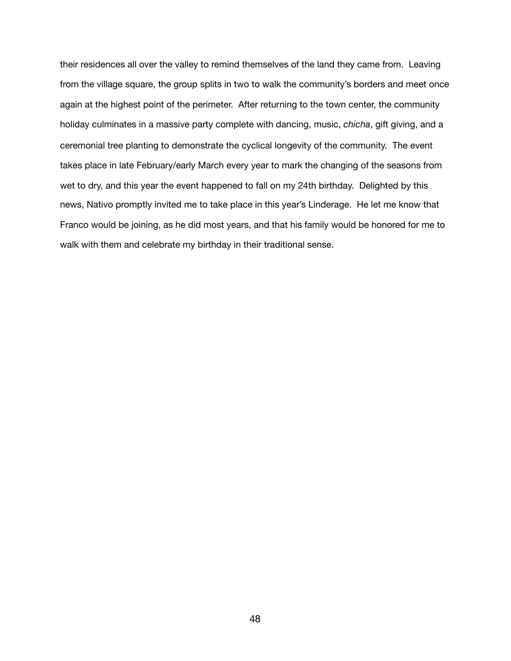their residences all over the valley to remind themselves of the land they came from. Leaving from the village square, the group splits in two to walk the community's borders and meet once again at the highest point of the perimeter. After returning to the town center, the community holiday culminates in a massive party complete with dancing, music, *chicha*, gift giving, and a ceremonial tree planting to demonstrate the cyclical longevity of the community. The event takes place in late February/early March every year to mark the changing of the seasons from wet to dry, and this year the event happened to fall on my 24th birthday. Delighted by this news, Nativo promptly invited me to take place in this year's Linderage. He let me know that Franco would be joining, as he did most years, and that his family would be honored for me to walk with them and celebrate my birthday in their traditional sense.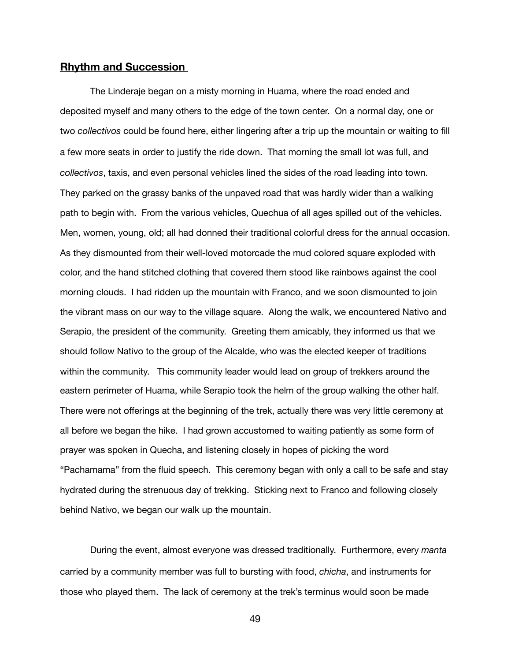# **Rhythm and Succession**

The Linderaje began on a misty morning in Huama, where the road ended and deposited myself and many others to the edge of the town center. On a normal day, one or two *collectivos* could be found here, either lingering after a trip up the mountain or waiting to fill a few more seats in order to justify the ride down. That morning the small lot was full, and *collectivos*, taxis, and even personal vehicles lined the sides of the road leading into town. They parked on the grassy banks of the unpaved road that was hardly wider than a walking path to begin with. From the various vehicles, Quechua of all ages spilled out of the vehicles. Men, women, young, old; all had donned their traditional colorful dress for the annual occasion. As they dismounted from their well-loved motorcade the mud colored square exploded with color, and the hand stitched clothing that covered them stood like rainbows against the cool morning clouds. I had ridden up the mountain with Franco, and we soon dismounted to join the vibrant mass on our way to the village square. Along the walk, we encountered Nativo and Serapio, the president of the community. Greeting them amicably, they informed us that we should follow Nativo to the group of the Alcalde, who was the elected keeper of traditions within the community. This community leader would lead on group of trekkers around the eastern perimeter of Huama, while Serapio took the helm of the group walking the other half. There were not offerings at the beginning of the trek, actually there was very little ceremony at all before we began the hike. I had grown accustomed to waiting patiently as some form of prayer was spoken in Quecha, and listening closely in hopes of picking the word "Pachamama" from the fluid speech. This ceremony began with only a call to be safe and stay hydrated during the strenuous day of trekking. Sticking next to Franco and following closely behind Nativo, we began our walk up the mountain.

During the event, almost everyone was dressed traditionally. Furthermore, every *manta* carried by a community member was full to bursting with food, *chicha*, and instruments for those who played them. The lack of ceremony at the trek's terminus would soon be made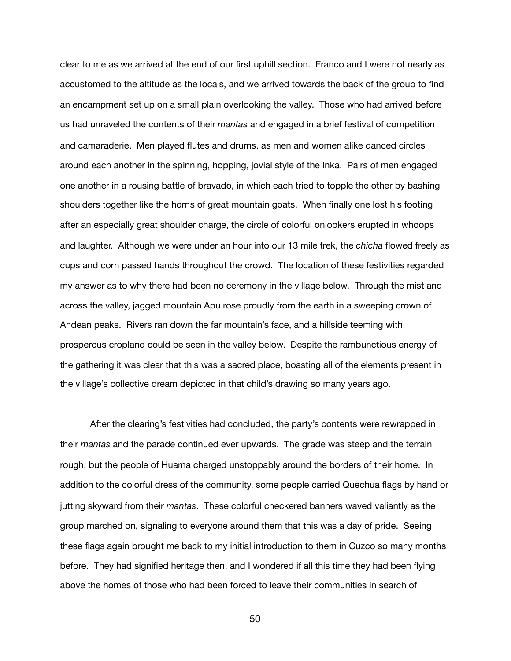clear to me as we arrived at the end of our first uphill section. Franco and I were not nearly as accustomed to the altitude as the locals, and we arrived towards the back of the group to find an encampment set up on a small plain overlooking the valley. Those who had arrived before us had unraveled the contents of their *mantas* and engaged in a brief festival of competition and camaraderie. Men played flutes and drums, as men and women alike danced circles around each another in the spinning, hopping, jovial style of the Inka. Pairs of men engaged one another in a rousing battle of bravado, in which each tried to topple the other by bashing shoulders together like the horns of great mountain goats. When finally one lost his footing after an especially great shoulder charge, the circle of colorful onlookers erupted in whoops and laughter. Although we were under an hour into our 13 mile trek, the *chicha* flowed freely as cups and corn passed hands throughout the crowd. The location of these festivities regarded my answer as to why there had been no ceremony in the village below. Through the mist and across the valley, jagged mountain Apu rose proudly from the earth in a sweeping crown of Andean peaks. Rivers ran down the far mountain's face, and a hillside teeming with prosperous cropland could be seen in the valley below. Despite the rambunctious energy of the gathering it was clear that this was a sacred place, boasting all of the elements present in the village's collective dream depicted in that child's drawing so many years ago.

After the clearing's festivities had concluded, the party's contents were rewrapped in their *mantas* and the parade continued ever upwards. The grade was steep and the terrain rough, but the people of Huama charged unstoppably around the borders of their home. In addition to the colorful dress of the community, some people carried Quechua flags by hand or jutting skyward from their *mantas*. These colorful checkered banners waved valiantly as the group marched on, signaling to everyone around them that this was a day of pride. Seeing these flags again brought me back to my initial introduction to them in Cuzco so many months before. They had signified heritage then, and I wondered if all this time they had been flying above the homes of those who had been forced to leave their communities in search of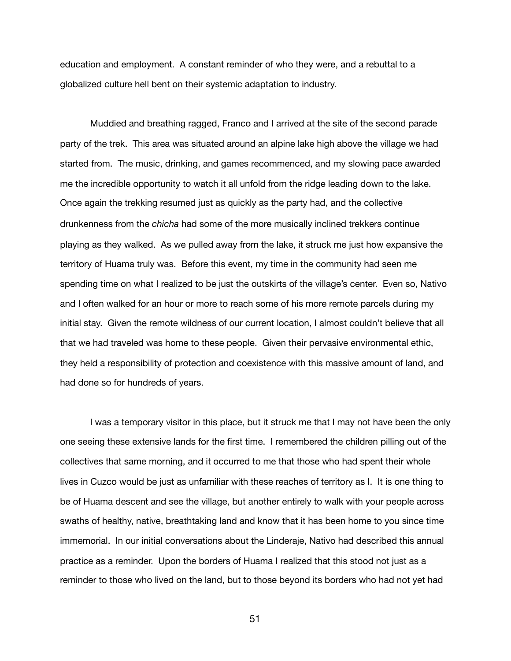education and employment. A constant reminder of who they were, and a rebuttal to a globalized culture hell bent on their systemic adaptation to industry.

Muddied and breathing ragged, Franco and I arrived at the site of the second parade party of the trek. This area was situated around an alpine lake high above the village we had started from. The music, drinking, and games recommenced, and my slowing pace awarded me the incredible opportunity to watch it all unfold from the ridge leading down to the lake. Once again the trekking resumed just as quickly as the party had, and the collective drunkenness from the *chicha* had some of the more musically inclined trekkers continue playing as they walked. As we pulled away from the lake, it struck me just how expansive the territory of Huama truly was. Before this event, my time in the community had seen me spending time on what I realized to be just the outskirts of the village's center. Even so, Nativo and I often walked for an hour or more to reach some of his more remote parcels during my initial stay. Given the remote wildness of our current location, I almost couldn't believe that all that we had traveled was home to these people. Given their pervasive environmental ethic, they held a responsibility of protection and coexistence with this massive amount of land, and had done so for hundreds of years.

I was a temporary visitor in this place, but it struck me that I may not have been the only one seeing these extensive lands for the first time. I remembered the children pilling out of the collectives that same morning, and it occurred to me that those who had spent their whole lives in Cuzco would be just as unfamiliar with these reaches of territory as I. It is one thing to be of Huama descent and see the village, but another entirely to walk with your people across swaths of healthy, native, breathtaking land and know that it has been home to you since time immemorial. In our initial conversations about the Linderaje, Nativo had described this annual practice as a reminder. Upon the borders of Huama I realized that this stood not just as a reminder to those who lived on the land, but to those beyond its borders who had not yet had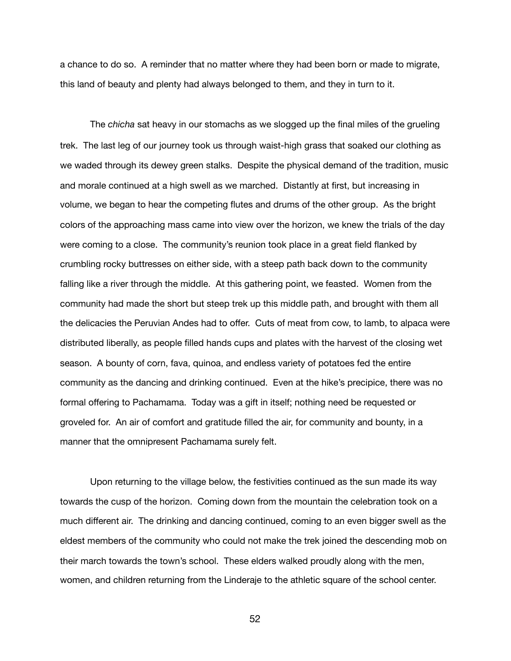a chance to do so. A reminder that no matter where they had been born or made to migrate, this land of beauty and plenty had always belonged to them, and they in turn to it.

The *chicha* sat heavy in our stomachs as we slogged up the final miles of the grueling trek. The last leg of our journey took us through waist-high grass that soaked our clothing as we waded through its dewey green stalks. Despite the physical demand of the tradition, music and morale continued at a high swell as we marched. Distantly at first, but increasing in volume, we began to hear the competing flutes and drums of the other group. As the bright colors of the approaching mass came into view over the horizon, we knew the trials of the day were coming to a close. The community's reunion took place in a great field flanked by crumbling rocky buttresses on either side, with a steep path back down to the community falling like a river through the middle. At this gathering point, we feasted. Women from the community had made the short but steep trek up this middle path, and brought with them all the delicacies the Peruvian Andes had to offer. Cuts of meat from cow, to lamb, to alpaca were distributed liberally, as people filled hands cups and plates with the harvest of the closing wet season. A bounty of corn, fava, quinoa, and endless variety of potatoes fed the entire community as the dancing and drinking continued. Even at the hike's precipice, there was no formal offering to Pachamama. Today was a gift in itself; nothing need be requested or groveled for. An air of comfort and gratitude filled the air, for community and bounty, in a manner that the omnipresent Pachamama surely felt.

Upon returning to the village below, the festivities continued as the sun made its way towards the cusp of the horizon. Coming down from the mountain the celebration took on a much different air. The drinking and dancing continued, coming to an even bigger swell as the eldest members of the community who could not make the trek joined the descending mob on their march towards the town's school. These elders walked proudly along with the men, women, and children returning from the Linderaje to the athletic square of the school center.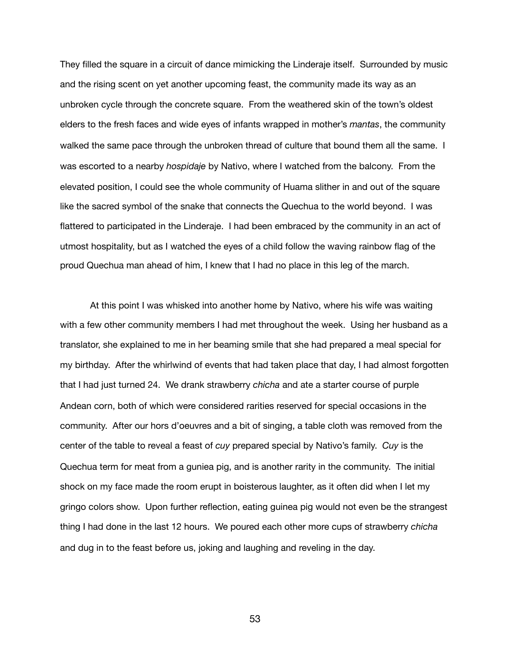They filled the square in a circuit of dance mimicking the Linderaje itself. Surrounded by music and the rising scent on yet another upcoming feast, the community made its way as an unbroken cycle through the concrete square. From the weathered skin of the town's oldest elders to the fresh faces and wide eyes of infants wrapped in mother's *mantas*, the community walked the same pace through the unbroken thread of culture that bound them all the same. I was escorted to a nearby *hospidaje* by Nativo, where I watched from the balcony. From the elevated position, I could see the whole community of Huama slither in and out of the square like the sacred symbol of the snake that connects the Quechua to the world beyond. I was flattered to participated in the Linderaje. I had been embraced by the community in an act of utmost hospitality, but as I watched the eyes of a child follow the waving rainbow flag of the proud Quechua man ahead of him, I knew that I had no place in this leg of the march.

At this point I was whisked into another home by Nativo, where his wife was waiting with a few other community members I had met throughout the week. Using her husband as a translator, she explained to me in her beaming smile that she had prepared a meal special for my birthday. After the whirlwind of events that had taken place that day, I had almost forgotten that I had just turned 24. We drank strawberry *chicha* and ate a starter course of purple Andean corn, both of which were considered rarities reserved for special occasions in the community. After our hors d'oeuvres and a bit of singing, a table cloth was removed from the center of the table to reveal a feast of *cuy* prepared special by Nativo's family. *Cuy* is the Quechua term for meat from a guniea pig, and is another rarity in the community. The initial shock on my face made the room erupt in boisterous laughter, as it often did when I let my gringo colors show. Upon further reflection, eating guinea pig would not even be the strangest thing I had done in the last 12 hours. We poured each other more cups of strawberry *chicha* and dug in to the feast before us, joking and laughing and reveling in the day.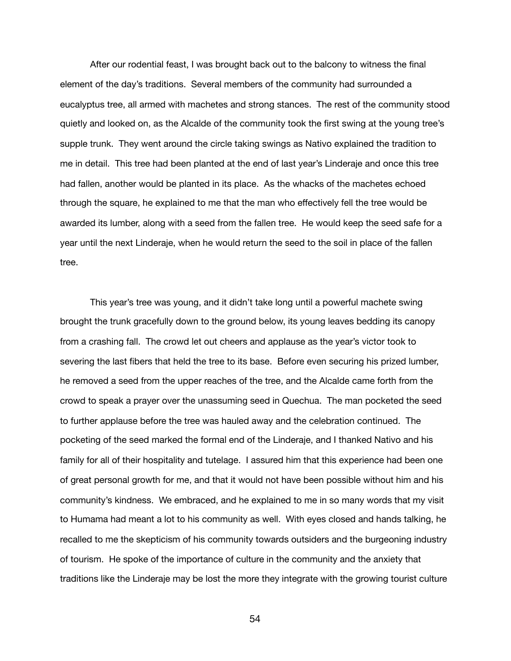After our rodential feast, I was brought back out to the balcony to witness the final element of the day's traditions. Several members of the community had surrounded a eucalyptus tree, all armed with machetes and strong stances. The rest of the community stood quietly and looked on, as the Alcalde of the community took the first swing at the young tree's supple trunk. They went around the circle taking swings as Nativo explained the tradition to me in detail. This tree had been planted at the end of last year's Linderaje and once this tree had fallen, another would be planted in its place. As the whacks of the machetes echoed through the square, he explained to me that the man who effectively fell the tree would be awarded its lumber, along with a seed from the fallen tree. He would keep the seed safe for a year until the next Linderaje, when he would return the seed to the soil in place of the fallen tree.

This year's tree was young, and it didn't take long until a powerful machete swing brought the trunk gracefully down to the ground below, its young leaves bedding its canopy from a crashing fall. The crowd let out cheers and applause as the year's victor took to severing the last fibers that held the tree to its base. Before even securing his prized lumber, he removed a seed from the upper reaches of the tree, and the Alcalde came forth from the crowd to speak a prayer over the unassuming seed in Quechua. The man pocketed the seed to further applause before the tree was hauled away and the celebration continued. The pocketing of the seed marked the formal end of the Linderaje, and I thanked Nativo and his family for all of their hospitality and tutelage. I assured him that this experience had been one of great personal growth for me, and that it would not have been possible without him and his community's kindness. We embraced, and he explained to me in so many words that my visit to Humama had meant a lot to his community as well. With eyes closed and hands talking, he recalled to me the skepticism of his community towards outsiders and the burgeoning industry of tourism. He spoke of the importance of culture in the community and the anxiety that traditions like the Linderaje may be lost the more they integrate with the growing tourist culture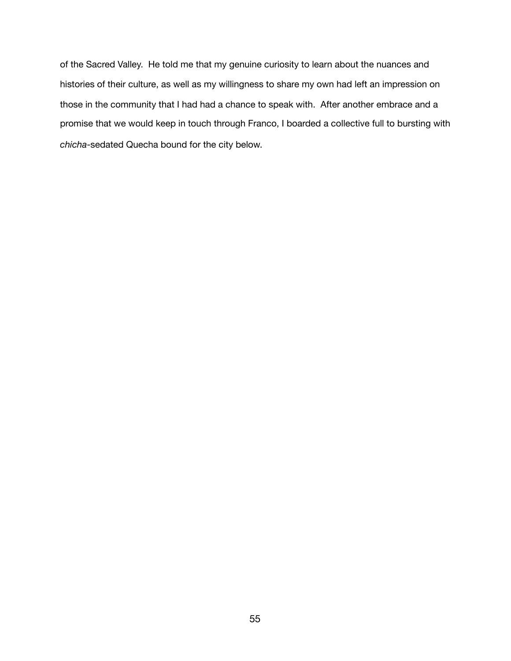of the Sacred Valley. He told me that my genuine curiosity to learn about the nuances and histories of their culture, as well as my willingness to share my own had left an impression on those in the community that I had had a chance to speak with. After another embrace and a promise that we would keep in touch through Franco, I boarded a collective full to bursting with *chicha*-sedated Quecha bound for the city below.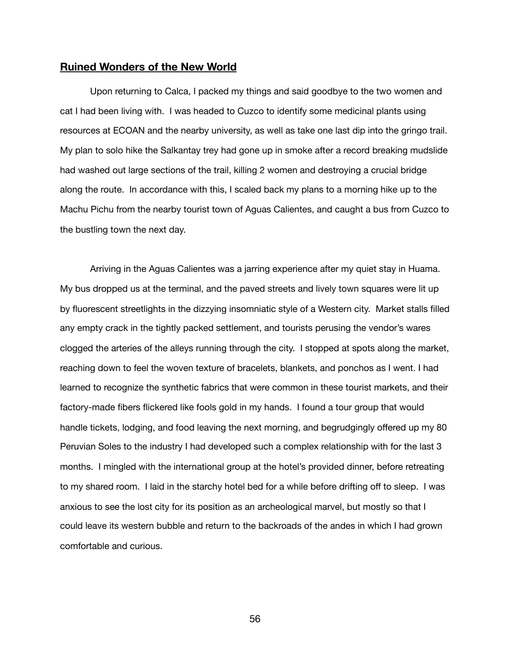### **Ruined Wonders of the New World**

Upon returning to Calca, I packed my things and said goodbye to the two women and cat I had been living with. I was headed to Cuzco to identify some medicinal plants using resources at ECOAN and the nearby university, as well as take one last dip into the gringo trail. My plan to solo hike the Salkantay trey had gone up in smoke after a record breaking mudslide had washed out large sections of the trail, killing 2 women and destroying a crucial bridge along the route. In accordance with this, I scaled back my plans to a morning hike up to the Machu Pichu from the nearby tourist town of Aguas Calientes, and caught a bus from Cuzco to the bustling town the next day.

Arriving in the Aguas Calientes was a jarring experience after my quiet stay in Huama. My bus dropped us at the terminal, and the paved streets and lively town squares were lit up by fluorescent streetlights in the dizzying insomniatic style of a Western city. Market stalls filled any empty crack in the tightly packed settlement, and tourists perusing the vendor's wares clogged the arteries of the alleys running through the city. I stopped at spots along the market, reaching down to feel the woven texture of bracelets, blankets, and ponchos as I went. I had learned to recognize the synthetic fabrics that were common in these tourist markets, and their factory-made fibers flickered like fools gold in my hands. I found a tour group that would handle tickets, lodging, and food leaving the next morning, and begrudgingly offered up my 80 Peruvian Soles to the industry I had developed such a complex relationship with for the last 3 months. I mingled with the international group at the hotel's provided dinner, before retreating to my shared room. I laid in the starchy hotel bed for a while before drifting off to sleep. I was anxious to see the lost city for its position as an archeological marvel, but mostly so that I could leave its western bubble and return to the backroads of the andes in which I had grown comfortable and curious.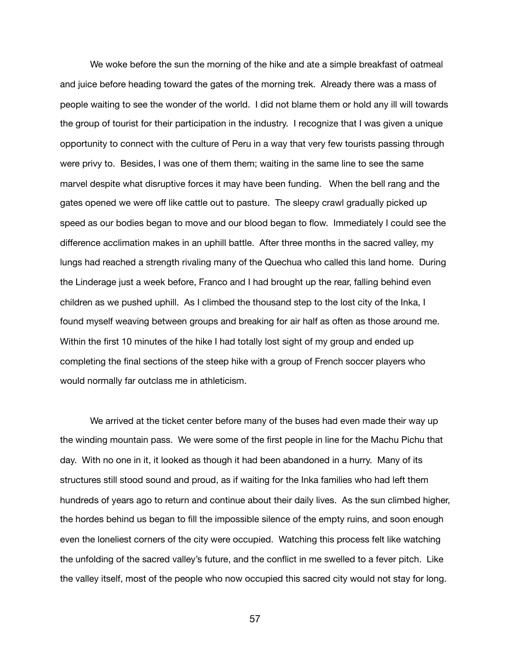We woke before the sun the morning of the hike and ate a simple breakfast of oatmeal and juice before heading toward the gates of the morning trek. Already there was a mass of people waiting to see the wonder of the world. I did not blame them or hold any ill will towards the group of tourist for their participation in the industry. I recognize that I was given a unique opportunity to connect with the culture of Peru in a way that very few tourists passing through were privy to. Besides, I was one of them them; waiting in the same line to see the same marvel despite what disruptive forces it may have been funding. When the bell rang and the gates opened we were off like cattle out to pasture. The sleepy crawl gradually picked up speed as our bodies began to move and our blood began to flow. Immediately I could see the difference acclimation makes in an uphill battle. After three months in the sacred valley, my lungs had reached a strength rivaling many of the Quechua who called this land home. During the Linderage just a week before, Franco and I had brought up the rear, falling behind even children as we pushed uphill. As I climbed the thousand step to the lost city of the Inka, I found myself weaving between groups and breaking for air half as often as those around me. Within the first 10 minutes of the hike I had totally lost sight of my group and ended up completing the final sections of the steep hike with a group of French soccer players who would normally far outclass me in athleticism.

We arrived at the ticket center before many of the buses had even made their way up the winding mountain pass. We were some of the first people in line for the Machu Pichu that day. With no one in it, it looked as though it had been abandoned in a hurry. Many of its structures still stood sound and proud, as if waiting for the Inka families who had left them hundreds of years ago to return and continue about their daily lives. As the sun climbed higher, the hordes behind us began to fill the impossible silence of the empty ruins, and soon enough even the loneliest corners of the city were occupied. Watching this process felt like watching the unfolding of the sacred valley's future, and the conflict in me swelled to a fever pitch. Like the valley itself, most of the people who now occupied this sacred city would not stay for long.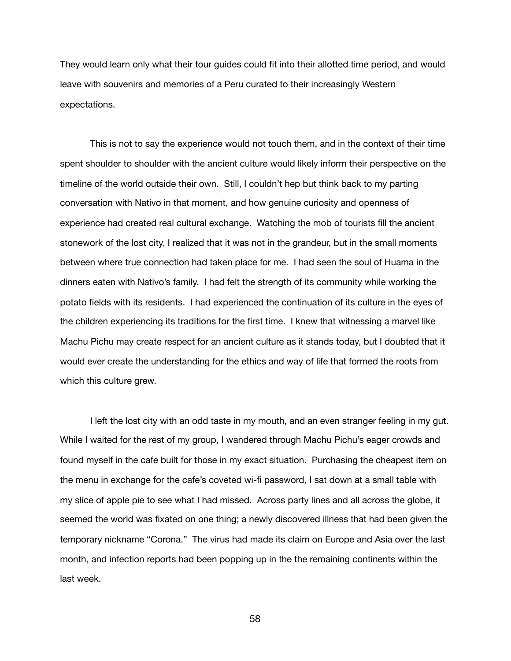They would learn only what their tour guides could fit into their allotted time period, and would leave with souvenirs and memories of a Peru curated to their increasingly Western expectations.

This is not to say the experience would not touch them, and in the context of their time spent shoulder to shoulder with the ancient culture would likely inform their perspective on the timeline of the world outside their own. Still, I couldn't hep but think back to my parting conversation with Nativo in that moment, and how genuine curiosity and openness of experience had created real cultural exchange. Watching the mob of tourists fill the ancient stonework of the lost city, I realized that it was not in the grandeur, but in the small moments between where true connection had taken place for me. I had seen the soul of Huama in the dinners eaten with Nativo's family. I had felt the strength of its community while working the potato fields with its residents. I had experienced the continuation of its culture in the eyes of the children experiencing its traditions for the first time. I knew that witnessing a marvel like Machu Pichu may create respect for an ancient culture as it stands today, but I doubted that it would ever create the understanding for the ethics and way of life that formed the roots from which this culture grew.

I left the lost city with an odd taste in my mouth, and an even stranger feeling in my gut. While I waited for the rest of my group, I wandered through Machu Pichu's eager crowds and found myself in the cafe built for those in my exact situation. Purchasing the cheapest item on the menu in exchange for the cafe's coveted wi-fi password, I sat down at a small table with my slice of apple pie to see what I had missed. Across party lines and all across the globe, it seemed the world was fixated on one thing; a newly discovered illness that had been given the temporary nickname "Corona." The virus had made its claim on Europe and Asia over the last month, and infection reports had been popping up in the the remaining continents within the last week.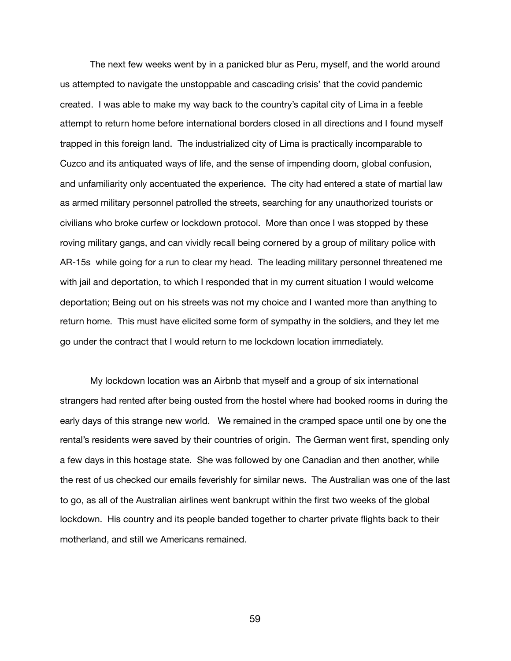The next few weeks went by in a panicked blur as Peru, myself, and the world around us attempted to navigate the unstoppable and cascading crisis' that the covid pandemic created. I was able to make my way back to the country's capital city of Lima in a feeble attempt to return home before international borders closed in all directions and I found myself trapped in this foreign land. The industrialized city of Lima is practically incomparable to Cuzco and its antiquated ways of life, and the sense of impending doom, global confusion, and unfamiliarity only accentuated the experience. The city had entered a state of martial law as armed military personnel patrolled the streets, searching for any unauthorized tourists or civilians who broke curfew or lockdown protocol. More than once I was stopped by these roving military gangs, and can vividly recall being cornered by a group of military police with AR-15s while going for a run to clear my head. The leading military personnel threatened me with jail and deportation, to which I responded that in my current situation I would welcome deportation; Being out on his streets was not my choice and I wanted more than anything to return home. This must have elicited some form of sympathy in the soldiers, and they let me go under the contract that I would return to me lockdown location immediately.

My lockdown location was an Airbnb that myself and a group of six international strangers had rented after being ousted from the hostel where had booked rooms in during the early days of this strange new world. We remained in the cramped space until one by one the rental's residents were saved by their countries of origin. The German went first, spending only a few days in this hostage state. She was followed by one Canadian and then another, while the rest of us checked our emails feverishly for similar news. The Australian was one of the last to go, as all of the Australian airlines went bankrupt within the first two weeks of the global lockdown. His country and its people banded together to charter private flights back to their motherland, and still we Americans remained.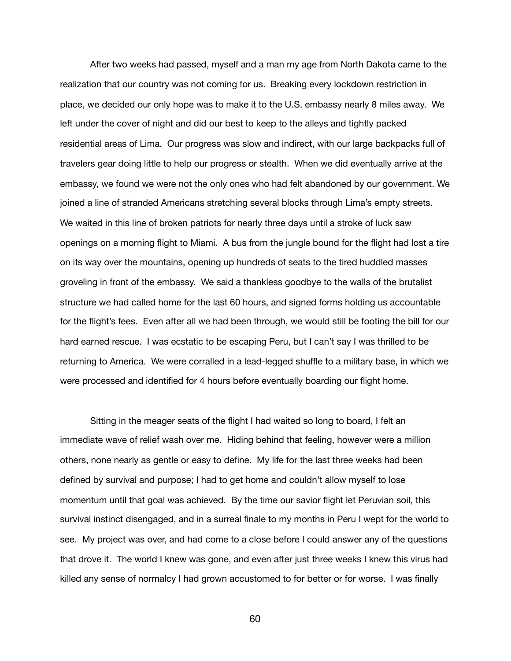After two weeks had passed, myself and a man my age from North Dakota came to the realization that our country was not coming for us. Breaking every lockdown restriction in place, we decided our only hope was to make it to the U.S. embassy nearly 8 miles away. We left under the cover of night and did our best to keep to the alleys and tightly packed residential areas of Lima. Our progress was slow and indirect, with our large backpacks full of travelers gear doing little to help our progress or stealth. When we did eventually arrive at the embassy, we found we were not the only ones who had felt abandoned by our government. We joined a line of stranded Americans stretching several blocks through Lima's empty streets. We waited in this line of broken patriots for nearly three days until a stroke of luck saw openings on a morning flight to Miami. A bus from the jungle bound for the flight had lost a tire on its way over the mountains, opening up hundreds of seats to the tired huddled masses groveling in front of the embassy. We said a thankless goodbye to the walls of the brutalist structure we had called home for the last 60 hours, and signed forms holding us accountable for the flight's fees. Even after all we had been through, we would still be footing the bill for our hard earned rescue. I was ecstatic to be escaping Peru, but I can't say I was thrilled to be returning to America. We were corralled in a lead-legged shuffle to a military base, in which we were processed and identified for 4 hours before eventually boarding our flight home.

Sitting in the meager seats of the flight I had waited so long to board, I felt an immediate wave of relief wash over me. Hiding behind that feeling, however were a million others, none nearly as gentle or easy to define. My life for the last three weeks had been defined by survival and purpose; I had to get home and couldn't allow myself to lose momentum until that goal was achieved. By the time our savior flight let Peruvian soil, this survival instinct disengaged, and in a surreal finale to my months in Peru I wept for the world to see. My project was over, and had come to a close before I could answer any of the questions that drove it. The world I knew was gone, and even after just three weeks I knew this virus had killed any sense of normalcy I had grown accustomed to for better or for worse. I was finally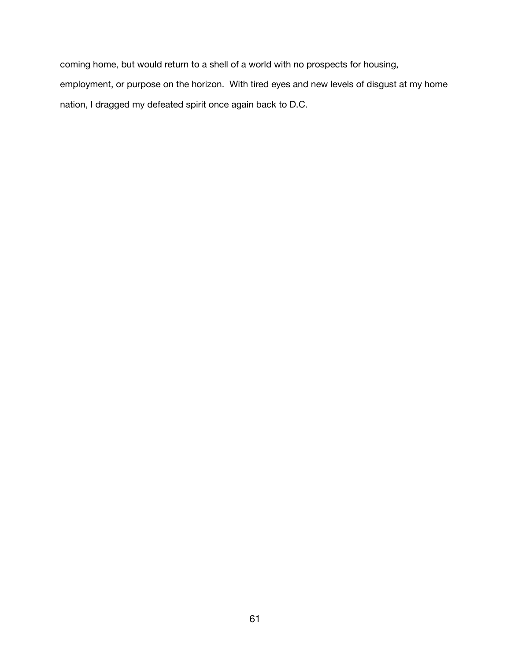coming home, but would return to a shell of a world with no prospects for housing, employment, or purpose on the horizon. With tired eyes and new levels of disgust at my home nation, I dragged my defeated spirit once again back to D.C.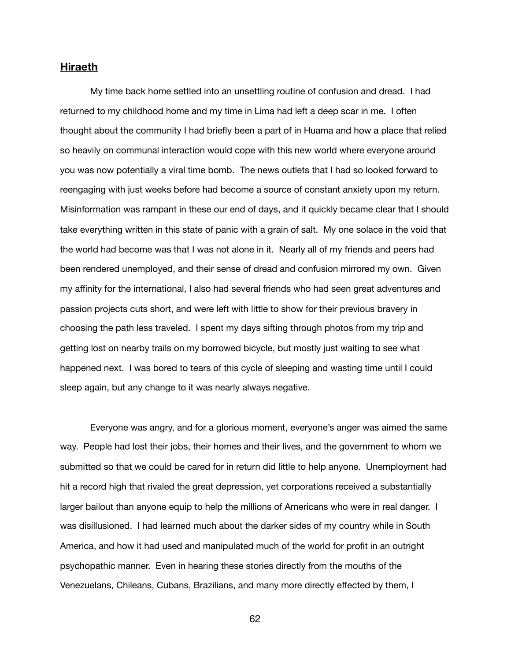# **Hiraeth**

My time back home settled into an unsettling routine of confusion and dread. I had returned to my childhood home and my time in Lima had left a deep scar in me. I often thought about the community I had briefly been a part of in Huama and how a place that relied so heavily on communal interaction would cope with this new world where everyone around you was now potentially a viral time bomb. The news outlets that I had so looked forward to reengaging with just weeks before had become a source of constant anxiety upon my return. Misinformation was rampant in these our end of days, and it quickly became clear that I should take everything written in this state of panic with a grain of salt. My one solace in the void that the world had become was that I was not alone in it. Nearly all of my friends and peers had been rendered unemployed, and their sense of dread and confusion mirrored my own. Given my affinity for the international, I also had several friends who had seen great adventures and passion projects cuts short, and were left with little to show for their previous bravery in choosing the path less traveled. I spent my days sifting through photos from my trip and getting lost on nearby trails on my borrowed bicycle, but mostly just waiting to see what happened next. I was bored to tears of this cycle of sleeping and wasting time until I could sleep again, but any change to it was nearly always negative.

Everyone was angry, and for a glorious moment, everyone's anger was aimed the same way. People had lost their jobs, their homes and their lives, and the government to whom we submitted so that we could be cared for in return did little to help anyone. Unemployment had hit a record high that rivaled the great depression, yet corporations received a substantially larger bailout than anyone equip to help the millions of Americans who were in real danger. I was disillusioned. I had learned much about the darker sides of my country while in South America, and how it had used and manipulated much of the world for profit in an outright psychopathic manner. Even in hearing these stories directly from the mouths of the Venezuelans, Chileans, Cubans, Brazilians, and many more directly effected by them, I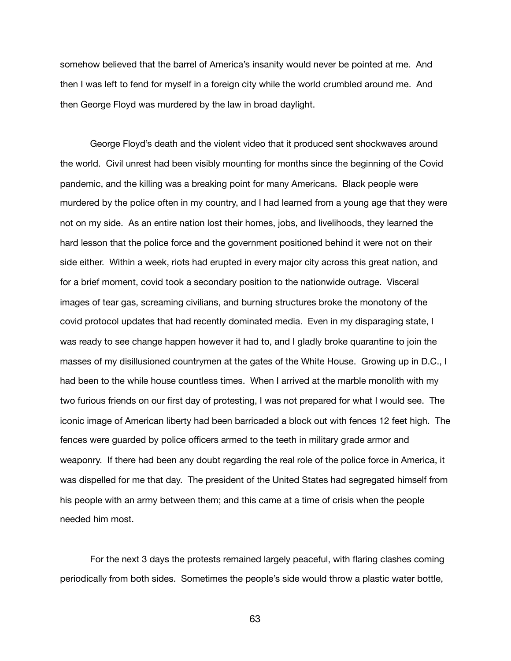somehow believed that the barrel of America's insanity would never be pointed at me. And then I was left to fend for myself in a foreign city while the world crumbled around me. And then George Floyd was murdered by the law in broad daylight.

George Floyd's death and the violent video that it produced sent shockwaves around the world. Civil unrest had been visibly mounting for months since the beginning of the Covid pandemic, and the killing was a breaking point for many Americans. Black people were murdered by the police often in my country, and I had learned from a young age that they were not on my side. As an entire nation lost their homes, jobs, and livelihoods, they learned the hard lesson that the police force and the government positioned behind it were not on their side either. Within a week, riots had erupted in every major city across this great nation, and for a brief moment, covid took a secondary position to the nationwide outrage. Visceral images of tear gas, screaming civilians, and burning structures broke the monotony of the covid protocol updates that had recently dominated media. Even in my disparaging state, I was ready to see change happen however it had to, and I gladly broke quarantine to join the masses of my disillusioned countrymen at the gates of the White House. Growing up in D.C., I had been to the while house countless times. When I arrived at the marble monolith with my two furious friends on our first day of protesting, I was not prepared for what I would see. The iconic image of American liberty had been barricaded a block out with fences 12 feet high. The fences were guarded by police officers armed to the teeth in military grade armor and weaponry. If there had been any doubt regarding the real role of the police force in America, it was dispelled for me that day. The president of the United States had segregated himself from his people with an army between them; and this came at a time of crisis when the people needed him most.

For the next 3 days the protests remained largely peaceful, with flaring clashes coming periodically from both sides. Sometimes the people's side would throw a plastic water bottle,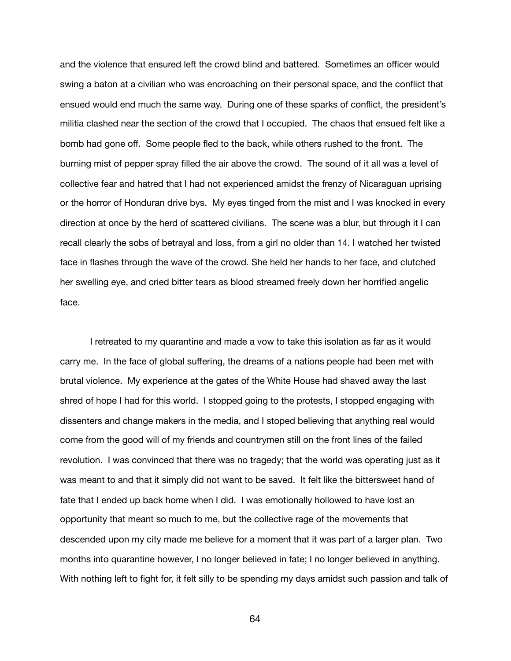and the violence that ensured left the crowd blind and battered. Sometimes an officer would swing a baton at a civilian who was encroaching on their personal space, and the conflict that ensued would end much the same way. During one of these sparks of conflict, the president's militia clashed near the section of the crowd that I occupied. The chaos that ensued felt like a bomb had gone off. Some people fled to the back, while others rushed to the front. The burning mist of pepper spray filled the air above the crowd. The sound of it all was a level of collective fear and hatred that I had not experienced amidst the frenzy of Nicaraguan uprising or the horror of Honduran drive bys. My eyes tinged from the mist and I was knocked in every direction at once by the herd of scattered civilians. The scene was a blur, but through it I can recall clearly the sobs of betrayal and loss, from a girl no older than 14. I watched her twisted face in flashes through the wave of the crowd. She held her hands to her face, and clutched her swelling eye, and cried bitter tears as blood streamed freely down her horrified angelic face.

I retreated to my quarantine and made a vow to take this isolation as far as it would carry me. In the face of global suffering, the dreams of a nations people had been met with brutal violence. My experience at the gates of the White House had shaved away the last shred of hope I had for this world. I stopped going to the protests, I stopped engaging with dissenters and change makers in the media, and I stoped believing that anything real would come from the good will of my friends and countrymen still on the front lines of the failed revolution. I was convinced that there was no tragedy; that the world was operating just as it was meant to and that it simply did not want to be saved. It felt like the bittersweet hand of fate that I ended up back home when I did. I was emotionally hollowed to have lost an opportunity that meant so much to me, but the collective rage of the movements that descended upon my city made me believe for a moment that it was part of a larger plan. Two months into quarantine however, I no longer believed in fate; I no longer believed in anything. With nothing left to fight for, it felt silly to be spending my days amidst such passion and talk of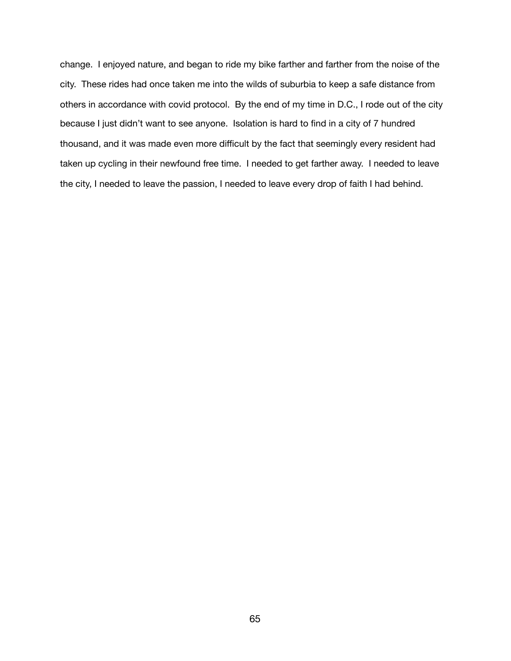change. I enjoyed nature, and began to ride my bike farther and farther from the noise of the city. These rides had once taken me into the wilds of suburbia to keep a safe distance from others in accordance with covid protocol. By the end of my time in D.C., I rode out of the city because I just didn't want to see anyone. Isolation is hard to find in a city of 7 hundred thousand, and it was made even more difficult by the fact that seemingly every resident had taken up cycling in their newfound free time. I needed to get farther away. I needed to leave the city, I needed to leave the passion, I needed to leave every drop of faith I had behind.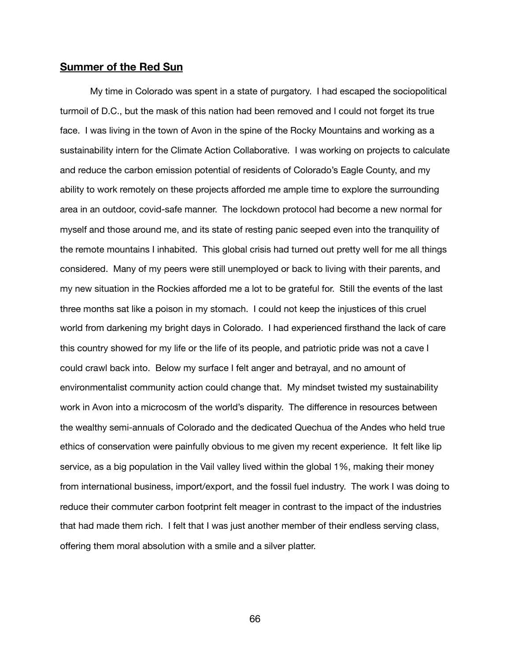# **Summer of the Red Sun**

My time in Colorado was spent in a state of purgatory. I had escaped the sociopolitical turmoil of D.C., but the mask of this nation had been removed and I could not forget its true face. I was living in the town of Avon in the spine of the Rocky Mountains and working as a sustainability intern for the Climate Action Collaborative. I was working on projects to calculate and reduce the carbon emission potential of residents of Colorado's Eagle County, and my ability to work remotely on these projects afforded me ample time to explore the surrounding area in an outdoor, covid-safe manner. The lockdown protocol had become a new normal for myself and those around me, and its state of resting panic seeped even into the tranquility of the remote mountains I inhabited. This global crisis had turned out pretty well for me all things considered. Many of my peers were still unemployed or back to living with their parents, and my new situation in the Rockies afforded me a lot to be grateful for. Still the events of the last three months sat like a poison in my stomach. I could not keep the injustices of this cruel world from darkening my bright days in Colorado. I had experienced firsthand the lack of care this country showed for my life or the life of its people, and patriotic pride was not a cave I could crawl back into. Below my surface I felt anger and betrayal, and no amount of environmentalist community action could change that. My mindset twisted my sustainability work in Avon into a microcosm of the world's disparity. The difference in resources between the wealthy semi-annuals of Colorado and the dedicated Quechua of the Andes who held true ethics of conservation were painfully obvious to me given my recent experience. It felt like lip service, as a big population in the Vail valley lived within the global 1%, making their money from international business, import/export, and the fossil fuel industry. The work I was doing to reduce their commuter carbon footprint felt meager in contrast to the impact of the industries that had made them rich. I felt that I was just another member of their endless serving class, offering them moral absolution with a smile and a silver platter.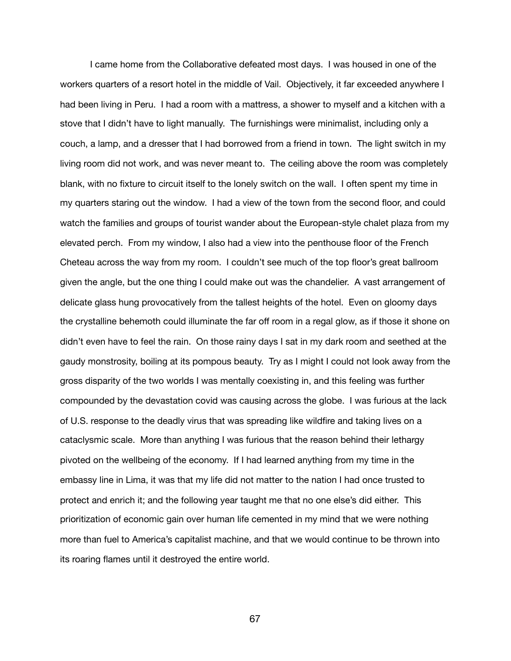I came home from the Collaborative defeated most days. I was housed in one of the workers quarters of a resort hotel in the middle of Vail. Objectively, it far exceeded anywhere I had been living in Peru. I had a room with a mattress, a shower to myself and a kitchen with a stove that I didn't have to light manually. The furnishings were minimalist, including only a couch, a lamp, and a dresser that I had borrowed from a friend in town. The light switch in my living room did not work, and was never meant to. The ceiling above the room was completely blank, with no fixture to circuit itself to the lonely switch on the wall. I often spent my time in my quarters staring out the window. I had a view of the town from the second floor, and could watch the families and groups of tourist wander about the European-style chalet plaza from my elevated perch. From my window, I also had a view into the penthouse floor of the French Cheteau across the way from my room. I couldn't see much of the top floor's great ballroom given the angle, but the one thing I could make out was the chandelier. A vast arrangement of delicate glass hung provocatively from the tallest heights of the hotel. Even on gloomy days the crystalline behemoth could illuminate the far off room in a regal glow, as if those it shone on didn't even have to feel the rain. On those rainy days I sat in my dark room and seethed at the gaudy monstrosity, boiling at its pompous beauty. Try as I might I could not look away from the gross disparity of the two worlds I was mentally coexisting in, and this feeling was further compounded by the devastation covid was causing across the globe. I was furious at the lack of U.S. response to the deadly virus that was spreading like wildfire and taking lives on a cataclysmic scale. More than anything I was furious that the reason behind their lethargy pivoted on the wellbeing of the economy. If I had learned anything from my time in the embassy line in Lima, it was that my life did not matter to the nation I had once trusted to protect and enrich it; and the following year taught me that no one else's did either. This prioritization of economic gain over human life cemented in my mind that we were nothing more than fuel to America's capitalist machine, and that we would continue to be thrown into its roaring flames until it destroyed the entire world.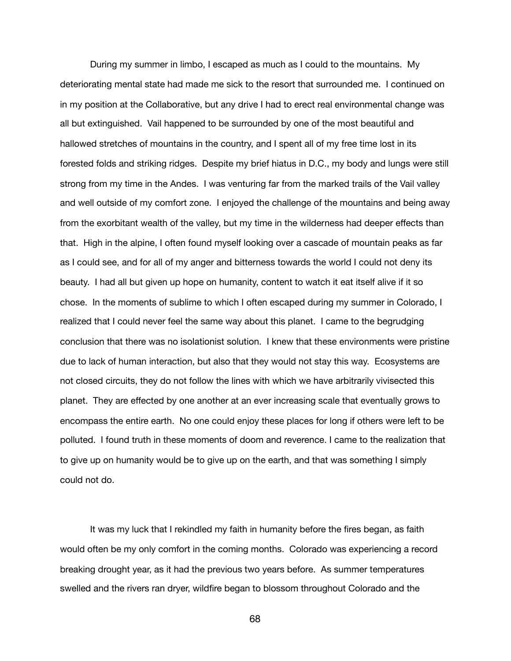During my summer in limbo, I escaped as much as I could to the mountains. My deteriorating mental state had made me sick to the resort that surrounded me. I continued on in my position at the Collaborative, but any drive I had to erect real environmental change was all but extinguished. Vail happened to be surrounded by one of the most beautiful and hallowed stretches of mountains in the country, and I spent all of my free time lost in its forested folds and striking ridges. Despite my brief hiatus in D.C., my body and lungs were still strong from my time in the Andes. I was venturing far from the marked trails of the Vail valley and well outside of my comfort zone. I enjoyed the challenge of the mountains and being away from the exorbitant wealth of the valley, but my time in the wilderness had deeper effects than that. High in the alpine, I often found myself looking over a cascade of mountain peaks as far as I could see, and for all of my anger and bitterness towards the world I could not deny its beauty. I had all but given up hope on humanity, content to watch it eat itself alive if it so chose. In the moments of sublime to which I often escaped during my summer in Colorado, I realized that I could never feel the same way about this planet. I came to the begrudging conclusion that there was no isolationist solution. I knew that these environments were pristine due to lack of human interaction, but also that they would not stay this way. Ecosystems are not closed circuits, they do not follow the lines with which we have arbitrarily vivisected this planet. They are effected by one another at an ever increasing scale that eventually grows to encompass the entire earth. No one could enjoy these places for long if others were left to be polluted. I found truth in these moments of doom and reverence. I came to the realization that to give up on humanity would be to give up on the earth, and that was something I simply could not do.

It was my luck that I rekindled my faith in humanity before the fires began, as faith would often be my only comfort in the coming months. Colorado was experiencing a record breaking drought year, as it had the previous two years before. As summer temperatures swelled and the rivers ran dryer, wildfire began to blossom throughout Colorado and the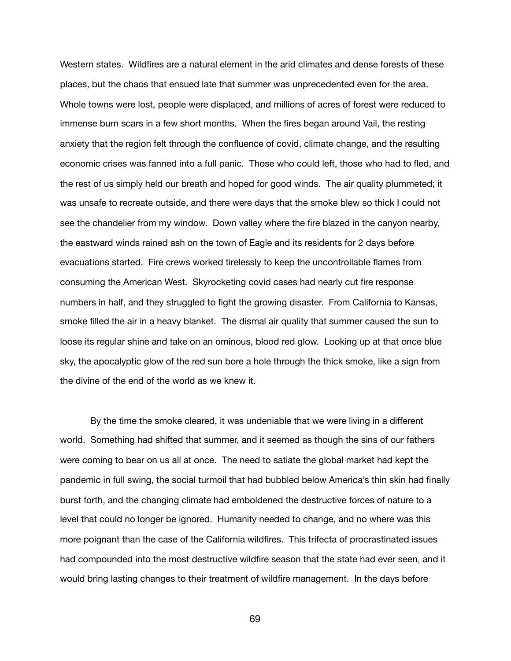Western states. Wildfires are a natural element in the arid climates and dense forests of these places, but the chaos that ensued late that summer was unprecedented even for the area. Whole towns were lost, people were displaced, and millions of acres of forest were reduced to immense burn scars in a few short months. When the fires began around Vail, the resting anxiety that the region felt through the confluence of covid, climate change, and the resulting economic crises was fanned into a full panic. Those who could left, those who had to fled, and the rest of us simply held our breath and hoped for good winds. The air quality plummeted; it was unsafe to recreate outside, and there were days that the smoke blew so thick I could not see the chandelier from my window. Down valley where the fire blazed in the canyon nearby, the eastward winds rained ash on the town of Eagle and its residents for 2 days before evacuations started. Fire crews worked tirelessly to keep the uncontrollable flames from consuming the American West. Skyrocketing covid cases had nearly cut fire response numbers in half, and they struggled to fight the growing disaster. From California to Kansas, smoke filled the air in a heavy blanket. The dismal air quality that summer caused the sun to loose its regular shine and take on an ominous, blood red glow. Looking up at that once blue sky, the apocalyptic glow of the red sun bore a hole through the thick smoke, like a sign from the divine of the end of the world as we knew it.

By the time the smoke cleared, it was undeniable that we were living in a different world. Something had shifted that summer, and it seemed as though the sins of our fathers were coming to bear on us all at once. The need to satiate the global market had kept the pandemic in full swing, the social turmoil that had bubbled below America's thin skin had finally burst forth, and the changing climate had emboldened the destructive forces of nature to a level that could no longer be ignored. Humanity needed to change, and no where was this more poignant than the case of the California wildfires. This trifecta of procrastinated issues had compounded into the most destructive wildfire season that the state had ever seen, and it would bring lasting changes to their treatment of wildfire management. In the days before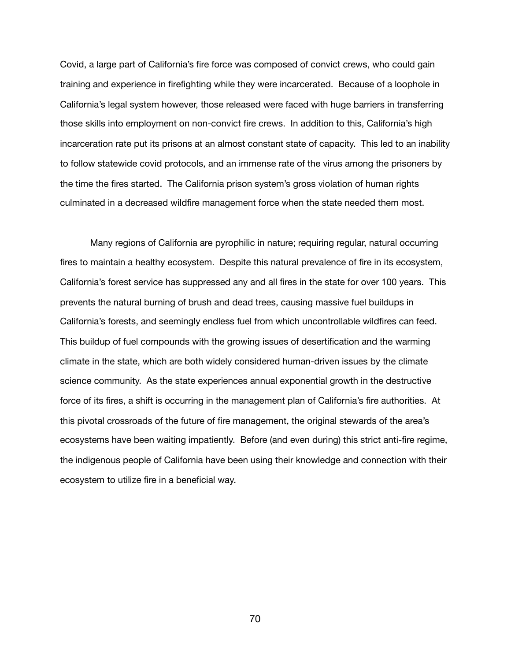Covid, a large part of California's fire force was composed of convict crews, who could gain training and experience in firefighting while they were incarcerated. Because of a loophole in California's legal system however, those released were faced with huge barriers in transferring those skills into employment on non-convict fire crews. In addition to this, California's high incarceration rate put its prisons at an almost constant state of capacity. This led to an inability to follow statewide covid protocols, and an immense rate of the virus among the prisoners by the time the fires started. The California prison system's gross violation of human rights culminated in a decreased wildfire management force when the state needed them most.

Many regions of California are pyrophilic in nature; requiring regular, natural occurring fires to maintain a healthy ecosystem. Despite this natural prevalence of fire in its ecosystem, California's forest service has suppressed any and all fires in the state for over 100 years. This prevents the natural burning of brush and dead trees, causing massive fuel buildups in California's forests, and seemingly endless fuel from which uncontrollable wildfires can feed. This buildup of fuel compounds with the growing issues of desertification and the warming climate in the state, which are both widely considered human-driven issues by the climate science community. As the state experiences annual exponential growth in the destructive force of its fires, a shift is occurring in the management plan of California's fire authorities. At this pivotal crossroads of the future of fire management, the original stewards of the area's ecosystems have been waiting impatiently. Before (and even during) this strict anti-fire regime, the indigenous people of California have been using their knowledge and connection with their ecosystem to utilize fire in a beneficial way.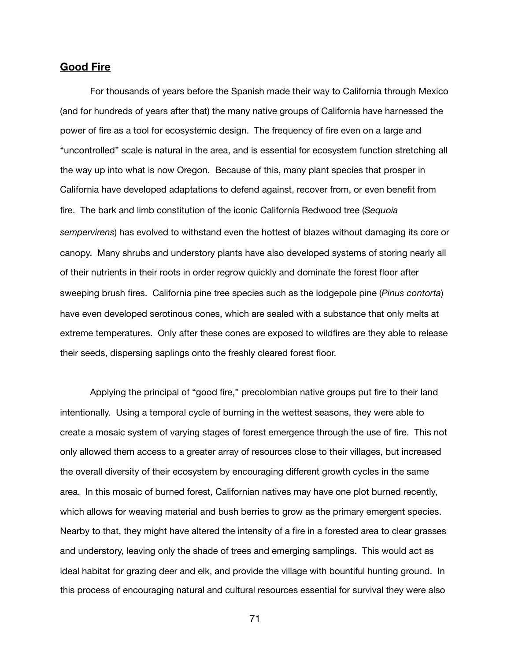# **Good Fire**

For thousands of years before the Spanish made their way to California through Mexico (and for hundreds of years after that) the many native groups of California have harnessed the power of fire as a tool for ecosystemic design. The frequency of fire even on a large and "uncontrolled" scale is natural in the area, and is essential for ecosystem function stretching all the way up into what is now Oregon. Because of this, many plant species that prosper in California have developed adaptations to defend against, recover from, or even benefit from fire. The bark and limb constitution of the iconic California Redwood tree (*Sequoia sempervirens*) has evolved to withstand even the hottest of blazes without damaging its core or canopy. Many shrubs and understory plants have also developed systems of storing nearly all of their nutrients in their roots in order regrow quickly and dominate the forest floor after sweeping brush fires. California pine tree species such as the lodgepole pine (*Pinus contorta*) have even developed serotinous cones, which are sealed with a substance that only melts at extreme temperatures. Only after these cones are exposed to wildfires are they able to release their seeds, dispersing saplings onto the freshly cleared forest floor.

Applying the principal of "good fire," precolombian native groups put fire to their land intentionally. Using a temporal cycle of burning in the wettest seasons, they were able to create a mosaic system of varying stages of forest emergence through the use of fire. This not only allowed them access to a greater array of resources close to their villages, but increased the overall diversity of their ecosystem by encouraging different growth cycles in the same area. In this mosaic of burned forest, Californian natives may have one plot burned recently, which allows for weaving material and bush berries to grow as the primary emergent species. Nearby to that, they might have altered the intensity of a fire in a forested area to clear grasses and understory, leaving only the shade of trees and emerging samplings. This would act as ideal habitat for grazing deer and elk, and provide the village with bountiful hunting ground. In this process of encouraging natural and cultural resources essential for survival they were also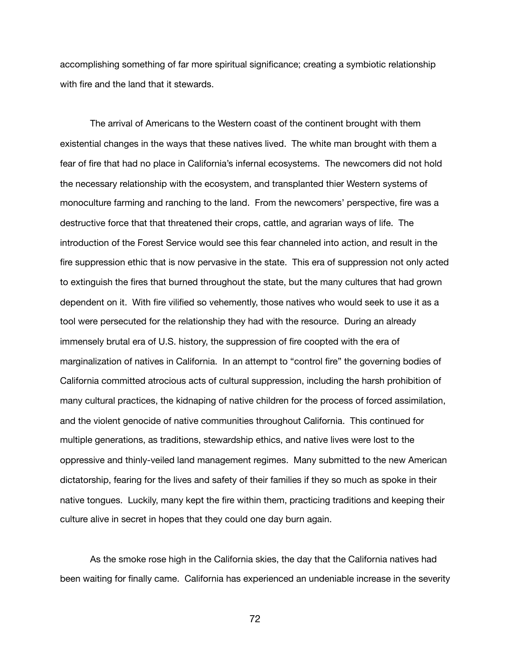accomplishing something of far more spiritual significance; creating a symbiotic relationship with fire and the land that it stewards.

The arrival of Americans to the Western coast of the continent brought with them existential changes in the ways that these natives lived. The white man brought with them a fear of fire that had no place in California's infernal ecosystems. The newcomers did not hold the necessary relationship with the ecosystem, and transplanted thier Western systems of monoculture farming and ranching to the land. From the newcomers' perspective, fire was a destructive force that that threatened their crops, cattle, and agrarian ways of life. The introduction of the Forest Service would see this fear channeled into action, and result in the fire suppression ethic that is now pervasive in the state. This era of suppression not only acted to extinguish the fires that burned throughout the state, but the many cultures that had grown dependent on it. With fire vilified so vehemently, those natives who would seek to use it as a tool were persecuted for the relationship they had with the resource. During an already immensely brutal era of U.S. history, the suppression of fire coopted with the era of marginalization of natives in California. In an attempt to "control fire" the governing bodies of California committed atrocious acts of cultural suppression, including the harsh prohibition of many cultural practices, the kidnaping of native children for the process of forced assimilation, and the violent genocide of native communities throughout California. This continued for multiple generations, as traditions, stewardship ethics, and native lives were lost to the oppressive and thinly-veiled land management regimes. Many submitted to the new American dictatorship, fearing for the lives and safety of their families if they so much as spoke in their native tongues. Luckily, many kept the fire within them, practicing traditions and keeping their culture alive in secret in hopes that they could one day burn again.

As the smoke rose high in the California skies, the day that the California natives had been waiting for finally came. California has experienced an undeniable increase in the severity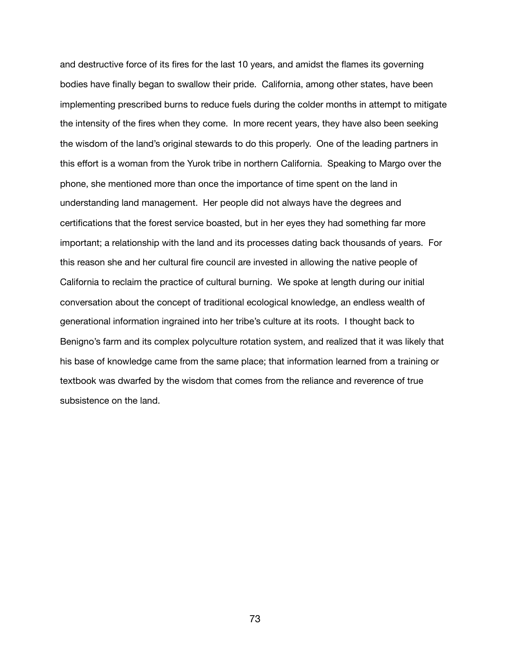and destructive force of its fires for the last 10 years, and amidst the flames its governing bodies have finally began to swallow their pride. California, among other states, have been implementing prescribed burns to reduce fuels during the colder months in attempt to mitigate the intensity of the fires when they come. In more recent years, they have also been seeking the wisdom of the land's original stewards to do this properly. One of the leading partners in this effort is a woman from the Yurok tribe in northern California. Speaking to Margo over the phone, she mentioned more than once the importance of time spent on the land in understanding land management. Her people did not always have the degrees and certifications that the forest service boasted, but in her eyes they had something far more important; a relationship with the land and its processes dating back thousands of years. For this reason she and her cultural fire council are invested in allowing the native people of California to reclaim the practice of cultural burning. We spoke at length during our initial conversation about the concept of traditional ecological knowledge, an endless wealth of generational information ingrained into her tribe's culture at its roots. I thought back to Benigno's farm and its complex polyculture rotation system, and realized that it was likely that his base of knowledge came from the same place; that information learned from a training or textbook was dwarfed by the wisdom that comes from the reliance and reverence of true subsistence on the land.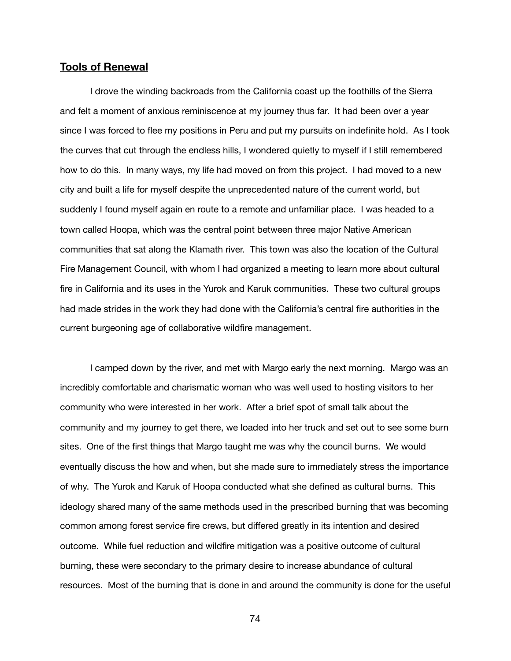# **Tools of Renewal**

I drove the winding backroads from the California coast up the foothills of the Sierra and felt a moment of anxious reminiscence at my journey thus far. It had been over a year since I was forced to flee my positions in Peru and put my pursuits on indefinite hold. As I took the curves that cut through the endless hills, I wondered quietly to myself if I still remembered how to do this. In many ways, my life had moved on from this project. I had moved to a new city and built a life for myself despite the unprecedented nature of the current world, but suddenly I found myself again en route to a remote and unfamiliar place. I was headed to a town called Hoopa, which was the central point between three major Native American communities that sat along the Klamath river. This town was also the location of the Cultural Fire Management Council, with whom I had organized a meeting to learn more about cultural fire in California and its uses in the Yurok and Karuk communities. These two cultural groups had made strides in the work they had done with the California's central fire authorities in the current burgeoning age of collaborative wildfire management.

I camped down by the river, and met with Margo early the next morning. Margo was an incredibly comfortable and charismatic woman who was well used to hosting visitors to her community who were interested in her work. After a brief spot of small talk about the community and my journey to get there, we loaded into her truck and set out to see some burn sites. One of the first things that Margo taught me was why the council burns. We would eventually discuss the how and when, but she made sure to immediately stress the importance of why. The Yurok and Karuk of Hoopa conducted what she defined as cultural burns. This ideology shared many of the same methods used in the prescribed burning that was becoming common among forest service fire crews, but differed greatly in its intention and desired outcome. While fuel reduction and wildfire mitigation was a positive outcome of cultural burning, these were secondary to the primary desire to increase abundance of cultural resources. Most of the burning that is done in and around the community is done for the useful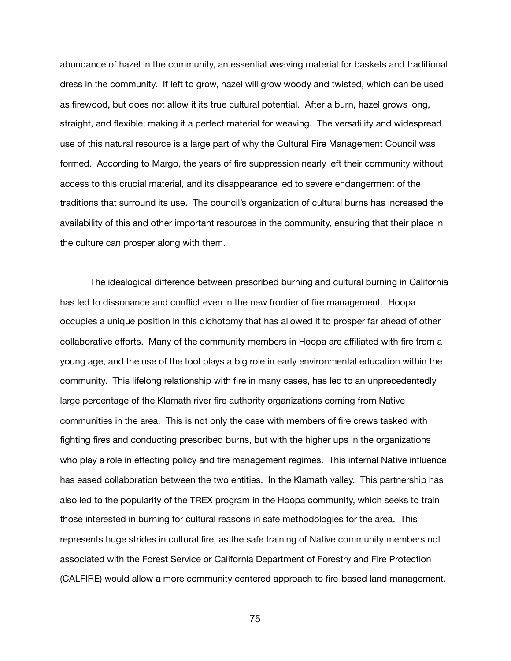abundance of hazel in the community, an essential weaving material for baskets and traditional dress in the community. If left to grow, hazel will grow woody and twisted, which can be used as firewood, but does not allow it its true cultural potential. After a burn, hazel grows long, straight, and flexible; making it a perfect material for weaving. The versatility and widespread use of this natural resource is a large part of why the Cultural Fire Management Council was formed. According to Margo, the years of fire suppression nearly left their community without access to this crucial material, and its disappearance led to severe endangerment of the traditions that surround its use. The council's organization of cultural burns has increased the availability of this and other important resources in the community, ensuring that their place in the culture can prosper along with them.

The idealogical difference between prescribed burning and cultural burning in California has led to dissonance and conflict even in the new frontier of fire management. Hoopa occupies a unique position in this dichotomy that has allowed it to prosper far ahead of other collaborative efforts. Many of the community members in Hoopa are affiliated with fire from a young age, and the use of the tool plays a big role in early environmental education within the community. This lifelong relationship with fire in many cases, has led to an unprecedentedly large percentage of the Klamath river fire authority organizations coming from Native communities in the area. This is not only the case with members of fire crews tasked with fighting fires and conducting prescribed burns, but with the higher ups in the organizations who play a role in effecting policy and fire management regimes. This internal Native influence has eased collaboration between the two entities. In the Klamath valley. This partnership has also led to the popularity of the TREX program in the Hoopa community, which seeks to train those interested in burning for cultural reasons in safe methodologies for the area. This represents huge strides in cultural fire, as the safe training of Native community members not associated with the Forest Service or California Department of Forestry and Fire Protection (CALFIRE) would allow a more community centered approach to fire-based land management.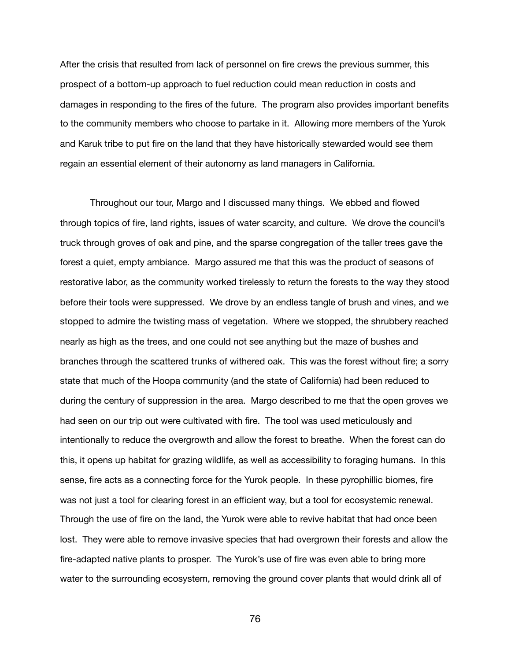After the crisis that resulted from lack of personnel on fire crews the previous summer, this prospect of a bottom-up approach to fuel reduction could mean reduction in costs and damages in responding to the fires of the future. The program also provides important benefits to the community members who choose to partake in it. Allowing more members of the Yurok and Karuk tribe to put fire on the land that they have historically stewarded would see them regain an essential element of their autonomy as land managers in California.

Throughout our tour, Margo and I discussed many things. We ebbed and flowed through topics of fire, land rights, issues of water scarcity, and culture. We drove the council's truck through groves of oak and pine, and the sparse congregation of the taller trees gave the forest a quiet, empty ambiance. Margo assured me that this was the product of seasons of restorative labor, as the community worked tirelessly to return the forests to the way they stood before their tools were suppressed. We drove by an endless tangle of brush and vines, and we stopped to admire the twisting mass of vegetation. Where we stopped, the shrubbery reached nearly as high as the trees, and one could not see anything but the maze of bushes and branches through the scattered trunks of withered oak. This was the forest without fire; a sorry state that much of the Hoopa community (and the state of California) had been reduced to during the century of suppression in the area. Margo described to me that the open groves we had seen on our trip out were cultivated with fire. The tool was used meticulously and intentionally to reduce the overgrowth and allow the forest to breathe. When the forest can do this, it opens up habitat for grazing wildlife, as well as accessibility to foraging humans. In this sense, fire acts as a connecting force for the Yurok people. In these pyrophillic biomes, fire was not just a tool for clearing forest in an efficient way, but a tool for ecosystemic renewal. Through the use of fire on the land, the Yurok were able to revive habitat that had once been lost. They were able to remove invasive species that had overgrown their forests and allow the fire-adapted native plants to prosper. The Yurok's use of fire was even able to bring more water to the surrounding ecosystem, removing the ground cover plants that would drink all of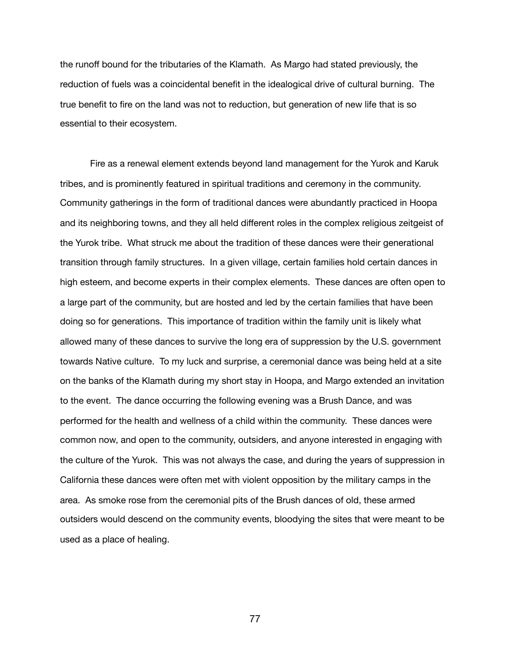the runoff bound for the tributaries of the Klamath. As Margo had stated previously, the reduction of fuels was a coincidental benefit in the idealogical drive of cultural burning. The true benefit to fire on the land was not to reduction, but generation of new life that is so essential to their ecosystem.

Fire as a renewal element extends beyond land management for the Yurok and Karuk tribes, and is prominently featured in spiritual traditions and ceremony in the community. Community gatherings in the form of traditional dances were abundantly practiced in Hoopa and its neighboring towns, and they all held different roles in the complex religious zeitgeist of the Yurok tribe. What struck me about the tradition of these dances were their generational transition through family structures. In a given village, certain families hold certain dances in high esteem, and become experts in their complex elements. These dances are often open to a large part of the community, but are hosted and led by the certain families that have been doing so for generations. This importance of tradition within the family unit is likely what allowed many of these dances to survive the long era of suppression by the U.S. government towards Native culture. To my luck and surprise, a ceremonial dance was being held at a site on the banks of the Klamath during my short stay in Hoopa, and Margo extended an invitation to the event. The dance occurring the following evening was a Brush Dance, and was performed for the health and wellness of a child within the community. These dances were common now, and open to the community, outsiders, and anyone interested in engaging with the culture of the Yurok. This was not always the case, and during the years of suppression in California these dances were often met with violent opposition by the military camps in the area. As smoke rose from the ceremonial pits of the Brush dances of old, these armed outsiders would descend on the community events, bloodying the sites that were meant to be used as a place of healing.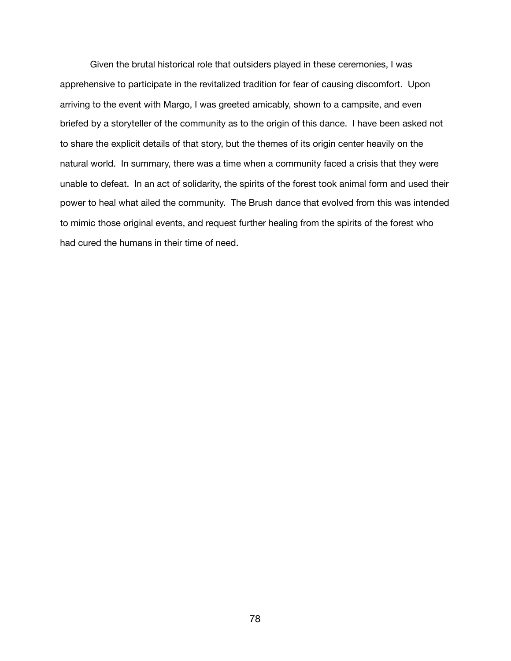Given the brutal historical role that outsiders played in these ceremonies, I was apprehensive to participate in the revitalized tradition for fear of causing discomfort. Upon arriving to the event with Margo, I was greeted amicably, shown to a campsite, and even briefed by a storyteller of the community as to the origin of this dance. I have been asked not to share the explicit details of that story, but the themes of its origin center heavily on the natural world. In summary, there was a time when a community faced a crisis that they were unable to defeat. In an act of solidarity, the spirits of the forest took animal form and used their power to heal what ailed the community. The Brush dance that evolved from this was intended to mimic those original events, and request further healing from the spirits of the forest who had cured the humans in their time of need.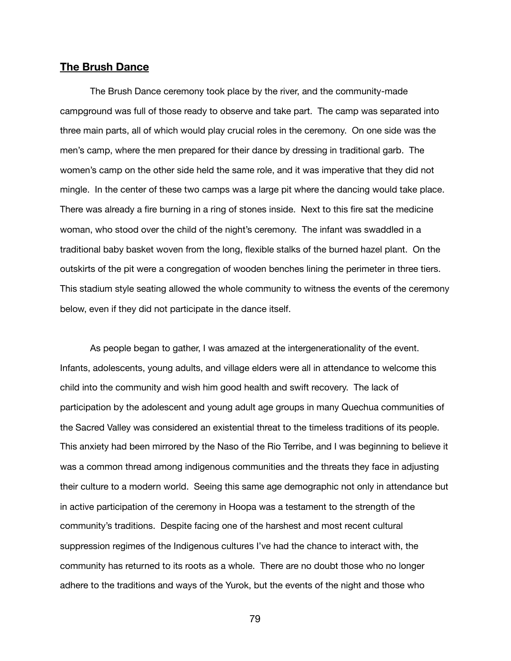## **The Brush Dance**

The Brush Dance ceremony took place by the river, and the community-made campground was full of those ready to observe and take part. The camp was separated into three main parts, all of which would play crucial roles in the ceremony. On one side was the men's camp, where the men prepared for their dance by dressing in traditional garb. The women's camp on the other side held the same role, and it was imperative that they did not mingle. In the center of these two camps was a large pit where the dancing would take place. There was already a fire burning in a ring of stones inside. Next to this fire sat the medicine woman, who stood over the child of the night's ceremony. The infant was swaddled in a traditional baby basket woven from the long, flexible stalks of the burned hazel plant. On the outskirts of the pit were a congregation of wooden benches lining the perimeter in three tiers. This stadium style seating allowed the whole community to witness the events of the ceremony below, even if they did not participate in the dance itself.

As people began to gather, I was amazed at the intergenerationality of the event. Infants, adolescents, young adults, and village elders were all in attendance to welcome this child into the community and wish him good health and swift recovery. The lack of participation by the adolescent and young adult age groups in many Quechua communities of the Sacred Valley was considered an existential threat to the timeless traditions of its people. This anxiety had been mirrored by the Naso of the Rio Terribe, and I was beginning to believe it was a common thread among indigenous communities and the threats they face in adjusting their culture to a modern world. Seeing this same age demographic not only in attendance but in active participation of the ceremony in Hoopa was a testament to the strength of the community's traditions. Despite facing one of the harshest and most recent cultural suppression regimes of the Indigenous cultures I've had the chance to interact with, the community has returned to its roots as a whole. There are no doubt those who no longer adhere to the traditions and ways of the Yurok, but the events of the night and those who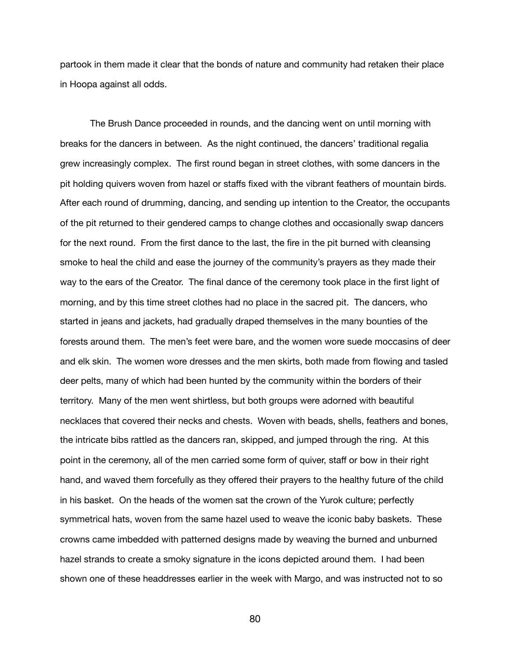partook in them made it clear that the bonds of nature and community had retaken their place in Hoopa against all odds.

The Brush Dance proceeded in rounds, and the dancing went on until morning with breaks for the dancers in between. As the night continued, the dancers' traditional regalia grew increasingly complex. The first round began in street clothes, with some dancers in the pit holding quivers woven from hazel or staffs fixed with the vibrant feathers of mountain birds. After each round of drumming, dancing, and sending up intention to the Creator, the occupants of the pit returned to their gendered camps to change clothes and occasionally swap dancers for the next round. From the first dance to the last, the fire in the pit burned with cleansing smoke to heal the child and ease the journey of the community's prayers as they made their way to the ears of the Creator. The final dance of the ceremony took place in the first light of morning, and by this time street clothes had no place in the sacred pit. The dancers, who started in jeans and jackets, had gradually draped themselves in the many bounties of the forests around them. The men's feet were bare, and the women wore suede moccasins of deer and elk skin. The women wore dresses and the men skirts, both made from flowing and tasled deer pelts, many of which had been hunted by the community within the borders of their territory. Many of the men went shirtless, but both groups were adorned with beautiful necklaces that covered their necks and chests. Woven with beads, shells, feathers and bones, the intricate bibs rattled as the dancers ran, skipped, and jumped through the ring. At this point in the ceremony, all of the men carried some form of quiver, staff or bow in their right hand, and waved them forcefully as they offered their prayers to the healthy future of the child in his basket. On the heads of the women sat the crown of the Yurok culture; perfectly symmetrical hats, woven from the same hazel used to weave the iconic baby baskets. These crowns came imbedded with patterned designs made by weaving the burned and unburned hazel strands to create a smoky signature in the icons depicted around them. I had been shown one of these headdresses earlier in the week with Margo, and was instructed not to so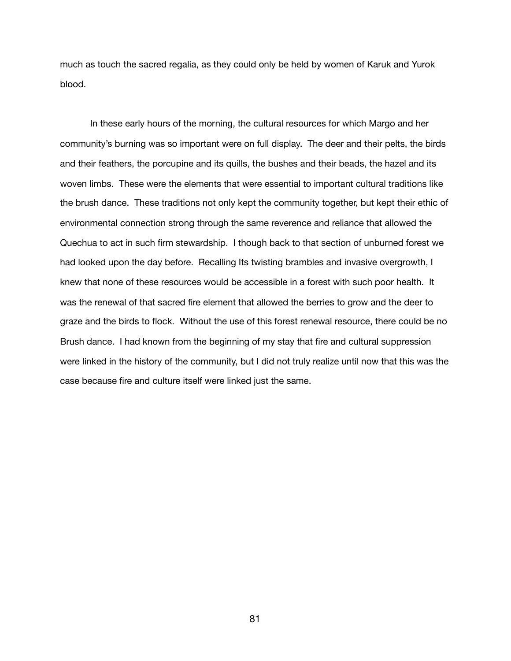much as touch the sacred regalia, as they could only be held by women of Karuk and Yurok blood.

In these early hours of the morning, the cultural resources for which Margo and her community's burning was so important were on full display. The deer and their pelts, the birds and their feathers, the porcupine and its quills, the bushes and their beads, the hazel and its woven limbs. These were the elements that were essential to important cultural traditions like the brush dance. These traditions not only kept the community together, but kept their ethic of environmental connection strong through the same reverence and reliance that allowed the Quechua to act in such firm stewardship. I though back to that section of unburned forest we had looked upon the day before. Recalling Its twisting brambles and invasive overgrowth, I knew that none of these resources would be accessible in a forest with such poor health. It was the renewal of that sacred fire element that allowed the berries to grow and the deer to graze and the birds to flock. Without the use of this forest renewal resource, there could be no Brush dance. I had known from the beginning of my stay that fire and cultural suppression were linked in the history of the community, but I did not truly realize until now that this was the case because fire and culture itself were linked just the same.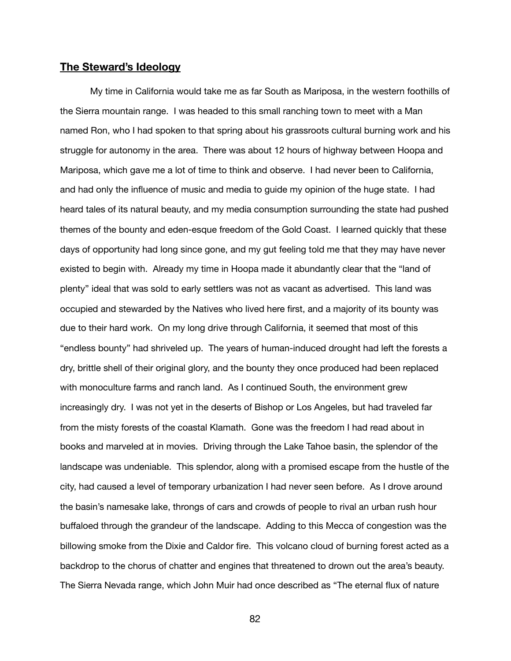# **The Steward's Ideology**

My time in California would take me as far South as Mariposa, in the western foothills of the Sierra mountain range. I was headed to this small ranching town to meet with a Man named Ron, who I had spoken to that spring about his grassroots cultural burning work and his struggle for autonomy in the area. There was about 12 hours of highway between Hoopa and Mariposa, which gave me a lot of time to think and observe. I had never been to California, and had only the influence of music and media to guide my opinion of the huge state. I had heard tales of its natural beauty, and my media consumption surrounding the state had pushed themes of the bounty and eden-esque freedom of the Gold Coast. I learned quickly that these days of opportunity had long since gone, and my gut feeling told me that they may have never existed to begin with. Already my time in Hoopa made it abundantly clear that the "land of plenty" ideal that was sold to early settlers was not as vacant as advertised. This land was occupied and stewarded by the Natives who lived here first, and a majority of its bounty was due to their hard work. On my long drive through California, it seemed that most of this "endless bounty" had shriveled up. The years of human-induced drought had left the forests a dry, brittle shell of their original glory, and the bounty they once produced had been replaced with monoculture farms and ranch land. As I continued South, the environment grew increasingly dry. I was not yet in the deserts of Bishop or Los Angeles, but had traveled far from the misty forests of the coastal Klamath. Gone was the freedom I had read about in books and marveled at in movies. Driving through the Lake Tahoe basin, the splendor of the landscape was undeniable. This splendor, along with a promised escape from the hustle of the city, had caused a level of temporary urbanization I had never seen before. As I drove around the basin's namesake lake, throngs of cars and crowds of people to rival an urban rush hour buffaloed through the grandeur of the landscape. Adding to this Mecca of congestion was the billowing smoke from the Dixie and Caldor fire. This volcano cloud of burning forest acted as a backdrop to the chorus of chatter and engines that threatened to drown out the area's beauty. The Sierra Nevada range, which John Muir had once described as "The eternal flux of nature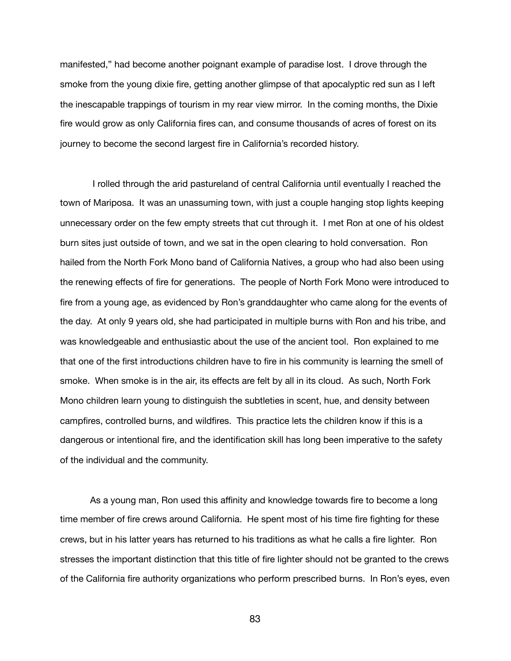manifested," had become another poignant example of paradise lost. I drove through the smoke from the young dixie fire, getting another glimpse of that apocalyptic red sun as I left the inescapable trappings of tourism in my rear view mirror. In the coming months, the Dixie fire would grow as only California fires can, and consume thousands of acres of forest on its journey to become the second largest fire in California's recorded history.

 I rolled through the arid pastureland of central California until eventually I reached the town of Mariposa. It was an unassuming town, with just a couple hanging stop lights keeping unnecessary order on the few empty streets that cut through it. I met Ron at one of his oldest burn sites just outside of town, and we sat in the open clearing to hold conversation. Ron hailed from the North Fork Mono band of California Natives, a group who had also been using the renewing effects of fire for generations. The people of North Fork Mono were introduced to fire from a young age, as evidenced by Ron's granddaughter who came along for the events of the day. At only 9 years old, she had participated in multiple burns with Ron and his tribe, and was knowledgeable and enthusiastic about the use of the ancient tool. Ron explained to me that one of the first introductions children have to fire in his community is learning the smell of smoke. When smoke is in the air, its effects are felt by all in its cloud. As such, North Fork Mono children learn young to distinguish the subtleties in scent, hue, and density between campfires, controlled burns, and wildfires. This practice lets the children know if this is a dangerous or intentional fire, and the identification skill has long been imperative to the safety of the individual and the community.

As a young man, Ron used this affinity and knowledge towards fire to become a long time member of fire crews around California. He spent most of his time fire fighting for these crews, but in his latter years has returned to his traditions as what he calls a fire lighter. Ron stresses the important distinction that this title of fire lighter should not be granted to the crews of the California fire authority organizations who perform prescribed burns. In Ron's eyes, even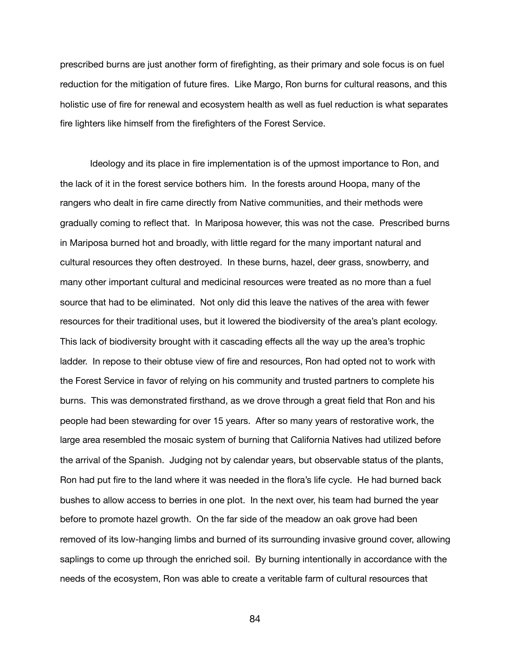prescribed burns are just another form of firefighting, as their primary and sole focus is on fuel reduction for the mitigation of future fires. Like Margo, Ron burns for cultural reasons, and this holistic use of fire for renewal and ecosystem health as well as fuel reduction is what separates fire lighters like himself from the firefighters of the Forest Service.

Ideology and its place in fire implementation is of the upmost importance to Ron, and the lack of it in the forest service bothers him. In the forests around Hoopa, many of the rangers who dealt in fire came directly from Native communities, and their methods were gradually coming to reflect that. In Mariposa however, this was not the case. Prescribed burns in Mariposa burned hot and broadly, with little regard for the many important natural and cultural resources they often destroyed. In these burns, hazel, deer grass, snowberry, and many other important cultural and medicinal resources were treated as no more than a fuel source that had to be eliminated. Not only did this leave the natives of the area with fewer resources for their traditional uses, but it lowered the biodiversity of the area's plant ecology. This lack of biodiversity brought with it cascading effects all the way up the area's trophic ladder. In repose to their obtuse view of fire and resources, Ron had opted not to work with the Forest Service in favor of relying on his community and trusted partners to complete his burns. This was demonstrated firsthand, as we drove through a great field that Ron and his people had been stewarding for over 15 years. After so many years of restorative work, the large area resembled the mosaic system of burning that California Natives had utilized before the arrival of the Spanish. Judging not by calendar years, but observable status of the plants, Ron had put fire to the land where it was needed in the flora's life cycle. He had burned back bushes to allow access to berries in one plot. In the next over, his team had burned the year before to promote hazel growth. On the far side of the meadow an oak grove had been removed of its low-hanging limbs and burned of its surrounding invasive ground cover, allowing saplings to come up through the enriched soil. By burning intentionally in accordance with the needs of the ecosystem, Ron was able to create a veritable farm of cultural resources that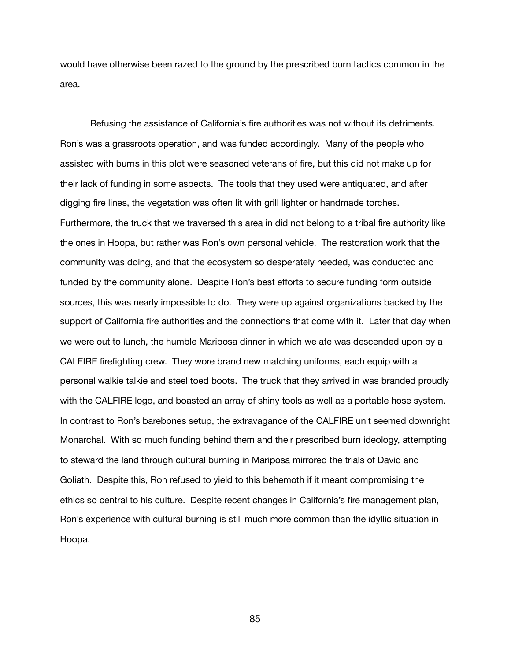would have otherwise been razed to the ground by the prescribed burn tactics common in the area.

Refusing the assistance of California's fire authorities was not without its detriments. Ron's was a grassroots operation, and was funded accordingly. Many of the people who assisted with burns in this plot were seasoned veterans of fire, but this did not make up for their lack of funding in some aspects. The tools that they used were antiquated, and after digging fire lines, the vegetation was often lit with grill lighter or handmade torches. Furthermore, the truck that we traversed this area in did not belong to a tribal fire authority like the ones in Hoopa, but rather was Ron's own personal vehicle. The restoration work that the community was doing, and that the ecosystem so desperately needed, was conducted and funded by the community alone. Despite Ron's best efforts to secure funding form outside sources, this was nearly impossible to do. They were up against organizations backed by the support of California fire authorities and the connections that come with it. Later that day when we were out to lunch, the humble Mariposa dinner in which we ate was descended upon by a CALFIRE firefighting crew. They wore brand new matching uniforms, each equip with a personal walkie talkie and steel toed boots. The truck that they arrived in was branded proudly with the CALFIRE logo, and boasted an array of shiny tools as well as a portable hose system. In contrast to Ron's barebones setup, the extravagance of the CALFIRE unit seemed downright Monarchal. With so much funding behind them and their prescribed burn ideology, attempting to steward the land through cultural burning in Mariposa mirrored the trials of David and Goliath. Despite this, Ron refused to yield to this behemoth if it meant compromising the ethics so central to his culture. Despite recent changes in California's fire management plan, Ron's experience with cultural burning is still much more common than the idyllic situation in Hoopa.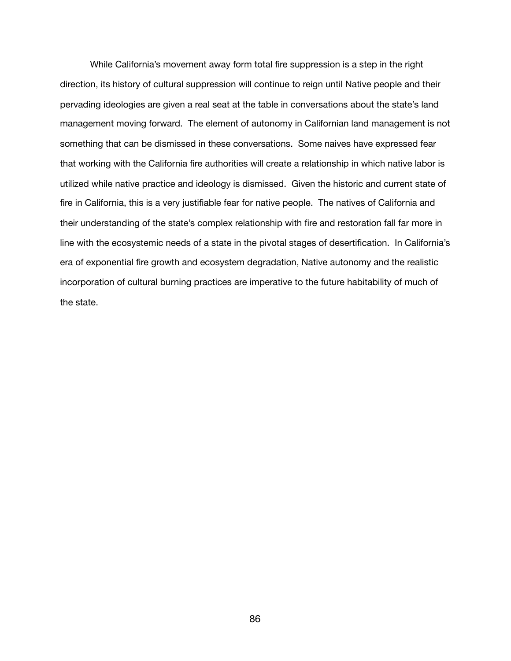While California's movement away form total fire suppression is a step in the right direction, its history of cultural suppression will continue to reign until Native people and their pervading ideologies are given a real seat at the table in conversations about the state's land management moving forward. The element of autonomy in Californian land management is not something that can be dismissed in these conversations. Some naives have expressed fear that working with the California fire authorities will create a relationship in which native labor is utilized while native practice and ideology is dismissed. Given the historic and current state of fire in California, this is a very justifiable fear for native people. The natives of California and their understanding of the state's complex relationship with fire and restoration fall far more in line with the ecosystemic needs of a state in the pivotal stages of desertification. In California's era of exponential fire growth and ecosystem degradation, Native autonomy and the realistic incorporation of cultural burning practices are imperative to the future habitability of much of the state.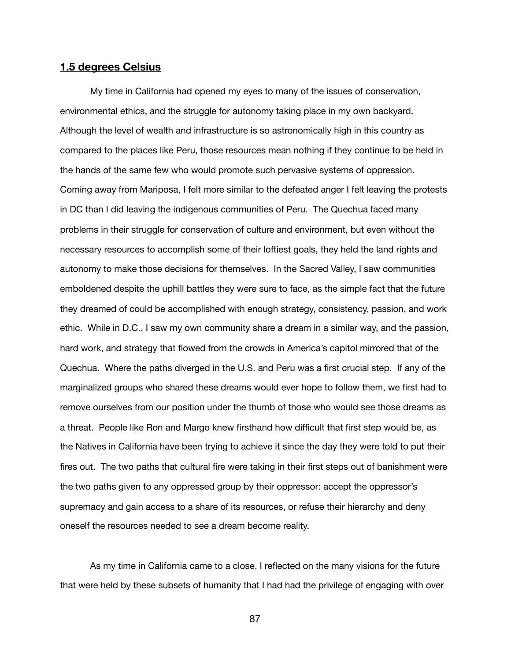# **1.5 degrees Celsius**

My time in California had opened my eyes to many of the issues of conservation, environmental ethics, and the struggle for autonomy taking place in my own backyard. Although the level of wealth and infrastructure is so astronomically high in this country as compared to the places like Peru, those resources mean nothing if they continue to be held in the hands of the same few who would promote such pervasive systems of oppression. Coming away from Mariposa, I felt more similar to the defeated anger I felt leaving the protests in DC than I did leaving the indigenous communities of Peru. The Quechua faced many problems in their struggle for conservation of culture and environment, but even without the necessary resources to accomplish some of their loftiest goals, they held the land rights and autonomy to make those decisions for themselves. In the Sacred Valley, I saw communities emboldened despite the uphill battles they were sure to face, as the simple fact that the future they dreamed of could be accomplished with enough strategy, consistency, passion, and work ethic. While in D.C., I saw my own community share a dream in a similar way, and the passion, hard work, and strategy that flowed from the crowds in America's capitol mirrored that of the Quechua. Where the paths diverged in the U.S. and Peru was a first crucial step. If any of the marginalized groups who shared these dreams would ever hope to follow them, we first had to remove ourselves from our position under the thumb of those who would see those dreams as a threat. People like Ron and Margo knew firsthand how difficult that first step would be, as the Natives in California have been trying to achieve it since the day they were told to put their fires out. The two paths that cultural fire were taking in their first steps out of banishment were the two paths given to any oppressed group by their oppressor: accept the oppressor's supremacy and gain access to a share of its resources, or refuse their hierarchy and deny oneself the resources needed to see a dream become reality.

As my time in California came to a close, I reflected on the many visions for the future that were held by these subsets of humanity that I had had the privilege of engaging with over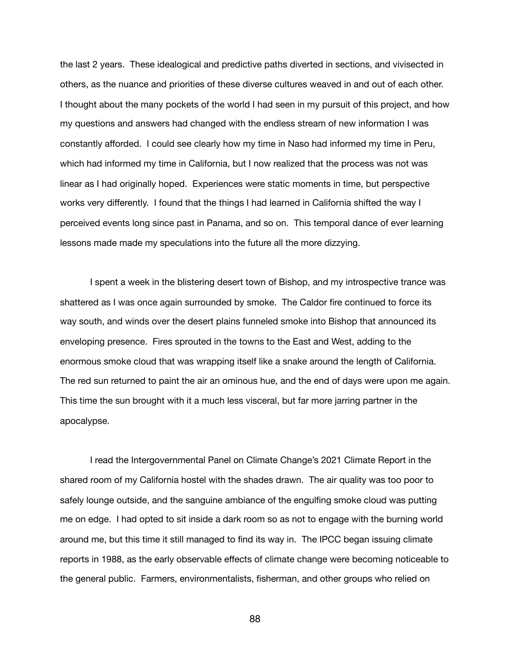the last 2 years. These idealogical and predictive paths diverted in sections, and vivisected in others, as the nuance and priorities of these diverse cultures weaved in and out of each other. I thought about the many pockets of the world I had seen in my pursuit of this project, and how my questions and answers had changed with the endless stream of new information I was constantly afforded. I could see clearly how my time in Naso had informed my time in Peru, which had informed my time in California, but I now realized that the process was not was linear as I had originally hoped. Experiences were static moments in time, but perspective works very differently. I found that the things I had learned in California shifted the way I perceived events long since past in Panama, and so on. This temporal dance of ever learning lessons made made my speculations into the future all the more dizzying.

I spent a week in the blistering desert town of Bishop, and my introspective trance was shattered as I was once again surrounded by smoke. The Caldor fire continued to force its way south, and winds over the desert plains funneled smoke into Bishop that announced its enveloping presence. Fires sprouted in the towns to the East and West, adding to the enormous smoke cloud that was wrapping itself like a snake around the length of California. The red sun returned to paint the air an ominous hue, and the end of days were upon me again. This time the sun brought with it a much less visceral, but far more jarring partner in the apocalypse.

I read the Intergovernmental Panel on Climate Change's 2021 Climate Report in the shared room of my California hostel with the shades drawn. The air quality was too poor to safely lounge outside, and the sanguine ambiance of the engulfing smoke cloud was putting me on edge. I had opted to sit inside a dark room so as not to engage with the burning world around me, but this time it still managed to find its way in. The IPCC began issuing climate reports in 1988, as the early observable effects of climate change were becoming noticeable to the general public. Farmers, environmentalists, fisherman, and other groups who relied on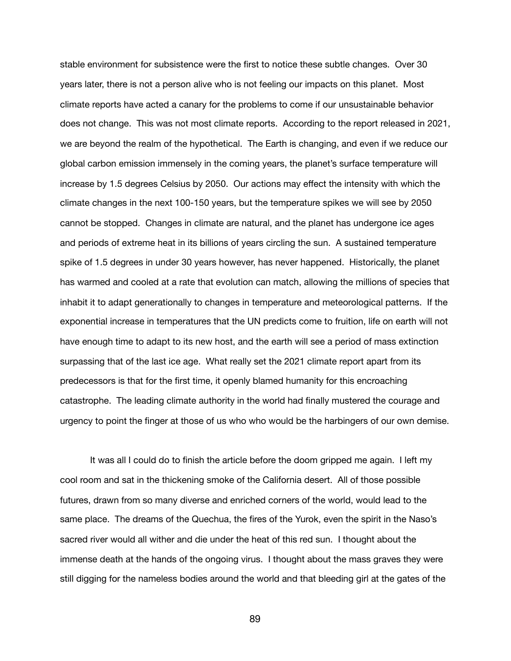stable environment for subsistence were the first to notice these subtle changes. Over 30 years later, there is not a person alive who is not feeling our impacts on this planet. Most climate reports have acted a canary for the problems to come if our unsustainable behavior does not change. This was not most climate reports. According to the report released in 2021, we are beyond the realm of the hypothetical. The Earth is changing, and even if we reduce our global carbon emission immensely in the coming years, the planet's surface temperature will increase by 1.5 degrees Celsius by 2050. Our actions may effect the intensity with which the climate changes in the next 100-150 years, but the temperature spikes we will see by 2050 cannot be stopped. Changes in climate are natural, and the planet has undergone ice ages and periods of extreme heat in its billions of years circling the sun. A sustained temperature spike of 1.5 degrees in under 30 years however, has never happened. Historically, the planet has warmed and cooled at a rate that evolution can match, allowing the millions of species that inhabit it to adapt generationally to changes in temperature and meteorological patterns. If the exponential increase in temperatures that the UN predicts come to fruition, life on earth will not have enough time to adapt to its new host, and the earth will see a period of mass extinction surpassing that of the last ice age. What really set the 2021 climate report apart from its predecessors is that for the first time, it openly blamed humanity for this encroaching catastrophe. The leading climate authority in the world had finally mustered the courage and urgency to point the finger at those of us who who would be the harbingers of our own demise.

It was all I could do to finish the article before the doom gripped me again. I left my cool room and sat in the thickening smoke of the California desert. All of those possible futures, drawn from so many diverse and enriched corners of the world, would lead to the same place. The dreams of the Quechua, the fires of the Yurok, even the spirit in the Naso's sacred river would all wither and die under the heat of this red sun. I thought about the immense death at the hands of the ongoing virus. I thought about the mass graves they were still digging for the nameless bodies around the world and that bleeding girl at the gates of the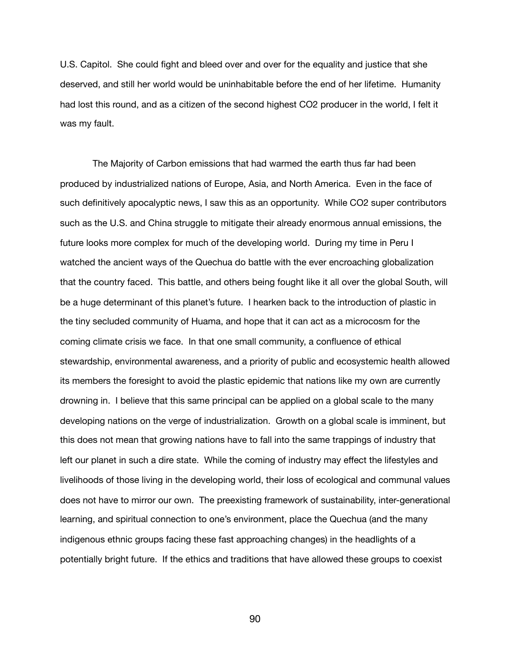U.S. Capitol. She could fight and bleed over and over for the equality and justice that she deserved, and still her world would be uninhabitable before the end of her lifetime. Humanity had lost this round, and as a citizen of the second highest CO2 producer in the world, I felt it was my fault.

 The Majority of Carbon emissions that had warmed the earth thus far had been produced by industrialized nations of Europe, Asia, and North America. Even in the face of such definitively apocalyptic news, I saw this as an opportunity. While CO2 super contributors such as the U.S. and China struggle to mitigate their already enormous annual emissions, the future looks more complex for much of the developing world. During my time in Peru I watched the ancient ways of the Quechua do battle with the ever encroaching globalization that the country faced. This battle, and others being fought like it all over the global South, will be a huge determinant of this planet's future. I hearken back to the introduction of plastic in the tiny secluded community of Huama, and hope that it can act as a microcosm for the coming climate crisis we face. In that one small community, a confluence of ethical stewardship, environmental awareness, and a priority of public and ecosystemic health allowed its members the foresight to avoid the plastic epidemic that nations like my own are currently drowning in. I believe that this same principal can be applied on a global scale to the many developing nations on the verge of industrialization. Growth on a global scale is imminent, but this does not mean that growing nations have to fall into the same trappings of industry that left our planet in such a dire state. While the coming of industry may effect the lifestyles and livelihoods of those living in the developing world, their loss of ecological and communal values does not have to mirror our own. The preexisting framework of sustainability, inter-generational learning, and spiritual connection to one's environment, place the Quechua (and the many indigenous ethnic groups facing these fast approaching changes) in the headlights of a potentially bright future. If the ethics and traditions that have allowed these groups to coexist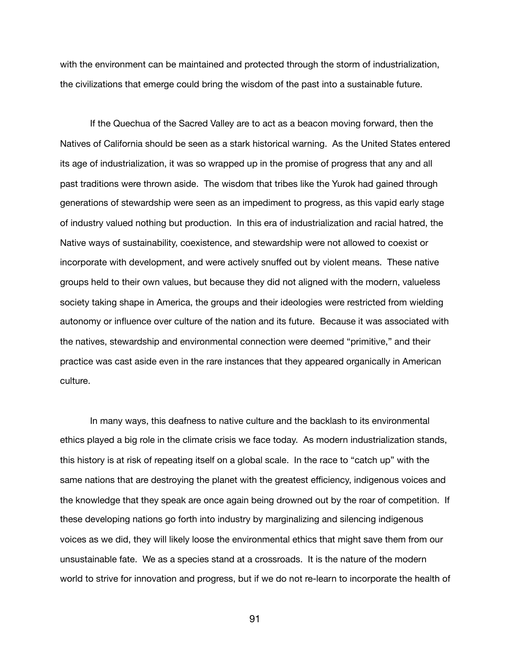with the environment can be maintained and protected through the storm of industrialization, the civilizations that emerge could bring the wisdom of the past into a sustainable future.

If the Quechua of the Sacred Valley are to act as a beacon moving forward, then the Natives of California should be seen as a stark historical warning. As the United States entered its age of industrialization, it was so wrapped up in the promise of progress that any and all past traditions were thrown aside. The wisdom that tribes like the Yurok had gained through generations of stewardship were seen as an impediment to progress, as this vapid early stage of industry valued nothing but production. In this era of industrialization and racial hatred, the Native ways of sustainability, coexistence, and stewardship were not allowed to coexist or incorporate with development, and were actively snuffed out by violent means. These native groups held to their own values, but because they did not aligned with the modern, valueless society taking shape in America, the groups and their ideologies were restricted from wielding autonomy or influence over culture of the nation and its future. Because it was associated with the natives, stewardship and environmental connection were deemed "primitive," and their practice was cast aside even in the rare instances that they appeared organically in American culture.

In many ways, this deafness to native culture and the backlash to its environmental ethics played a big role in the climate crisis we face today. As modern industrialization stands, this history is at risk of repeating itself on a global scale. In the race to "catch up" with the same nations that are destroying the planet with the greatest efficiency, indigenous voices and the knowledge that they speak are once again being drowned out by the roar of competition. If these developing nations go forth into industry by marginalizing and silencing indigenous voices as we did, they will likely loose the environmental ethics that might save them from our unsustainable fate. We as a species stand at a crossroads. It is the nature of the modern world to strive for innovation and progress, but if we do not re-learn to incorporate the health of